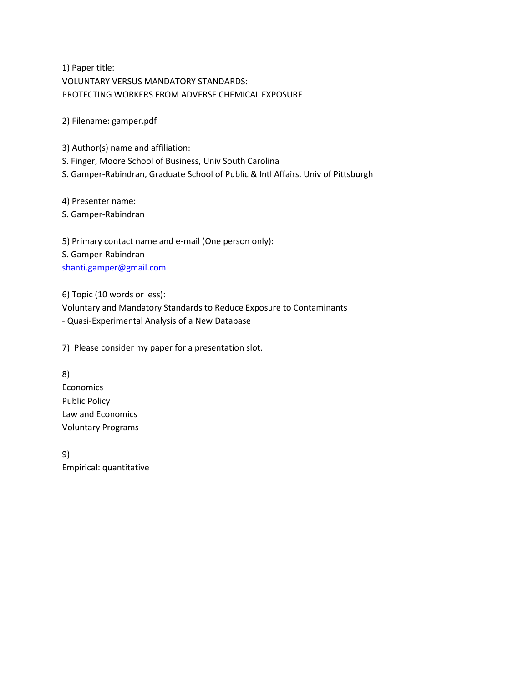1) Paper title: VOLUNTARY VERSUS MANDATORY STANDARDS: PROTECTING WORKERS FROM ADVERSE CHEMICAL EXPOSURE

2) Filename: gamper.pdf

3) Author(s) name and affiliation:

S. Finger, Moore School of Business, Univ South Carolina

S. Gamper-Rabindran, Graduate School of Public & Intl Affairs. Univ of Pittsburgh

4) Presenter name:

S. Gamper-Rabindran

5) Primary contact name and e-mail (One person only): S. Gamper-Rabindran [shanti.gamper@gmail.com](mailto:shanti.gamper@gmail.com)

6) Topic (10 words or less):

Voluntary and Mandatory Standards to Reduce Exposure to Contaminants

- Quasi-Experimental Analysis of a New Database

7) Please consider my paper for a presentation slot.

8) Economics Public Policy Law and Economics Voluntary Programs

9) Empirical: quantitative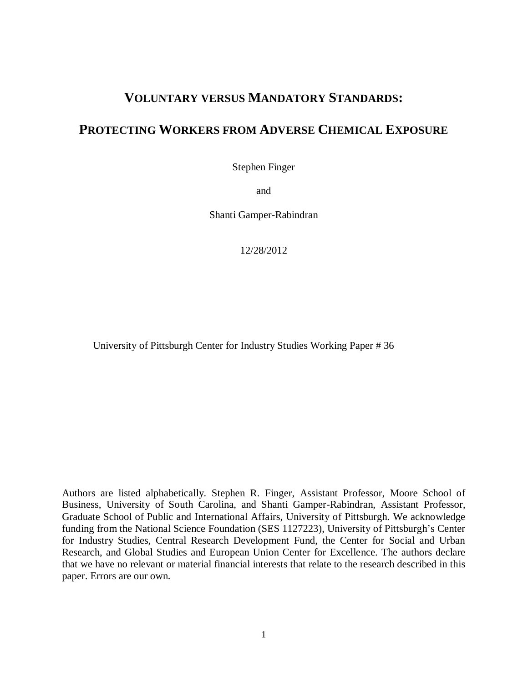# **VOLUNTARY VERSUS MANDATORY STANDARDS:**

## **PROTECTING WORKERS FROM ADVERSE CHEMICAL EXPOSURE**

Stephen Finger

and

Shanti Gamper-Rabindran

12/28/2012

University of Pittsburgh Center for Industry Studies Working Paper # 36

Authors are listed alphabetically. Stephen R. Finger, Assistant Professor, Moore School of Business, University of South Carolina, and Shanti Gamper-Rabindran, Assistant Professor, Graduate School of Public and International Affairs, University of Pittsburgh. We acknowledge funding from the National Science Foundation (SES 1127223), University of Pittsburgh's Center for Industry Studies, Central Research Development Fund, the Center for Social and Urban Research, and Global Studies and European Union Center for Excellence. The authors declare that we have no relevant or material financial interests that relate to the research described in this paper. Errors are our own.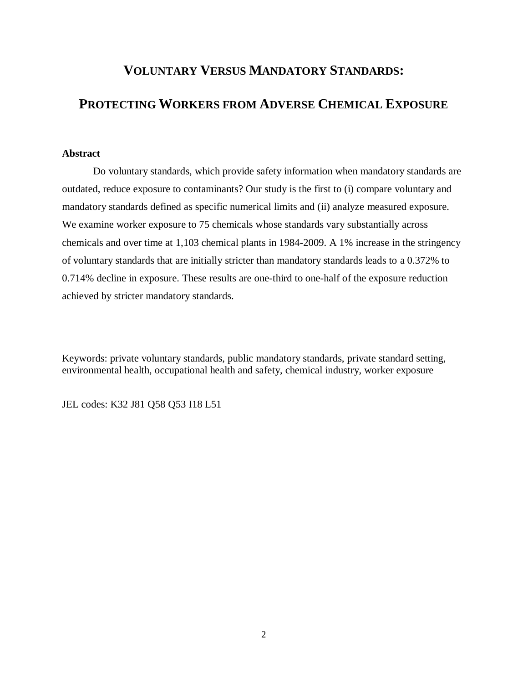# **VOLUNTARY VERSUS MANDATORY STANDARDS:**

## **PROTECTING WORKERS FROM ADVERSE CHEMICAL EXPOSURE**

### **Abstract**

Do voluntary standards, which provide safety information when mandatory standards are outdated, reduce exposure to contaminants? Our study is the first to (i) compare voluntary and mandatory standards defined as specific numerical limits and (ii) analyze measured exposure. We examine worker exposure to 75 chemicals whose standards vary substantially across chemicals and over time at 1,103 chemical plants in 1984-2009. A 1% increase in the stringency of voluntary standards that are initially stricter than mandatory standards leads to a 0.372% to 0.714% decline in exposure. These results are one-third to one-half of the exposure reduction achieved by stricter mandatory standards.

Keywords: private voluntary standards, public mandatory standards, private standard setting, environmental health, occupational health and safety, chemical industry, worker exposure

JEL codes: K32 J81 Q58 Q53 I18 L51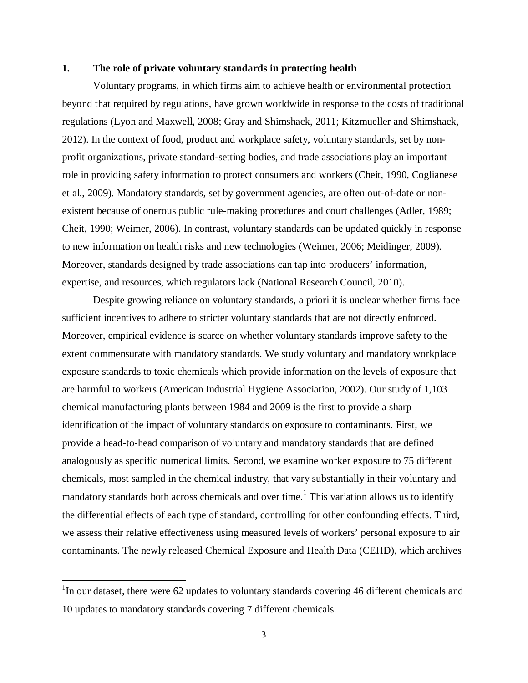#### **1. The role of private voluntary standards in protecting health**

Voluntary programs, in which firms aim to achieve health or environmental protection beyond that required by regulations, have grown worldwide in response to the costs of traditional regulations (Lyon and Maxwell, 2008; Gray and Shimshack, 2011; Kitzmueller and Shimshack, 2012). In the context of food, product and workplace safety, voluntary standards, set by nonprofit organizations, private standard-setting bodies, and trade associations play an important role in providing safety information to protect consumers and workers (Cheit, 1990, Coglianese et al., 2009). Mandatory standards, set by government agencies, are often out-of-date or nonexistent because of onerous public rule-making procedures and court challenges (Adler, 1989; Cheit, 1990; Weimer, 2006). In contrast, voluntary standards can be updated quickly in response to new information on health risks and new technologies (Weimer, 2006; Meidinger, 2009). Moreover, standards designed by trade associations can tap into producers' information, expertise, and resources, which regulators lack (National Research Council, 2010).

Despite growing reliance on voluntary standards, a priori it is unclear whether firms face sufficient incentives to adhere to stricter voluntary standards that are not directly enforced. Moreover, empirical evidence is scarce on whether voluntary standards improve safety to the extent commensurate with mandatory standards. We study voluntary and mandatory workplace exposure standards to toxic chemicals which provide information on the levels of exposure that are harmful to workers (American Industrial Hygiene Association, 2002). Our study of 1,103 chemical manufacturing plants between 1984 and 2009 is the first to provide a sharp identification of the impact of voluntary standards on exposure to contaminants. First, we provide a head-to-head comparison of voluntary and mandatory standards that are defined analogously as specific numerical limits. Second, we examine worker exposure to 75 different chemicals, most sampled in the chemical industry, that vary substantially in their voluntary and mandatory standards both across chemicals and over time.<sup>1</sup> This variation allows us to identify the differential effects of each type of standard, controlling for other confounding effects. Third, we assess their relative effectiveness using measured levels of workers' personal exposure to air contaminants. The newly released Chemical Exposure and Health Data (CEHD), which archives

 $\overline{\phantom{a}}$ 

<sup>&</sup>lt;sup>1</sup>In our dataset, there were 62 updates to voluntary standards covering 46 different chemicals and 10 updates to mandatory standards covering 7 different chemicals.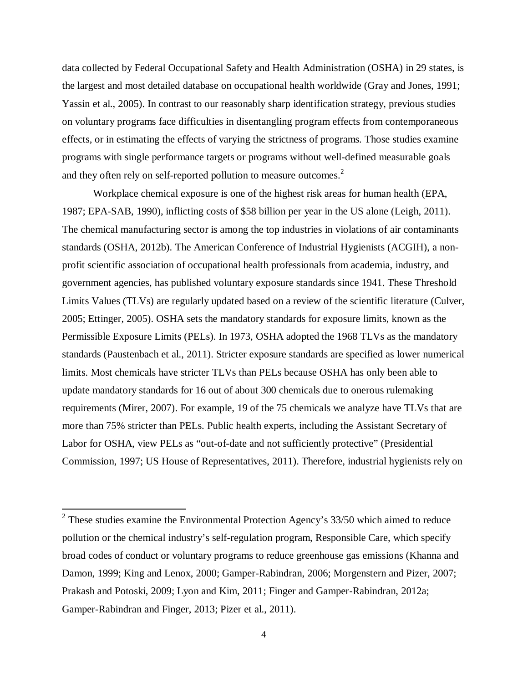data collected by Federal Occupational Safety and Health Administration (OSHA) in 29 states, is the largest and most detailed database on occupational health worldwide (Gray and Jones, 1991; Yassin et al., 2005). In contrast to our reasonably sharp identification strategy, previous studies on voluntary programs face difficulties in disentangling program effects from contemporaneous effects, or in estimating the effects of varying the strictness of programs. Those studies examine programs with single performance targets or programs without well-defined measurable goals and they often rely on self-reported pollution to measure outcomes. $2$ 

Workplace chemical exposure is one of the highest risk areas for human health (EPA, 1987; EPA-SAB, 1990), inflicting costs of \$58 billion per year in the US alone (Leigh, 2011). The chemical manufacturing sector is among the top industries in violations of air contaminants standards (OSHA, 2012b). The American Conference of Industrial Hygienists (ACGIH), a nonprofit scientific association of occupational health professionals from academia, industry, and government agencies, has published voluntary exposure standards since 1941. These Threshold Limits Values (TLVs) are regularly updated based on a review of the scientific literature (Culver, 2005; Ettinger, 2005). OSHA sets the mandatory standards for exposure limits, known as the Permissible Exposure Limits (PELs). In 1973, OSHA adopted the 1968 TLVs as the mandatory standards (Paustenbach et al., 2011). Stricter exposure standards are specified as lower numerical limits. Most chemicals have stricter TLVs than PELs because OSHA has only been able to update mandatory standards for 16 out of about 300 chemicals due to onerous rulemaking requirements (Mirer, 2007). For example, 19 of the 75 chemicals we analyze have TLVs that are more than 75% stricter than PELs. Public health experts, including the Assistant Secretary of Labor for OSHA, view PELs as "out-of-date and not sufficiently protective" (Presidential Commission, 1997; US House of Representatives, 2011). Therefore, industrial hygienists rely on

<sup>&</sup>lt;sup>2</sup> These studies examine the Environmental Protection Agency's 33/50 which aimed to reduce pollution or the chemical industry's self-regulation program, Responsible Care, which specify broad codes of conduct or voluntary programs to reduce greenhouse gas emissions (Khanna and Damon, 1999; King and Lenox, 2000; Gamper-Rabindran, 2006; Morgenstern and Pizer, 2007; Prakash and Potoski, 2009; Lyon and Kim, 2011; Finger and Gamper-Rabindran, 2012a; Gamper-Rabindran and Finger, 2013; Pizer et al., 2011).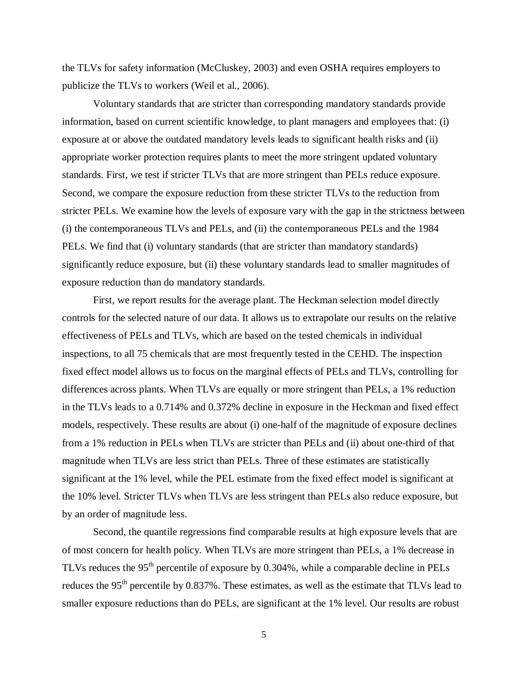the TLVs for safety information (McCluskey, 2003) and even OSHA requires employers to publicize the TLVs to workers (Weil et al., 2006).

Voluntary standards that are stricter than corresponding mandatory standards provide information, based on current scientific knowledge, to plant managers and employees that: (i) exposure at or above the outdated mandatory levels leads to significant health risks and (ii) appropriate worker protection requires plants to meet the more stringent updated voluntary standards. First, we test if stricter TLVs that are more stringent than PELs reduce exposure. Second, we compare the exposure reduction from these stricter TLVs to the reduction from stricter PELs. We examine how the levels of exposure vary with the gap in the strictness between (i) the contemporaneous TLVs and PELs, and (ii) the contemporaneous PELs and the 1984 PELs. We find that (i) voluntary standards (that are stricter than mandatory standards) significantly reduce exposure, but (ii) these voluntary standards lead to smaller magnitudes of exposure reduction than do mandatory standards.

First, we report results for the average plant. The Heckman selection model directly controls for the selected nature of our data. It allows us to extrapolate our results on the relative effectiveness of PELs and TLVs, which are based on the tested chemicals in individual inspections, to all 75 chemicals that are most frequently tested in the CEHD. The inspection fixed effect model allows us to focus on the marginal effects of PELs and TLVs, controlling for differences across plants. When TLVs are equally or more stringent than PELs, a 1% reduction in the TLVs leads to a 0.714% and 0.372% decline in exposure in the Heckman and fixed effect models, respectively. These results are about (i) one-half of the magnitude of exposure declines from a 1% reduction in PELs when TLVs are stricter than PELs and (ii) about one-third of that magnitude when TLVs are less strict than PELs. Three of these estimates are statistically significant at the 1% level, while the PEL estimate from the fixed effect model is significant at the 10% level. Stricter TLVs when TLVs are less stringent than PELs also reduce exposure, but by an order of magnitude less.

Second, the quantile regressions find comparable results at high exposure levels that are of most concern for health policy. When TLVs are more stringent than PELs, a 1% decrease in TLVs reduces the 95<sup>th</sup> percentile of exposure by 0.304%, while a comparable decline in PELs reduces the 95<sup>th</sup> percentile by 0.837%. These estimates, as well as the estimate that TLVs lead to smaller exposure reductions than do PELs, are significant at the 1% level. Our results are robust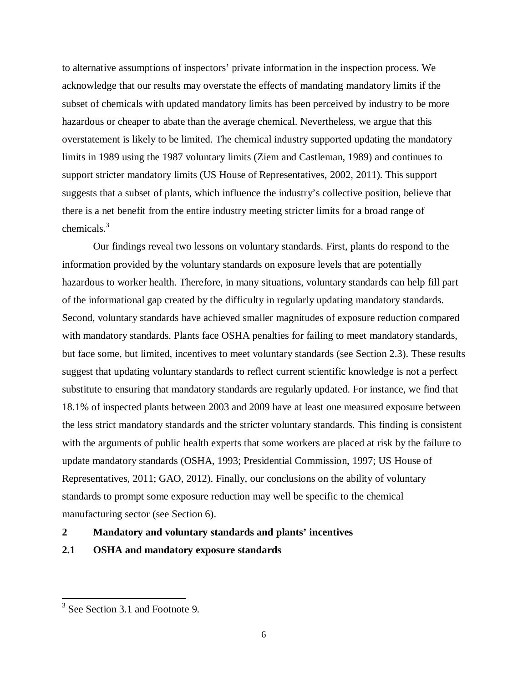to alternative assumptions of inspectors' private information in the inspection process. We acknowledge that our results may overstate the effects of mandating mandatory limits if the subset of chemicals with updated mandatory limits has been perceived by industry to be more hazardous or cheaper to abate than the average chemical. Nevertheless, we argue that this overstatement is likely to be limited. The chemical industry supported updating the mandatory limits in 1989 using the 1987 voluntary limits (Ziem and Castleman, 1989) and continues to support stricter mandatory limits (US House of Representatives, 2002, 2011). This support suggests that a subset of plants, which influence the industry's collective position, believe that there is a net benefit from the entire industry meeting stricter limits for a broad range of chemicals.<sup>3</sup>

Our findings reveal two lessons on voluntary standards. First, plants do respond to the information provided by the voluntary standards on exposure levels that are potentially hazardous to worker health. Therefore, in many situations, voluntary standards can help fill part of the informational gap created by the difficulty in regularly updating mandatory standards. Second, voluntary standards have achieved smaller magnitudes of exposure reduction compared with mandatory standards. Plants face OSHA penalties for failing to meet mandatory standards, but face some, but limited, incentives to meet voluntary standards (see Section 2.3). These results suggest that updating voluntary standards to reflect current scientific knowledge is not a perfect substitute to ensuring that mandatory standards are regularly updated. For instance, we find that 18.1% of inspected plants between 2003 and 2009 have at least one measured exposure between the less strict mandatory standards and the stricter voluntary standards. This finding is consistent with the arguments of public health experts that some workers are placed at risk by the failure to update mandatory standards (OSHA, 1993; Presidential Commission, 1997; US House of Representatives, 2011; GAO, 2012). Finally, our conclusions on the ability of voluntary standards to prompt some exposure reduction may well be specific to the chemical manufacturing sector (see Section 6).

### **2 Mandatory and voluntary standards and plants' incentives**

### **2.1 OSHA and mandatory exposure standards**

 $\overline{\phantom{a}}$ 

<sup>&</sup>lt;sup>3</sup> See Section 3.1 and Footnote 9.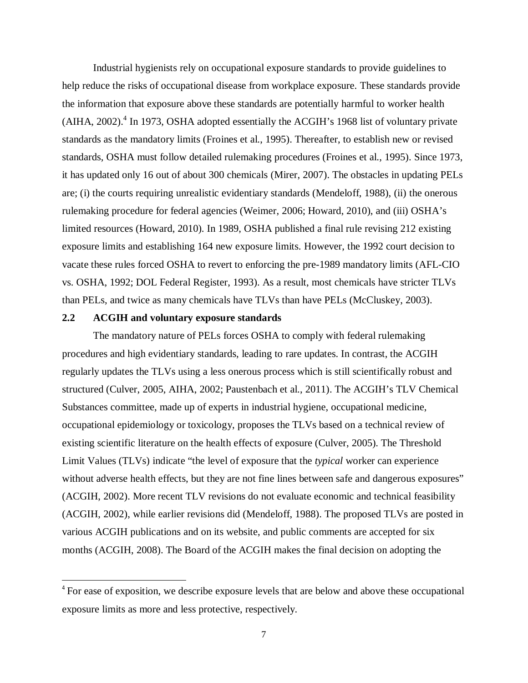Industrial hygienists rely on occupational exposure standards to provide guidelines to help reduce the risks of occupational disease from workplace exposure. These standards provide the information that exposure above these standards are potentially harmful to worker health (AIHA, 2002). $<sup>4</sup>$  In 1973, OSHA adopted essentially the ACGIH's 1968 list of voluntary private</sup> standards as the mandatory limits (Froines et al., 1995). Thereafter, to establish new or revised standards, OSHA must follow detailed rulemaking procedures (Froines et al., 1995). Since 1973, it has updated only 16 out of about 300 chemicals (Mirer, 2007). The obstacles in updating PELs are; (i) the courts requiring unrealistic evidentiary standards (Mendeloff, 1988), (ii) the onerous rulemaking procedure for federal agencies (Weimer, 2006; Howard, 2010), and (iii) OSHA's limited resources (Howard, 2010). In 1989, OSHA published a final rule revising 212 existing exposure limits and establishing 164 new exposure limits. However, the 1992 court decision to vacate these rules forced OSHA to revert to enforcing the pre-1989 mandatory limits (AFL-CIO vs. OSHA, 1992; DOL Federal Register, 1993). As a result, most chemicals have stricter TLVs than PELs, and twice as many chemicals have TLVs than have PELs (McCluskey, 2003).

### **2.2 ACGIH and voluntary exposure standards**

 $\overline{a}$ 

The mandatory nature of PELs forces OSHA to comply with federal rulemaking procedures and high evidentiary standards, leading to rare updates. In contrast, the ACGIH regularly updates the TLVs using a less onerous process which is still scientifically robust and structured (Culver, 2005, AIHA, 2002; Paustenbach et al., 2011). The ACGIH's TLV Chemical Substances committee, made up of experts in industrial hygiene, occupational medicine, occupational epidemiology or toxicology, proposes the TLVs based on a technical review of existing scientific literature on the health effects of exposure (Culver, 2005). The Threshold Limit Values (TLVs) indicate "the level of exposure that the *typical* worker can experience without adverse health effects, but they are not fine lines between safe and dangerous exposures" (ACGIH, 2002). More recent TLV revisions do not evaluate economic and technical feasibility (ACGIH, 2002), while earlier revisions did (Mendeloff, 1988). The proposed TLVs are posted in various ACGIH publications and on its website, and public comments are accepted for six months (ACGIH, 2008). The Board of the ACGIH makes the final decision on adopting the

<sup>&</sup>lt;sup>4</sup> For ease of exposition, we describe exposure levels that are below and above these occupational exposure limits as more and less protective, respectively.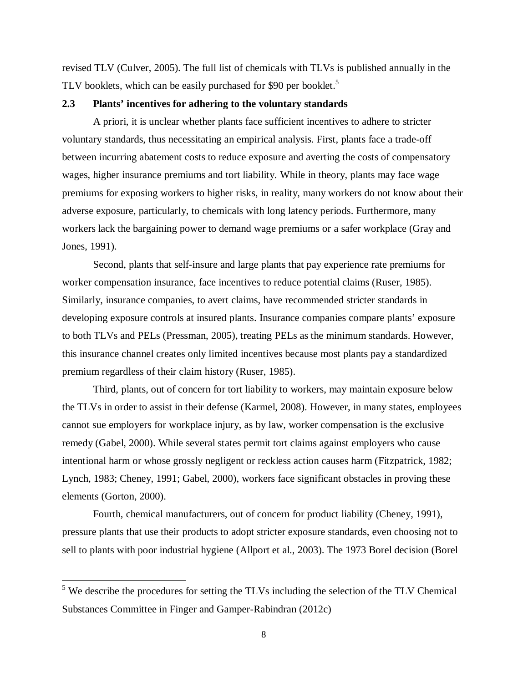revised TLV (Culver, 2005). The full list of chemicals with TLVs is published annually in the TLV booklets, which can be easily purchased for \$90 per booklet.<sup>5</sup>

### **2.3 Plants' incentives for adhering to the voluntary standards**

A priori, it is unclear whether plants face sufficient incentives to adhere to stricter voluntary standards, thus necessitating an empirical analysis. First, plants face a trade-off between incurring abatement costs to reduce exposure and averting the costs of compensatory wages, higher insurance premiums and tort liability. While in theory, plants may face wage premiums for exposing workers to higher risks, in reality, many workers do not know about their adverse exposure, particularly, to chemicals with long latency periods. Furthermore, many workers lack the bargaining power to demand wage premiums or a safer workplace (Gray and Jones, 1991).

Second, plants that self-insure and large plants that pay experience rate premiums for worker compensation insurance, face incentives to reduce potential claims (Ruser, 1985). Similarly, insurance companies, to avert claims, have recommended stricter standards in developing exposure controls at insured plants. Insurance companies compare plants' exposure to both TLVs and PELs (Pressman, 2005), treating PELs as the minimum standards. However, this insurance channel creates only limited incentives because most plants pay a standardized premium regardless of their claim history (Ruser, 1985).

Third, plants, out of concern for tort liability to workers, may maintain exposure below the TLVs in order to assist in their defense (Karmel, 2008). However, in many states, employees cannot sue employers for workplace injury, as by law, worker compensation is the exclusive remedy (Gabel, 2000). While several states permit tort claims against employers who cause intentional harm or whose grossly negligent or reckless action causes harm (Fitzpatrick, 1982; Lynch, 1983; Cheney, 1991; Gabel, 2000), workers face significant obstacles in proving these elements (Gorton, 2000).

Fourth, chemical manufacturers, out of concern for product liability (Cheney, 1991), pressure plants that use their products to adopt stricter exposure standards, even choosing not to sell to plants with poor industrial hygiene (Allport et al., 2003). The 1973 Borel decision (Borel

 $\overline{\phantom{a}}$ 

 $<sup>5</sup>$  We describe the procedures for setting the TLVs including the selection of the TLV Chemical</sup> Substances Committee in Finger and Gamper-Rabindran (2012c)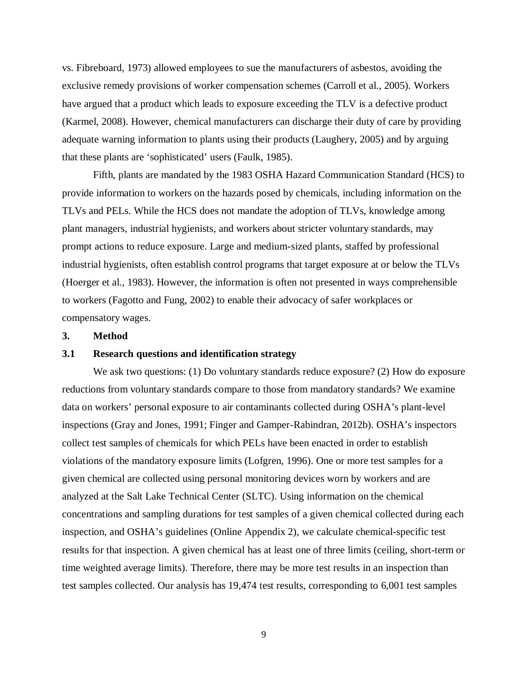vs. Fibreboard, 1973) allowed employees to sue the manufacturers of asbestos, avoiding the exclusive remedy provisions of worker compensation schemes (Carroll et al., 2005). Workers have argued that a product which leads to exposure exceeding the TLV is a defective product (Karmel, 2008). However, chemical manufacturers can discharge their duty of care by providing adequate warning information to plants using their products (Laughery, 2005) and by arguing that these plants are 'sophisticated' users (Faulk, 1985).

Fifth, plants are mandated by the 1983 OSHA Hazard Communication Standard (HCS) to provide information to workers on the hazards posed by chemicals, including information on the TLVs and PELs. While the HCS does not mandate the adoption of TLVs, knowledge among plant managers, industrial hygienists, and workers about stricter voluntary standards, may prompt actions to reduce exposure. Large and medium-sized plants, staffed by professional industrial hygienists, often establish control programs that target exposure at or below the TLVs (Hoerger et al., 1983). However, the information is often not presented in ways comprehensible to workers (Fagotto and Fung, 2002) to enable their advocacy of safer workplaces or compensatory wages.

#### **3. Method**

### **3.1 Research questions and identification strategy**

We ask two questions: (1) Do voluntary standards reduce exposure? (2) How do exposure reductions from voluntary standards compare to those from mandatory standards? We examine data on workers' personal exposure to air contaminants collected during OSHA's plant-level inspections (Gray and Jones, 1991; Finger and Gamper-Rabindran, 2012b). OSHA's inspectors collect test samples of chemicals for which PELs have been enacted in order to establish violations of the mandatory exposure limits (Lofgren, 1996). One or more test samples for a given chemical are collected using personal monitoring devices worn by workers and are analyzed at the Salt Lake Technical Center (SLTC). Using information on the chemical concentrations and sampling durations for test samples of a given chemical collected during each inspection, and OSHA's guidelines (Online Appendix 2), we calculate chemical-specific test results for that inspection. A given chemical has at least one of three limits (ceiling, short-term or time weighted average limits). Therefore, there may be more test results in an inspection than test samples collected. Our analysis has 19,474 test results, corresponding to 6,001 test samples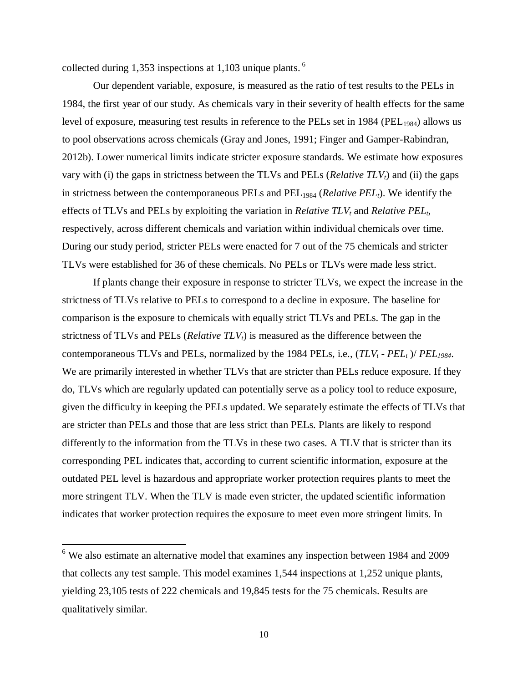collected during 1,353 inspections at 1,103 unique plants.<sup>6</sup>

Our dependent variable, exposure, is measured as the ratio of test results to the PELs in 1984, the first year of our study. As chemicals vary in their severity of health effects for the same level of exposure, measuring test results in reference to the PELs set in 1984 (PEL<sub>1984</sub>) allows us to pool observations across chemicals (Gray and Jones, 1991; Finger and Gamper-Rabindran, 2012b). Lower numerical limits indicate stricter exposure standards. We estimate how exposures vary with (i) the gaps in strictness between the TLVs and PELs (*Relative TLVt*) and (ii) the gaps in strictness between the contemporaneous PELs and PEL<sub>1984</sub> (*Relative PEL*<sub>*t*</sub>). We identify the effects of TLVs and PELs by exploiting the variation in *Relative TLV<sup>t</sup>* and *Relative PELt*, respectively, across different chemicals and variation within individual chemicals over time. During our study period, stricter PELs were enacted for 7 out of the 75 chemicals and stricter TLVs were established for 36 of these chemicals. No PELs or TLVs were made less strict.

If plants change their exposure in response to stricter TLVs, we expect the increase in the strictness of TLVs relative to PELs to correspond to a decline in exposure. The baseline for comparison is the exposure to chemicals with equally strict TLVs and PELs. The gap in the strictness of TLVs and PELs (*Relative TLVt*) is measured as the difference between the contemporaneous TLVs and PELs, normalized by the 1984 PELs, i.e., (*TLV<sup>t</sup> - PEL<sup>t</sup>* )/ *PEL1984*. We are primarily interested in whether TLVs that are stricter than PELs reduce exposure. If they do, TLVs which are regularly updated can potentially serve as a policy tool to reduce exposure, given the difficulty in keeping the PELs updated. We separately estimate the effects of TLVs that are stricter than PELs and those that are less strict than PELs. Plants are likely to respond differently to the information from the TLVs in these two cases. A TLV that is stricter than its corresponding PEL indicates that, according to current scientific information, exposure at the outdated PEL level is hazardous and appropriate worker protection requires plants to meet the more stringent TLV. When the TLV is made even stricter, the updated scientific information indicates that worker protection requires the exposure to meet even more stringent limits. In

 $\overline{a}$ 

<sup>&</sup>lt;sup>6</sup> We also estimate an alternative model that examines any inspection between 1984 and 2009 that collects any test sample. This model examines 1,544 inspections at 1,252 unique plants, yielding 23,105 tests of 222 chemicals and 19,845 tests for the 75 chemicals. Results are qualitatively similar.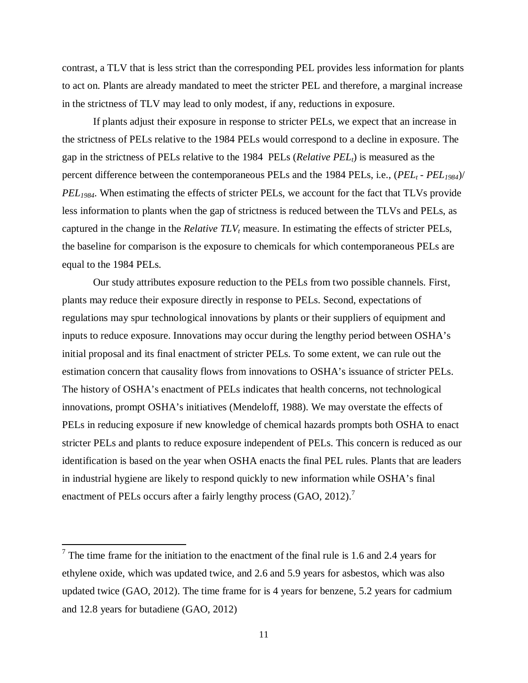contrast, a TLV that is less strict than the corresponding PEL provides less information for plants to act on. Plants are already mandated to meet the stricter PEL and therefore, a marginal increase in the strictness of TLV may lead to only modest, if any, reductions in exposure.

If plants adjust their exposure in response to stricter PELs, we expect that an increase in the strictness of PELs relative to the 1984 PELs would correspond to a decline in exposure. The gap in the strictness of PELs relative to the 1984 PELs (*Relative PELt*) is measured as the percent difference between the contemporaneous PELs and the 1984 PELs, i.e., (*PEL<sup>t</sup> - PEL1984*)/ *PEL1984*. When estimating the effects of stricter PELs, we account for the fact that TLVs provide less information to plants when the gap of strictness is reduced between the TLVs and PELs, as captured in the change in the *Relative TLV<sup>t</sup>* measure. In estimating the effects of stricter PELs, the baseline for comparison is the exposure to chemicals for which contemporaneous PELs are equal to the 1984 PELs.

Our study attributes exposure reduction to the PELs from two possible channels. First, plants may reduce their exposure directly in response to PELs. Second, expectations of regulations may spur technological innovations by plants or their suppliers of equipment and inputs to reduce exposure. Innovations may occur during the lengthy period between OSHA's initial proposal and its final enactment of stricter PELs. To some extent, we can rule out the estimation concern that causality flows from innovations to OSHA's issuance of stricter PELs. The history of OSHA's enactment of PELs indicates that health concerns, not technological innovations, prompt OSHA's initiatives (Mendeloff, 1988). We may overstate the effects of PELs in reducing exposure if new knowledge of chemical hazards prompts both OSHA to enact stricter PELs and plants to reduce exposure independent of PELs. This concern is reduced as our identification is based on the year when OSHA enacts the final PEL rules. Plants that are leaders in industrial hygiene are likely to respond quickly to new information while OSHA's final enactment of PELs occurs after a fairly lengthy process (GAO, 2012).<sup>7</sup>

 $\overline{a}$ 

<sup>&</sup>lt;sup>7</sup> The time frame for the initiation to the enactment of the final rule is 1.6 and 2.4 years for ethylene oxide, which was updated twice, and 2.6 and 5.9 years for asbestos, which was also updated twice (GAO, 2012). The time frame for is 4 years for benzene, 5.2 years for cadmium and 12.8 years for butadiene (GAO, 2012)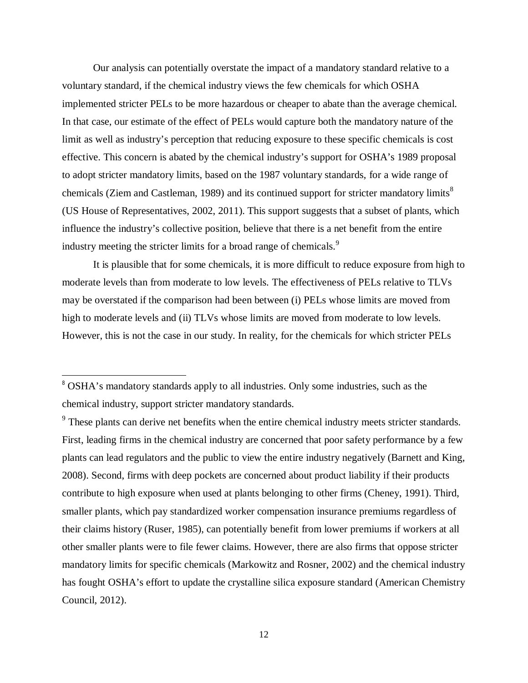Our analysis can potentially overstate the impact of a mandatory standard relative to a voluntary standard, if the chemical industry views the few chemicals for which OSHA implemented stricter PELs to be more hazardous or cheaper to abate than the average chemical. In that case, our estimate of the effect of PELs would capture both the mandatory nature of the limit as well as industry's perception that reducing exposure to these specific chemicals is cost effective. This concern is abated by the chemical industry's support for OSHA's 1989 proposal to adopt stricter mandatory limits, based on the 1987 voluntary standards, for a wide range of chemicals (Ziem and Castleman, 1989) and its continued support for stricter mandatory limits<sup>8</sup> (US House of Representatives, 2002, 2011). This support suggests that a subset of plants, which influence the industry's collective position, believe that there is a net benefit from the entire industry meeting the stricter limits for a broad range of chemicals.<sup>9</sup>

It is plausible that for some chemicals, it is more difficult to reduce exposure from high to moderate levels than from moderate to low levels. The effectiveness of PELs relative to TLVs may be overstated if the comparison had been between (i) PELs whose limits are moved from high to moderate levels and (ii) TLVs whose limits are moved from moderate to low levels. However, this is not the case in our study. In reality, for the chemicals for which stricter PELs

 $\overline{\phantom{a}}$ 

<sup>&</sup>lt;sup>8</sup> OSHA's mandatory standards apply to all industries. Only some industries, such as the chemical industry, support stricter mandatory standards.

<sup>&</sup>lt;sup>9</sup> These plants can derive net benefits when the entire chemical industry meets stricter standards. First, leading firms in the chemical industry are concerned that poor safety performance by a few plants can lead regulators and the public to view the entire industry negatively (Barnett and King, 2008). Second, firms with deep pockets are concerned about product liability if their products contribute to high exposure when used at plants belonging to other firms (Cheney, 1991). Third, smaller plants, which pay standardized worker compensation insurance premiums regardless of their claims history (Ruser, 1985), can potentially benefit from lower premiums if workers at all other smaller plants were to file fewer claims. However, there are also firms that oppose stricter mandatory limits for specific chemicals (Markowitz and Rosner, 2002) and the chemical industry has fought OSHA's effort to update the crystalline silica exposure standard (American Chemistry Council, 2012).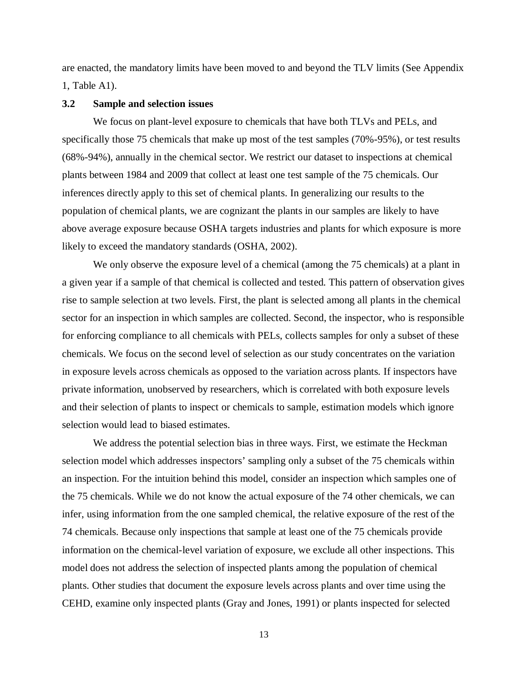are enacted, the mandatory limits have been moved to and beyond the TLV limits (See Appendix 1, Table A1).

### **3.2 Sample and selection issues**

We focus on plant-level exposure to chemicals that have both TLVs and PELs, and specifically those 75 chemicals that make up most of the test samples (70%-95%), or test results (68%-94%), annually in the chemical sector. We restrict our dataset to inspections at chemical plants between 1984 and 2009 that collect at least one test sample of the 75 chemicals. Our inferences directly apply to this set of chemical plants. In generalizing our results to the population of chemical plants, we are cognizant the plants in our samples are likely to have above average exposure because OSHA targets industries and plants for which exposure is more likely to exceed the mandatory standards (OSHA, 2002).

We only observe the exposure level of a chemical (among the 75 chemicals) at a plant in a given year if a sample of that chemical is collected and tested. This pattern of observation gives rise to sample selection at two levels. First, the plant is selected among all plants in the chemical sector for an inspection in which samples are collected. Second, the inspector, who is responsible for enforcing compliance to all chemicals with PELs, collects samples for only a subset of these chemicals. We focus on the second level of selection as our study concentrates on the variation in exposure levels across chemicals as opposed to the variation across plants*.* If inspectors have private information, unobserved by researchers, which is correlated with both exposure levels and their selection of plants to inspect or chemicals to sample, estimation models which ignore selection would lead to biased estimates.

We address the potential selection bias in three ways. First, we estimate the Heckman selection model which addresses inspectors' sampling only a subset of the 75 chemicals within an inspection. For the intuition behind this model, consider an inspection which samples one of the 75 chemicals. While we do not know the actual exposure of the 74 other chemicals, we can infer, using information from the one sampled chemical, the relative exposure of the rest of the 74 chemicals. Because only inspections that sample at least one of the 75 chemicals provide information on the chemical-level variation of exposure, we exclude all other inspections. This model does not address the selection of inspected plants among the population of chemical plants. Other studies that document the exposure levels across plants and over time using the CEHD, examine only inspected plants (Gray and Jones, 1991) or plants inspected for selected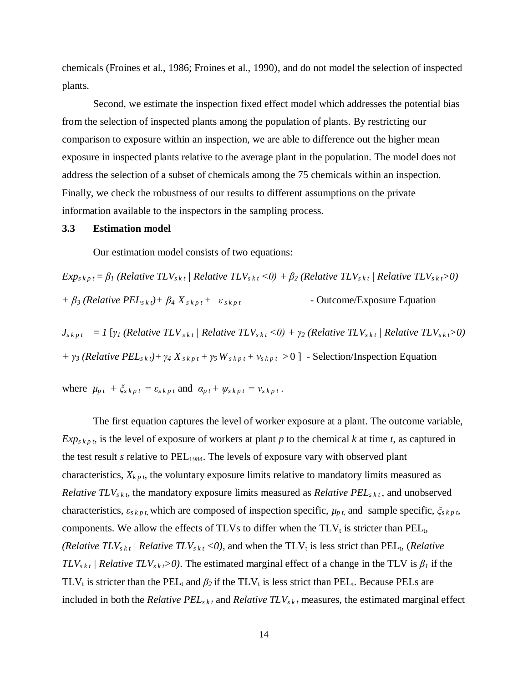chemicals (Froines et al., 1986; Froines et al., 1990), and do not model the selection of inspected plants.

Second, we estimate the inspection fixed effect model which addresses the potential bias from the selection of inspected plants among the population of plants. By restricting our comparison to exposure within an inspection, we are able to difference out the higher mean exposure in inspected plants relative to the average plant in the population. The model does not address the selection of a subset of chemicals among the 75 chemicals within an inspection. Finally, we check the robustness of our results to different assumptions on the private information available to the inspectors in the sampling process.

#### **3.3 Estimation model**

Our estimation model consists of two equations:

 $Exp_{s\,k\,p\,t} = \beta_l$  (Relative TLV<sub>skt</sub> / Relative TLV<sub>skt</sub> < 0) +  $\beta_2$  (Relative TLV<sub>skt</sub> / Relative TLV<sub>skt</sub>>0)  $+ \beta_3$  (*Relative PEL*<sub>*skt</sub>*)+  $\beta_4 X_{s,kpt} + \varepsilon_{s,kpt}$  - Outcome/Exposure Equation</sub>

 $J_{s k p t} = I \left[ \gamma_l \left( \text{Relative TLV}_{s k t} \right) \text{Relative TLV}_{s k t} \leq 0 \right) + \gamma_2 \left( \text{Relative TLV}_{s k t} \right) \text{ Relative TLV}_{s k t} \geq 0 \right)$ *+ γ*<sup>3</sup> (*Relative PEL*<sub>*skt*</sub>) + *γ*<sub>4</sub>  $X$ <sub>*skpt*</sub> + *γ*<sub>5</sub>  $W$ <sub>*skpt*</sub> + *v*<sub>*skpt*</sub> > 0 ] - Selection/Inspection Equation

where  $\mu_{p,t} + \zeta_{s,kpt} = \varepsilon_{s,kpt}$  and  $\alpha_{p,t} + \psi_{s,kpt} = v_{s,kpt}$ .

The first equation captures the level of worker exposure at a plant. The outcome variable,  $Exp_{s k p t}$ , is the level of exposure of workers at plant *p* to the chemical *k* at time *t*, as captured in the test result *s* relative to  $PEL_{1984}$ . The levels of exposure vary with observed plant characteristics,  $X_{kp}$ , the voluntary exposure limits relative to mandatory limits measured as *Relative*  $TLV_{s,k,t}$ , the mandatory exposure limits measured as *Relative PEL*<sub>skt</sub>, and unobserved characteristics,  $\varepsilon_{s k p t}$ , which are composed of inspection specific,  $\mu_{p t}$ , and sample specific,  $\zeta_{s k p t}$ , components. We allow the effects of TLVs to differ when the  $TLV<sub>t</sub>$  is stricter than PEL<sub>t</sub>, *(Relative TLV*<sub>*skt</sub> / Relative TLV*<sub>*skt</sub> <0), and when the TLV<sub>t</sub> is less strict than PEL<sub>t</sub>, <i>(Relative*)</sub></sub>  $TLV_{skt}$  *| Relative TLV*<sub>*skt</sub>*>0). The estimated marginal effect of a change in the TLV is  $\beta_l$  if the</sub> TLV<sub>t</sub> is stricter than the PEL<sub>t</sub> and  $\beta_2$  if the TLV<sub>t</sub> is less strict than PEL<sub>t</sub>. Because PELs are included in both the *Relative PEL*<sub>*skt*</sub> and *Relative TLV*<sub>*skt*</sub> measures, the estimated marginal effect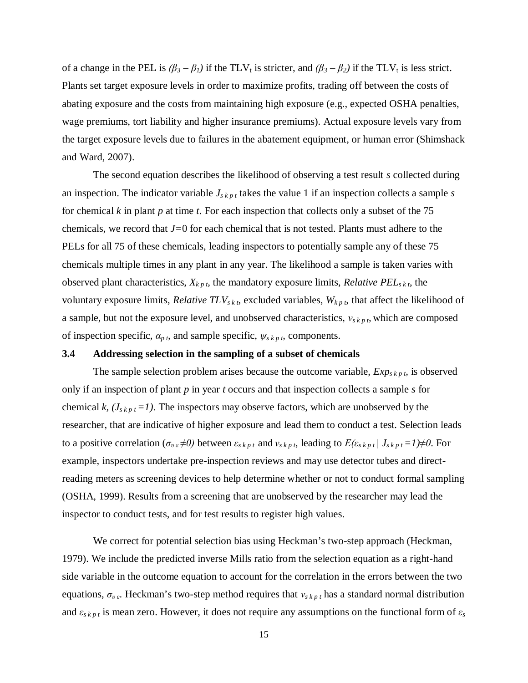of a change in the PEL is  $(\beta_3 - \beta_1)$  if the TLV<sub>t</sub> is stricter, and  $(\beta_3 - \beta_2)$  if the TLV<sub>t</sub> is less strict. Plants set target exposure levels in order to maximize profits, trading off between the costs of abating exposure and the costs from maintaining high exposure (e.g., expected OSHA penalties, wage premiums, tort liability and higher insurance premiums). Actual exposure levels vary from the target exposure levels due to failures in the abatement equipment, or human error (Shimshack and Ward, 2007).

The second equation describes the likelihood of observing a test result *s* collected during an inspection. The indicator variable  $J_{s k p t}$  takes the value 1 if an inspection collects a sample  $s$ for chemical *k* in plant *p* at time *t*. For each inspection that collects only a subset of the 75 chemicals, we record that *J=*0 for each chemical that is not tested. Plants must adhere to the PELs for all 75 of these chemicals, leading inspectors to potentially sample any of these 75 chemicals multiple times in any plant in any year. The likelihood a sample is taken varies with observed plant characteristics,  $X_{k p t}$ , the mandatory exposure limits, *Relative PEL*<sub>*skt*</sub>, the voluntary exposure limits, *Relative*  $TLV_{skt}$ , excluded variables,  $W_{kpt}$ , that affect the likelihood of a sample, but not the exposure level, and unobserved characteristics, *νs k p t,* which are composed of inspection specific,  $a_{p\,t}$ , and sample specific,  $\psi_{s\,k\,p\,t}$ , components.

### **3.4 Addressing selection in the sampling of a subset of chemicals**

The sample selection problem arises because the outcome variable,  $Exp_{s k p t}$  is observed only if an inspection of plant *p* in year *t* occurs and that inspection collects a sample *s* for chemical *k,*  $(J_{s k p t} = I)$ . The inspectors may observe factors, which are unobserved by the researcher, that are indicative of higher exposure and lead them to conduct a test. Selection leads to a positive correlation ( $\sigma_{v\epsilon} \neq 0$ ) between  $\varepsilon_{s\,k p\,t}$  and  $v_{s\,k p\,t}$ , leading to  $E(\varepsilon_{s\,k p\,t}/J_{s\,k p\,t} = I) \neq 0$ . For example, inspectors undertake pre-inspection reviews and may use detector tubes and directreading meters as screening devices to help determine whether or not to conduct formal sampling (OSHA, 1999). Results from a screening that are unobserved by the researcher may lead the inspector to conduct tests, and for test results to register high values.

We correct for potential selection bias using Heckman's two-step approach (Heckman, 1979). We include the predicted inverse Mills ratio from the selection equation as a right-hand side variable in the outcome equation to account for the correlation in the errors between the two equations,  $\sigma_{v\epsilon}$ . Heckman's two-step method requires that  $v_{s\,k p\,t}$  has a standard normal distribution and  $\varepsilon_{s k p t}$  is mean zero. However, it does not require any assumptions on the functional form of  $\varepsilon_s$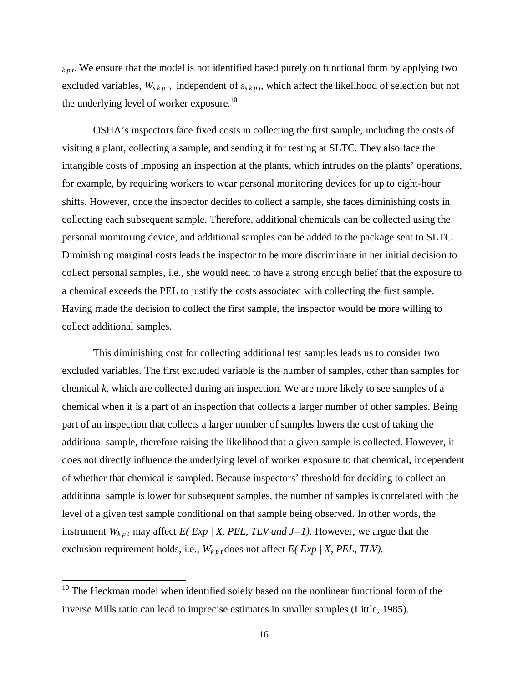*k p t*. We ensure that the model is not identified based purely on functional form by applying two excluded variables,  $W_{s k p t}$ , independent of  $\varepsilon_{s k p t}$ , which affect the likelihood of selection but not the underlying level of worker exposure.<sup>10</sup>

OSHA's inspectors face fixed costs in collecting the first sample, including the costs of visiting a plant, collecting a sample, and sending it for testing at SLTC. They also face the intangible costs of imposing an inspection at the plants, which intrudes on the plants' operations, for example, by requiring workers to wear personal monitoring devices for up to eight-hour shifts. However, once the inspector decides to collect a sample, she faces diminishing costs in collecting each subsequent sample. Therefore, additional chemicals can be collected using the personal monitoring device, and additional samples can be added to the package sent to SLTC. Diminishing marginal costs leads the inspector to be more discriminate in her initial decision to collect personal samples, i.e., she would need to have a strong enough belief that the exposure to a chemical exceeds the PEL to justify the costs associated with collecting the first sample. Having made the decision to collect the first sample, the inspector would be more willing to collect additional samples.

This diminishing cost for collecting additional test samples leads us to consider two excluded variables. The first excluded variable is the number of samples, other than samples for chemical *k*, which are collected during an inspection. We are more likely to see samples of a chemical when it is a part of an inspection that collects a larger number of other samples. Being part of an inspection that collects a larger number of samples lowers the cost of taking the additional sample, therefore raising the likelihood that a given sample is collected. However, it does not directly influence the underlying level of worker exposure to that chemical, independent of whether that chemical is sampled. Because inspectors' threshold for deciding to collect an additional sample is lower for subsequent samples, the number of samples is correlated with the level of a given test sample conditional on that sample being observed. In other words, the instrument  $W_{kpt}$  may affect *E( Exp | X, PEL, TLV and J=1)*. However, we argue that the exclusion requirement holds, i.e.,  $W_{k p t}$  does not affect  $E(Exp / X, PEL, TLV)$ .

 $\overline{\phantom{a}}$ 

 $10$  The Heckman model when identified solely based on the nonlinear functional form of the inverse Mills ratio can lead to imprecise estimates in smaller samples (Little, 1985).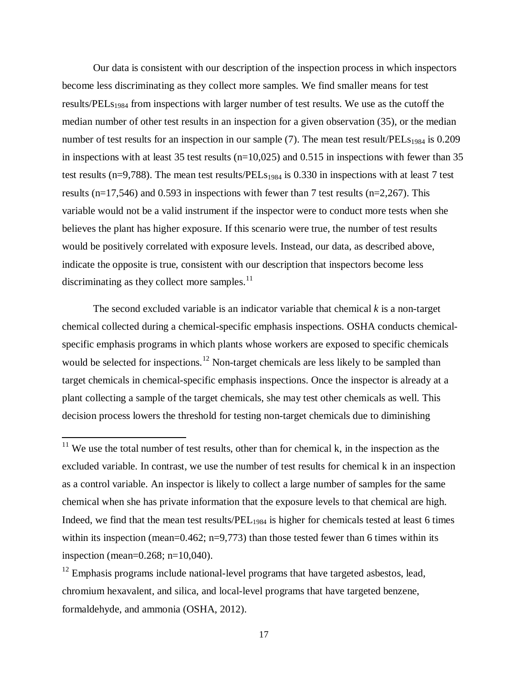Our data is consistent with our description of the inspection process in which inspectors become less discriminating as they collect more samples. We find smaller means for test results/PEL<sub>S1984</sub> from inspections with larger number of test results. We use as the cutoff the median number of other test results in an inspection for a given observation (35), or the median number of test results for an inspection in our sample (7). The mean test result/ $PELs<sub>1984</sub>$  is 0.209 in inspections with at least 35 test results ( $n=10,025$ ) and 0.515 in inspections with fewer than 35 test results (n=9,788). The mean test results/PELs<sub>1984</sub> is 0.330 in inspections with at least 7 test results ( $n=17,546$ ) and 0.593 in inspections with fewer than 7 test results ( $n=2,267$ ). This variable would not be a valid instrument if the inspector were to conduct more tests when she believes the plant has higher exposure. If this scenario were true, the number of test results would be positively correlated with exposure levels. Instead, our data, as described above, indicate the opposite is true, consistent with our description that inspectors become less discriminating as they collect more samples. $11$ 

The second excluded variable is an indicator variable that chemical *k* is a non-target chemical collected during a chemical-specific emphasis inspections. OSHA conducts chemicalspecific emphasis programs in which plants whose workers are exposed to specific chemicals would be selected for inspections.<sup>12</sup> Non-target chemicals are less likely to be sampled than target chemicals in chemical-specific emphasis inspections. Once the inspector is already at a plant collecting a sample of the target chemicals, she may test other chemicals as well. This decision process lowers the threshold for testing non-target chemicals due to diminishing

 $\overline{a}$ 

 $11$  We use the total number of test results, other than for chemical k, in the inspection as the excluded variable. In contrast, we use the number of test results for chemical k in an inspection as a control variable. An inspector is likely to collect a large number of samples for the same chemical when she has private information that the exposure levels to that chemical are high. Indeed, we find that the mean test results/ $PEL_{1984}$  is higher for chemicals tested at least 6 times within its inspection (mean=0.462; n=9,773) than those tested fewer than 6 times within its inspection (mean=0.268; n=10,040).

 $12$  Emphasis programs include national-level programs that have targeted asbestos, lead, chromium hexavalent, and silica, and local-level programs that have targeted benzene, formaldehyde, and ammonia (OSHA, 2012).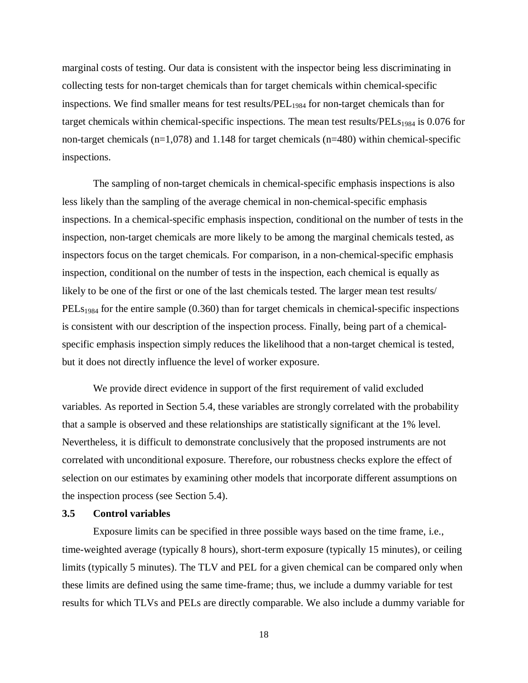marginal costs of testing. Our data is consistent with the inspector being less discriminating in collecting tests for non-target chemicals than for target chemicals within chemical-specific inspections. We find smaller means for test results/ $PEL_{1984}$  for non-target chemicals than for target chemicals within chemical-specific inspections. The mean test results/ $PELs<sub>1984</sub>$  is 0.076 for non-target chemicals (n=1,078) and 1.148 for target chemicals (n=480) within chemical-specific inspections.

The sampling of non-target chemicals in chemical-specific emphasis inspections is also less likely than the sampling of the average chemical in non-chemical-specific emphasis inspections. In a chemical-specific emphasis inspection, conditional on the number of tests in the inspection, non-target chemicals are more likely to be among the marginal chemicals tested, as inspectors focus on the target chemicals. For comparison, in a non-chemical-specific emphasis inspection, conditional on the number of tests in the inspection, each chemical is equally as likely to be one of the first or one of the last chemicals tested. The larger mean test results/  $PELs<sub>1984</sub>$  for the entire sample (0.360) than for target chemicals in chemical-specific inspections is consistent with our description of the inspection process. Finally, being part of a chemicalspecific emphasis inspection simply reduces the likelihood that a non-target chemical is tested, but it does not directly influence the level of worker exposure.

We provide direct evidence in support of the first requirement of valid excluded variables. As reported in Section 5.4, these variables are strongly correlated with the probability that a sample is observed and these relationships are statistically significant at the 1% level. Nevertheless, it is difficult to demonstrate conclusively that the proposed instruments are not correlated with unconditional exposure. Therefore, our robustness checks explore the effect of selection on our estimates by examining other models that incorporate different assumptions on the inspection process (see Section 5.4).

### **3.5 Control variables**

Exposure limits can be specified in three possible ways based on the time frame, i.e., time-weighted average (typically 8 hours), short-term exposure (typically 15 minutes), or ceiling limits (typically 5 minutes). The TLV and PEL for a given chemical can be compared only when these limits are defined using the same time-frame; thus, we include a dummy variable for test results for which TLVs and PELs are directly comparable. We also include a dummy variable for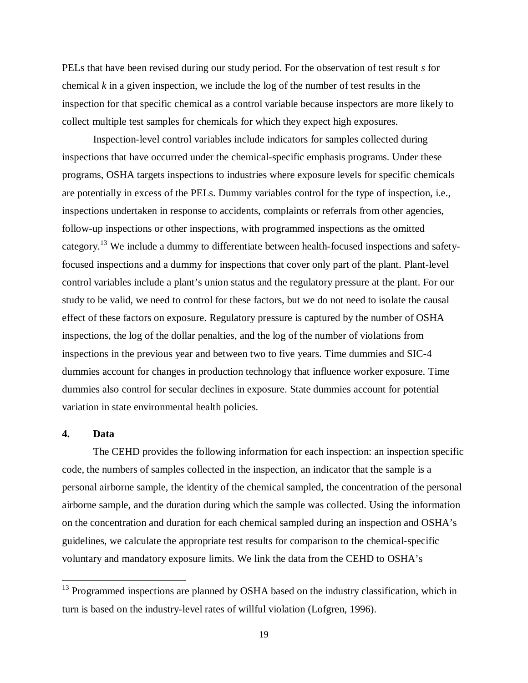PELs that have been revised during our study period. For the observation of test result *s* for chemical *k* in a given inspection, we include the log of the number of test results in the inspection for that specific chemical as a control variable because inspectors are more likely to collect multiple test samples for chemicals for which they expect high exposures.

Inspection-level control variables include indicators for samples collected during inspections that have occurred under the chemical-specific emphasis programs. Under these programs, OSHA targets inspections to industries where exposure levels for specific chemicals are potentially in excess of the PELs. Dummy variables control for the type of inspection, i.e., inspections undertaken in response to accidents, complaints or referrals from other agencies, follow-up inspections or other inspections, with programmed inspections as the omitted category.<sup>13</sup> We include a dummy to differentiate between health-focused inspections and safetyfocused inspections and a dummy for inspections that cover only part of the plant. Plant-level control variables include a plant's union status and the regulatory pressure at the plant. For our study to be valid, we need to control for these factors, but we do not need to isolate the causal effect of these factors on exposure. Regulatory pressure is captured by the number of OSHA inspections, the log of the dollar penalties, and the log of the number of violations from inspections in the previous year and between two to five years. Time dummies and SIC-4 dummies account for changes in production technology that influence worker exposure. Time dummies also control for secular declines in exposure. State dummies account for potential variation in state environmental health policies.

### **4. Data**

 $\overline{\phantom{a}}$ 

The CEHD provides the following information for each inspection: an inspection specific code, the numbers of samples collected in the inspection, an indicator that the sample is a personal airborne sample, the identity of the chemical sampled, the concentration of the personal airborne sample, and the duration during which the sample was collected. Using the information on the concentration and duration for each chemical sampled during an inspection and OSHA's guidelines, we calculate the appropriate test results for comparison to the chemical-specific voluntary and mandatory exposure limits. We link the data from the CEHD to OSHA's

 $13$  Programmed inspections are planned by OSHA based on the industry classification, which in turn is based on the industry-level rates of willful violation (Lofgren, 1996).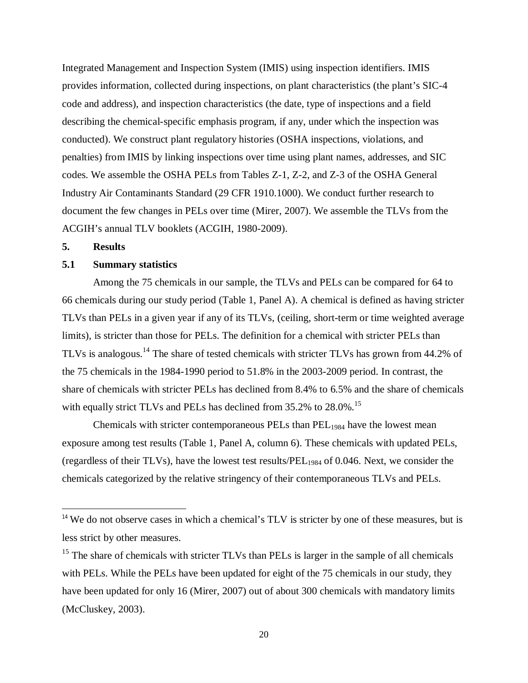Integrated Management and Inspection System (IMIS) using inspection identifiers. IMIS provides information, collected during inspections, on plant characteristics (the plant's SIC-4 code and address), and inspection characteristics (the date, type of inspections and a field describing the chemical-specific emphasis program, if any, under which the inspection was conducted). We construct plant regulatory histories (OSHA inspections, violations, and penalties) from IMIS by linking inspections over time using plant names, addresses, and SIC codes. We assemble the OSHA PELs from Tables Z-1, Z-2, and Z-3 of the OSHA General Industry Air Contaminants Standard (29 CFR 1910.1000). We conduct further research to document the few changes in PELs over time (Mirer, 2007). We assemble the TLVs from the ACGIH's annual TLV booklets (ACGIH, 1980-2009).

### **5. Results**

 $\overline{a}$ 

### **5.1 Summary statistics**

Among the 75 chemicals in our sample, the TLVs and PELs can be compared for 64 to 66 chemicals during our study period (Table 1, Panel A). A chemical is defined as having stricter TLVs than PELs in a given year if any of its TLVs, (ceiling, short-term or time weighted average limits), is stricter than those for PELs. The definition for a chemical with stricter PELs than TLVs is analogous.<sup>14</sup> The share of tested chemicals with stricter TLVs has grown from 44.2% of the 75 chemicals in the 1984-1990 period to 51.8% in the 2003-2009 period. In contrast, the share of chemicals with stricter PELs has declined from 8.4% to 6.5% and the share of chemicals with equally strict TLVs and PELs has declined from 35.2% to 28.0%.<sup>15</sup>

Chemicals with stricter contemporaneous PELs than PEL<sub>1984</sub> have the lowest mean exposure among test results (Table 1, Panel A, column 6). These chemicals with updated PELs, (regardless of their TLVs), have the lowest test results/PEL<sup>1984</sup> of 0.046. Next, we consider the chemicals categorized by the relative stringency of their contemporaneous TLVs and PELs.

<sup>&</sup>lt;sup>14</sup> We do not observe cases in which a chemical's TLV is stricter by one of these measures, but is less strict by other measures.

 $15$  The share of chemicals with stricter TLVs than PELs is larger in the sample of all chemicals with PELs. While the PELs have been updated for eight of the 75 chemicals in our study, they have been updated for only 16 (Mirer, 2007) out of about 300 chemicals with mandatory limits (McCluskey, 2003).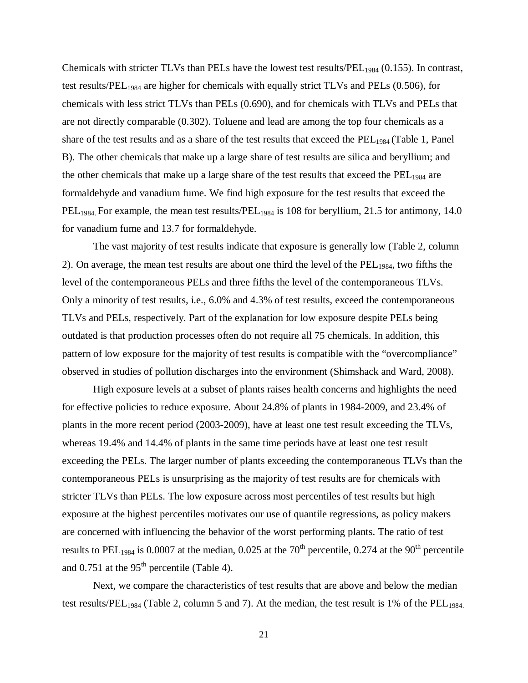Chemicals with stricter TLVs than PELs have the lowest test results/ $PEL<sub>1984</sub>$  (0.155). In contrast, test results/PEL<sup>1984</sup> are higher for chemicals with equally strict TLVs and PELs (0.506), for chemicals with less strict TLVs than PELs (0.690), and for chemicals with TLVs and PELs that are not directly comparable (0.302). Toluene and lead are among the top four chemicals as a share of the test results and as a share of the test results that exceed the PEL<sub>1984</sub> (Table 1, Panel B). The other chemicals that make up a large share of test results are silica and beryllium; and the other chemicals that make up a large share of the test results that exceed the  $PEL<sub>1984</sub>$  are formaldehyde and vanadium fume. We find high exposure for the test results that exceed the  $PEL<sub>1984</sub>$ . For example, the mean test results/ $PEL<sub>1984</sub>$  is 108 for beryllium, 21.5 for antimony, 14.0 for vanadium fume and 13.7 for formaldehyde.

The vast majority of test results indicate that exposure is generally low (Table 2, column 2). On average, the mean test results are about one third the level of the  $PEL<sub>1984</sub>$ , two fifths the level of the contemporaneous PELs and three fifths the level of the contemporaneous TLVs. Only a minority of test results, i.e., 6.0% and 4.3% of test results, exceed the contemporaneous TLVs and PELs, respectively. Part of the explanation for low exposure despite PELs being outdated is that production processes often do not require all 75 chemicals. In addition, this pattern of low exposure for the majority of test results is compatible with the "overcompliance" observed in studies of pollution discharges into the environment (Shimshack and Ward, 2008).

High exposure levels at a subset of plants raises health concerns and highlights the need for effective policies to reduce exposure. About 24.8% of plants in 1984-2009, and 23.4% of plants in the more recent period (2003-2009), have at least one test result exceeding the TLVs, whereas 19.4% and 14.4% of plants in the same time periods have at least one test result exceeding the PELs. The larger number of plants exceeding the contemporaneous TLVs than the contemporaneous PELs is unsurprising as the majority of test results are for chemicals with stricter TLVs than PELs. The low exposure across most percentiles of test results but high exposure at the highest percentiles motivates our use of quantile regressions, as policy makers are concerned with influencing the behavior of the worst performing plants. The ratio of test results to PEL<sub>1984</sub> is 0.0007 at the median, 0.025 at the 70<sup>th</sup> percentile, 0.274 at the 90<sup>th</sup> percentile and  $0.751$  at the 95<sup>th</sup> percentile (Table 4).

Next, we compare the characteristics of test results that are above and below the median test results/PEL<sub>1984</sub> (Table 2, column 5 and 7). At the median, the test result is 1% of the PEL<sub>1984.</sub>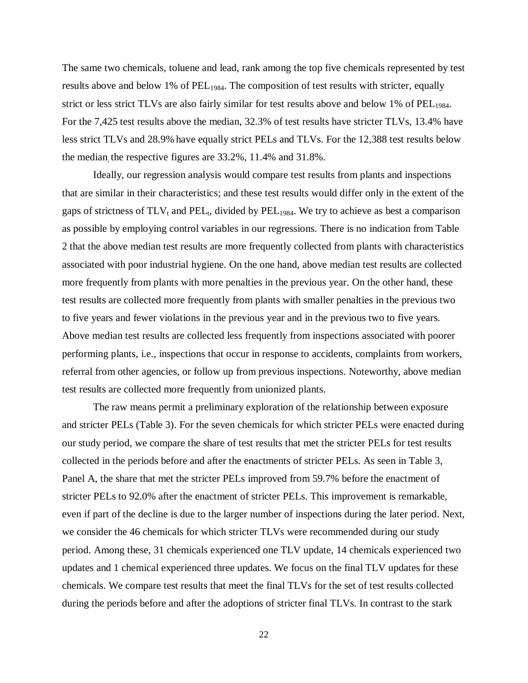The same two chemicals, toluene and lead, rank among the top five chemicals represented by test results above and below 1% of  $PEL<sub>1984</sub>$ . The composition of test results with stricter, equally strict or less strict TLVs are also fairly similar for test results above and below 1% of PEL<sub>1984</sub>. For the 7,425 test results above the median, 32.3% of test results have stricter TLVs, 13.4% have less strict TLVs and 28.9% have equally strict PELs and TLVs. For the 12,388 test results below the median, the respective figures are 33.2%, 11.4% and 31.8%.

Ideally, our regression analysis would compare test results from plants and inspections that are similar in their characteristics; and these test results would differ only in the extent of the gaps of strictness of  $TLV_t$  and  $PEL_t$ , divided by  $PEL_{1984}$ . We try to achieve as best a comparison as possible by employing control variables in our regressions. There is no indication from Table 2 that the above median test results are more frequently collected from plants with characteristics associated with poor industrial hygiene. On the one hand, above median test results are collected more frequently from plants with more penalties in the previous year. On the other hand, these test results are collected more frequently from plants with smaller penalties in the previous two to five years and fewer violations in the previous year and in the previous two to five years. Above median test results are collected less frequently from inspections associated with poorer performing plants, i.e., inspections that occur in response to accidents, complaints from workers, referral from other agencies, or follow up from previous inspections. Noteworthy, above median test results are collected more frequently from unionized plants.

The raw means permit a preliminary exploration of the relationship between exposure and stricter PELs (Table 3). For the seven chemicals for which stricter PELs were enacted during our study period, we compare the share of test results that met the stricter PELs for test results collected in the periods before and after the enactments of stricter PELs. As seen in Table 3, Panel A, the share that met the stricter PELs improved from 59.7% before the enactment of stricter PELs to 92.0% after the enactment of stricter PELs. This improvement is remarkable, even if part of the decline is due to the larger number of inspections during the later period. Next, we consider the 46 chemicals for which stricter TLVs were recommended during our study period. Among these, 31 chemicals experienced one TLV update, 14 chemicals experienced two updates and 1 chemical experienced three updates. We focus on the final TLV updates for these chemicals. We compare test results that meet the final TLVs for the set of test results collected during the periods before and after the adoptions of stricter final TLVs. In contrast to the stark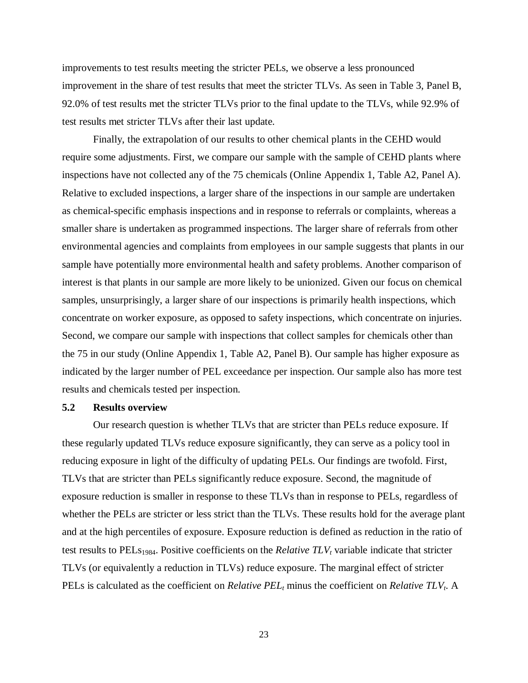improvements to test results meeting the stricter PELs, we observe a less pronounced improvement in the share of test results that meet the stricter TLVs. As seen in Table 3, Panel B, 92.0% of test results met the stricter TLVs prior to the final update to the TLVs, while 92.9% of test results met stricter TLVs after their last update.

Finally, the extrapolation of our results to other chemical plants in the CEHD would require some adjustments. First, we compare our sample with the sample of CEHD plants where inspections have not collected any of the 75 chemicals (Online Appendix 1, Table A2, Panel A). Relative to excluded inspections, a larger share of the inspections in our sample are undertaken as chemical-specific emphasis inspections and in response to referrals or complaints, whereas a smaller share is undertaken as programmed inspections. The larger share of referrals from other environmental agencies and complaints from employees in our sample suggests that plants in our sample have potentially more environmental health and safety problems. Another comparison of interest is that plants in our sample are more likely to be unionized. Given our focus on chemical samples, unsurprisingly, a larger share of our inspections is primarily health inspections, which concentrate on worker exposure, as opposed to safety inspections, which concentrate on injuries. Second, we compare our sample with inspections that collect samples for chemicals other than the 75 in our study (Online Appendix 1, Table A2, Panel B). Our sample has higher exposure as indicated by the larger number of PEL exceedance per inspection. Our sample also has more test results and chemicals tested per inspection.

#### **5.2 Results overview**

Our research question is whether TLVs that are stricter than PELs reduce exposure. If these regularly updated TLVs reduce exposure significantly, they can serve as a policy tool in reducing exposure in light of the difficulty of updating PELs. Our findings are twofold. First, TLVs that are stricter than PELs significantly reduce exposure. Second, the magnitude of exposure reduction is smaller in response to these TLVs than in response to PELs, regardless of whether the PELs are stricter or less strict than the TLVs. These results hold for the average plant and at the high percentiles of exposure. Exposure reduction is defined as reduction in the ratio of test results to PELs1984. Positive coefficients on the *Relative TLV<sup>t</sup>* variable indicate that stricter TLVs (or equivalently a reduction in TLVs) reduce exposure. The marginal effect of stricter PELs is calculated as the coefficient on *Relative PEL<sup>t</sup>* minus the coefficient on *Relative TLVt*. A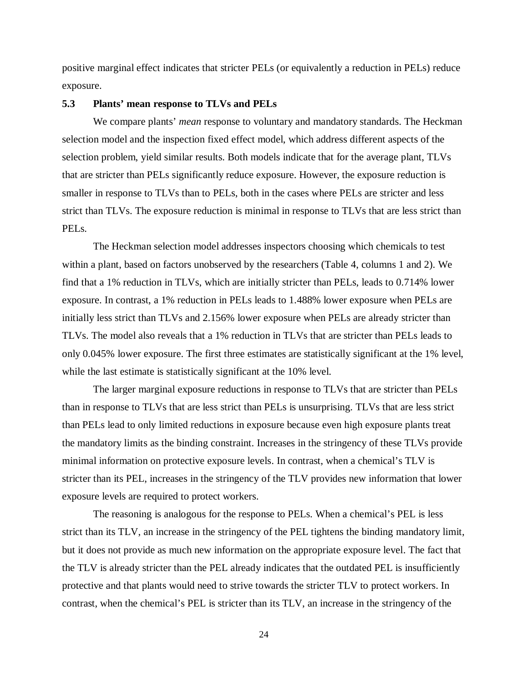positive marginal effect indicates that stricter PELs (or equivalently a reduction in PELs) reduce exposure.

### **5.3 Plants' mean response to TLVs and PELs**

We compare plants' *mean* response to voluntary and mandatory standards. The Heckman selection model and the inspection fixed effect model, which address different aspects of the selection problem, yield similar results. Both models indicate that for the average plant, TLVs that are stricter than PELs significantly reduce exposure. However, the exposure reduction is smaller in response to TLVs than to PELs, both in the cases where PELs are stricter and less strict than TLVs. The exposure reduction is minimal in response to TLVs that are less strict than PELs.

The Heckman selection model addresses inspectors choosing which chemicals to test within a plant, based on factors unobserved by the researchers (Table 4, columns 1 and 2). We find that a 1% reduction in TLVs, which are initially stricter than PELs, leads to 0.714% lower exposure. In contrast, a 1% reduction in PELs leads to 1.488% lower exposure when PELs are initially less strict than TLVs and 2.156% lower exposure when PELs are already stricter than TLVs. The model also reveals that a 1% reduction in TLVs that are stricter than PELs leads to only 0.045% lower exposure. The first three estimates are statistically significant at the 1% level, while the last estimate is statistically significant at the 10% level.

The larger marginal exposure reductions in response to TLVs that are stricter than PELs than in response to TLVs that are less strict than PELs is unsurprising. TLVs that are less strict than PELs lead to only limited reductions in exposure because even high exposure plants treat the mandatory limits as the binding constraint. Increases in the stringency of these TLVs provide minimal information on protective exposure levels. In contrast, when a chemical's TLV is stricter than its PEL, increases in the stringency of the TLV provides new information that lower exposure levels are required to protect workers.

The reasoning is analogous for the response to PELs. When a chemical's PEL is less strict than its TLV, an increase in the stringency of the PEL tightens the binding mandatory limit, but it does not provide as much new information on the appropriate exposure level. The fact that the TLV is already stricter than the PEL already indicates that the outdated PEL is insufficiently protective and that plants would need to strive towards the stricter TLV to protect workers. In contrast, when the chemical's PEL is stricter than its TLV, an increase in the stringency of the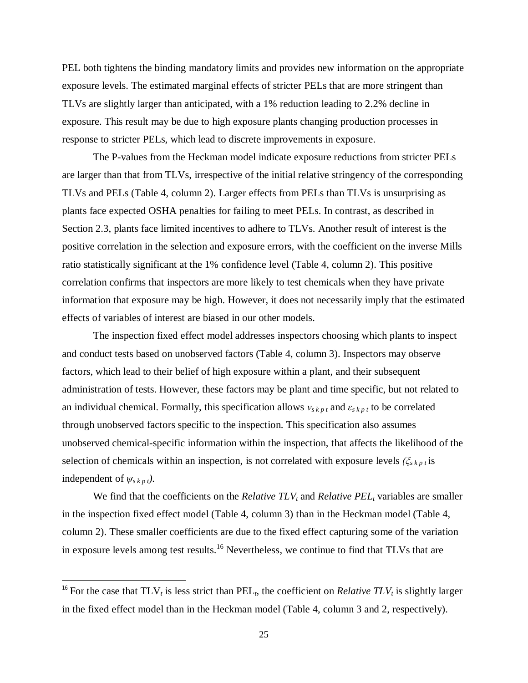PEL both tightens the binding mandatory limits and provides new information on the appropriate exposure levels. The estimated marginal effects of stricter PELs that are more stringent than TLVs are slightly larger than anticipated, with a 1% reduction leading to 2.2% decline in exposure. This result may be due to high exposure plants changing production processes in response to stricter PELs, which lead to discrete improvements in exposure.

The P-values from the Heckman model indicate exposure reductions from stricter PELs are larger than that from TLVs, irrespective of the initial relative stringency of the corresponding TLVs and PELs (Table 4, column 2). Larger effects from PELs than TLVs is unsurprising as plants face expected OSHA penalties for failing to meet PELs. In contrast, as described in Section 2.3, plants face limited incentives to adhere to TLVs. Another result of interest is the positive correlation in the selection and exposure errors, with the coefficient on the inverse Mills ratio statistically significant at the 1% confidence level (Table 4, column 2). This positive correlation confirms that inspectors are more likely to test chemicals when they have private information that exposure may be high. However, it does not necessarily imply that the estimated effects of variables of interest are biased in our other models.

The inspection fixed effect model addresses inspectors choosing which plants to inspect and conduct tests based on unobserved factors (Table 4, column 3). Inspectors may observe factors, which lead to their belief of high exposure within a plant, and their subsequent administration of tests. However, these factors may be plant and time specific, but not related to an individual chemical. Formally, this specification allows  $v_{s k p t}$  and  $\varepsilon_{s k p t}$  to be correlated through unobserved factors specific to the inspection. This specification also assumes unobserved chemical-specific information within the inspection, that affects the likelihood of the selection of chemicals within an inspection, is not correlated with exposure levels  $(\xi_{s k p t}$  is independent of  $\psi_{s\, k\, p\, t}$ ).

We find that the coefficients on the *Relative TLV<sup>t</sup>* and *Relative PEL<sup>t</sup>* variables are smaller in the inspection fixed effect model (Table 4, column 3) than in the Heckman model (Table 4, column 2). These smaller coefficients are due to the fixed effect capturing some of the variation in exposure levels among test results.<sup>16</sup> Nevertheless, we continue to find that TLVs that are

 $\overline{a}$ 

<sup>&</sup>lt;sup>16</sup> For the case that  $TLV_t$  is less strict than  $PEL_t$ , the coefficient on *Relative TLV<sub>t</sub>* is slightly larger in the fixed effect model than in the Heckman model (Table 4, column 3 and 2, respectively).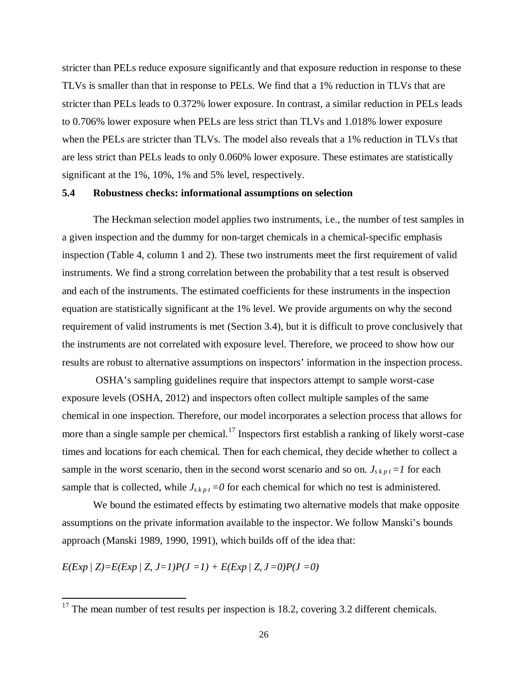stricter than PELs reduce exposure significantly and that exposure reduction in response to these TLVs is smaller than that in response to PELs. We find that a 1% reduction in TLVs that are stricter than PELs leads to 0.372% lower exposure. In contrast, a similar reduction in PELs leads to 0.706% lower exposure when PELs are less strict than TLVs and 1.018% lower exposure when the PELs are stricter than TLVs. The model also reveals that a 1% reduction in TLVs that are less strict than PELs leads to only 0.060% lower exposure. These estimates are statistically significant at the 1%, 10%, 1% and 5% level, respectively.

#### **5.4 Robustness checks: informational assumptions on selection**

The Heckman selection model applies two instruments, i.e., the number of test samples in a given inspection and the dummy for non-target chemicals in a chemical-specific emphasis inspection (Table 4, column 1 and 2). These two instruments meet the first requirement of valid instruments. We find a strong correlation between the probability that a test result is observed and each of the instruments. The estimated coefficients for these instruments in the inspection equation are statistically significant at the 1% level. We provide arguments on why the second requirement of valid instruments is met (Section 3.4), but it is difficult to prove conclusively that the instruments are not correlated with exposure level. Therefore, we proceed to show how our results are robust to alternative assumptions on inspectors' information in the inspection process.

OSHA's sampling guidelines require that inspectors attempt to sample worst-case exposure levels (OSHA, 2012) and inspectors often collect multiple samples of the same chemical in one inspection. Therefore, our model incorporates a selection process that allows for more than a single sample per chemical.<sup>17</sup> Inspectors first establish a ranking of likely worst-case times and locations for each chemical. Then for each chemical, they decide whether to collect a sample in the worst scenario, then in the second worst scenario and so on.  $J_{s k p t} = I$  for each sample that is collected, while  $J_{s k p t} = 0$  for each chemical for which no test is administered.

We bound the estimated effects by estimating two alternative models that make opposite assumptions on the private information available to the inspector. We follow Manski's bounds approach (Manski 1989, 1990, 1991), which builds off of the idea that:

 $E(Exp | Z) = E(Exp | Z, J=1)P(J=1) + E(Exp | Z, J=0)P(J=0)$ 

 $\overline{\phantom{a}}$ 

 $17$  The mean number of test results per inspection is 18.2, covering 3.2 different chemicals.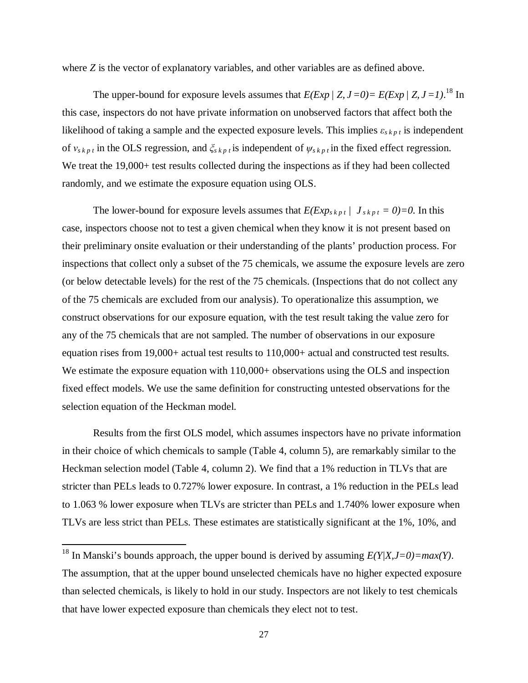where *Z* is the vector of explanatory variables, and other variables are as defined above.

The upper-bound for exposure levels assumes that  $E(Exp / Z, J=0) = E(Exp / Z, J=1)$ .<sup>18</sup> In this case, inspectors do not have private information on unobserved factors that affect both the likelihood of taking a sample and the expected exposure levels. This implies *εs k p t* is independent of  $v_{s k p t}$  in the OLS regression, and  $\zeta_{s k p t}$  is independent of  $\psi_{s k p t}$  in the fixed effect regression. We treat the 19,000+ test results collected during the inspections as if they had been collected randomly, and we estimate the exposure equation using OLS.

The lower-bound for exposure levels assumes that  $E(Exp_{skpt} / J_{skpt} = 0) = 0$ . In this case, inspectors choose not to test a given chemical when they know it is not present based on their preliminary onsite evaluation or their understanding of the plants' production process. For inspections that collect only a subset of the 75 chemicals, we assume the exposure levels are zero (or below detectable levels) for the rest of the 75 chemicals. (Inspections that do not collect any of the 75 chemicals are excluded from our analysis). To operationalize this assumption, we construct observations for our exposure equation, with the test result taking the value zero for any of the 75 chemicals that are not sampled. The number of observations in our exposure equation rises from 19,000+ actual test results to 110,000+ actual and constructed test results. We estimate the exposure equation with 110,000+ observations using the OLS and inspection fixed effect models. We use the same definition for constructing untested observations for the selection equation of the Heckman model.

Results from the first OLS model, which assumes inspectors have no private information in their choice of which chemicals to sample (Table 4, column 5), are remarkably similar to the Heckman selection model (Table 4, column 2). We find that a 1% reduction in TLVs that are stricter than PELs leads to 0.727% lower exposure. In contrast, a 1% reduction in the PELs lead to 1.063 % lower exposure when TLVs are stricter than PELs and 1.740% lower exposure when TLVs are less strict than PELs. These estimates are statistically significant at the 1%, 10%, and

 $\overline{a}$ 

<sup>&</sup>lt;sup>18</sup> In Manski's bounds approach, the upper bound is derived by assuming  $E(Y|X,J=0) = max(Y)$ . The assumption, that at the upper bound unselected chemicals have no higher expected exposure than selected chemicals, is likely to hold in our study. Inspectors are not likely to test chemicals that have lower expected exposure than chemicals they elect not to test.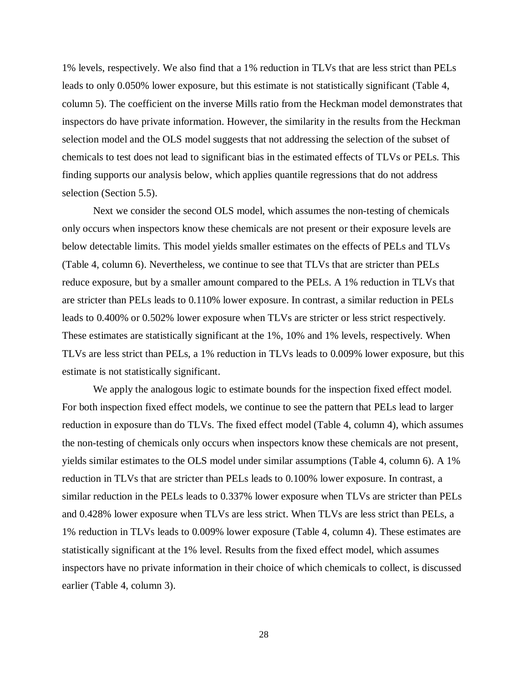1% levels, respectively. We also find that a 1% reduction in TLVs that are less strict than PELs leads to only 0.050% lower exposure, but this estimate is not statistically significant (Table 4, column 5). The coefficient on the inverse Mills ratio from the Heckman model demonstrates that inspectors do have private information. However, the similarity in the results from the Heckman selection model and the OLS model suggests that not addressing the selection of the subset of chemicals to test does not lead to significant bias in the estimated effects of TLVs or PELs. This finding supports our analysis below, which applies quantile regressions that do not address selection (Section 5.5).

Next we consider the second OLS model, which assumes the non-testing of chemicals only occurs when inspectors know these chemicals are not present or their exposure levels are below detectable limits. This model yields smaller estimates on the effects of PELs and TLVs (Table 4, column 6). Nevertheless, we continue to see that TLVs that are stricter than PELs reduce exposure, but by a smaller amount compared to the PELs. A 1% reduction in TLVs that are stricter than PELs leads to 0.110% lower exposure. In contrast, a similar reduction in PELs leads to 0.400% or 0.502% lower exposure when TLVs are stricter or less strict respectively. These estimates are statistically significant at the 1%, 10% and 1% levels, respectively. When TLVs are less strict than PELs, a 1% reduction in TLVs leads to 0.009% lower exposure, but this estimate is not statistically significant.

We apply the analogous logic to estimate bounds for the inspection fixed effect model. For both inspection fixed effect models, we continue to see the pattern that PELs lead to larger reduction in exposure than do TLVs. The fixed effect model (Table 4, column 4), which assumes the non-testing of chemicals only occurs when inspectors know these chemicals are not present, yields similar estimates to the OLS model under similar assumptions (Table 4, column 6). A 1% reduction in TLVs that are stricter than PELs leads to 0.100% lower exposure. In contrast, a similar reduction in the PELs leads to 0.337% lower exposure when TLVs are stricter than PELs and 0.428% lower exposure when TLVs are less strict. When TLVs are less strict than PELs, a 1% reduction in TLVs leads to 0.009% lower exposure (Table 4, column 4). These estimates are statistically significant at the 1% level. Results from the fixed effect model, which assumes inspectors have no private information in their choice of which chemicals to collect, is discussed earlier (Table 4, column 3).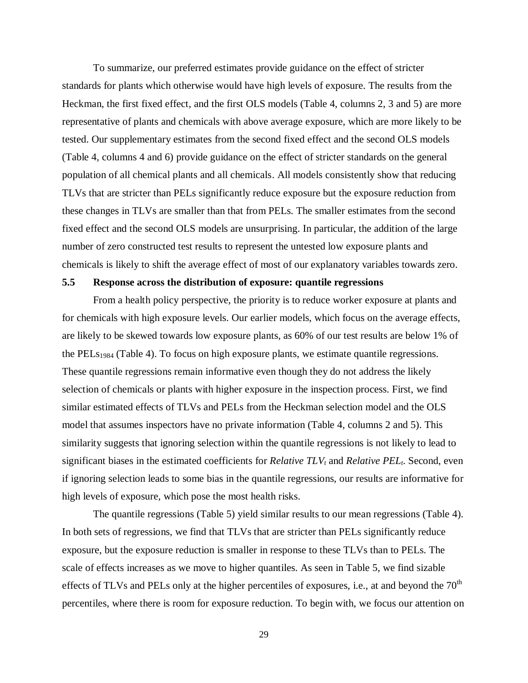To summarize, our preferred estimates provide guidance on the effect of stricter standards for plants which otherwise would have high levels of exposure. The results from the Heckman, the first fixed effect, and the first OLS models (Table 4, columns 2, 3 and 5) are more representative of plants and chemicals with above average exposure, which are more likely to be tested. Our supplementary estimates from the second fixed effect and the second OLS models (Table 4, columns 4 and 6) provide guidance on the effect of stricter standards on the general population of all chemical plants and all chemicals. All models consistently show that reducing TLVs that are stricter than PELs significantly reduce exposure but the exposure reduction from these changes in TLVs are smaller than that from PELs. The smaller estimates from the second fixed effect and the second OLS models are unsurprising. In particular, the addition of the large number of zero constructed test results to represent the untested low exposure plants and chemicals is likely to shift the average effect of most of our explanatory variables towards zero.

### **5.5 Response across the distribution of exposure: quantile regressions**

From a health policy perspective, the priority is to reduce worker exposure at plants and for chemicals with high exposure levels. Our earlier models, which focus on the average effects, are likely to be skewed towards low exposure plants, as 60% of our test results are below 1% of the PELs<sub>1984</sub> (Table 4). To focus on high exposure plants, we estimate quantile regressions. These quantile regressions remain informative even though they do not address the likely selection of chemicals or plants with higher exposure in the inspection process. First, we find similar estimated effects of TLVs and PELs from the Heckman selection model and the OLS model that assumes inspectors have no private information (Table 4, columns 2 and 5). This similarity suggests that ignoring selection within the quantile regressions is not likely to lead to significant biases in the estimated coefficients for *Relative TLV<sup>t</sup>* and *Relative PELt*. Second, even if ignoring selection leads to some bias in the quantile regressions, our results are informative for high levels of exposure, which pose the most health risks.

The quantile regressions (Table 5) yield similar results to our mean regressions (Table 4). In both sets of regressions, we find that TLVs that are stricter than PELs significantly reduce exposure, but the exposure reduction is smaller in response to these TLVs than to PELs. The scale of effects increases as we move to higher quantiles. As seen in Table 5, we find sizable effects of TLVs and PELs only at the higher percentiles of exposures, i.e., at and beyond the  $70<sup>th</sup>$ percentiles, where there is room for exposure reduction. To begin with, we focus our attention on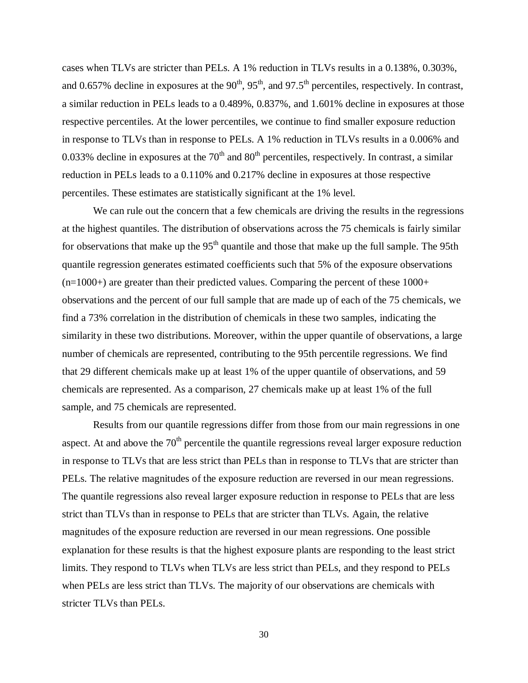cases when TLVs are stricter than PELs. A 1% reduction in TLVs results in a 0.138%, 0.303%, and 0.657% decline in exposures at the  $90^{th}$ ,  $95^{th}$ , and  $97.5^{th}$  percentiles, respectively. In contrast, a similar reduction in PELs leads to a 0.489%, 0.837%, and 1.601% decline in exposures at those respective percentiles. At the lower percentiles, we continue to find smaller exposure reduction in response to TLVs than in response to PELs. A 1% reduction in TLVs results in a 0.006% and 0.033% decline in exposures at the  $70<sup>th</sup>$  and  $80<sup>th</sup>$  percentiles, respectively. In contrast, a similar reduction in PELs leads to a 0.110% and 0.217% decline in exposures at those respective percentiles. These estimates are statistically significant at the 1% level.

We can rule out the concern that a few chemicals are driving the results in the regressions at the highest quantiles. The distribution of observations across the 75 chemicals is fairly similar for observations that make up the  $95<sup>th</sup>$  quantile and those that make up the full sample. The 95th quantile regression generates estimated coefficients such that 5% of the exposure observations  $(n=1000+)$  are greater than their predicted values. Comparing the percent of these  $1000+$ observations and the percent of our full sample that are made up of each of the 75 chemicals, we find a 73% correlation in the distribution of chemicals in these two samples, indicating the similarity in these two distributions. Moreover, within the upper quantile of observations, a large number of chemicals are represented, contributing to the 95th percentile regressions. We find that 29 different chemicals make up at least 1% of the upper quantile of observations, and 59 chemicals are represented. As a comparison, 27 chemicals make up at least 1% of the full sample, and 75 chemicals are represented.

Results from our quantile regressions differ from those from our main regressions in one aspect. At and above the  $70<sup>th</sup>$  percentile the quantile regressions reveal larger exposure reduction in response to TLVs that are less strict than PELs than in response to TLVs that are stricter than PELs. The relative magnitudes of the exposure reduction are reversed in our mean regressions. The quantile regressions also reveal larger exposure reduction in response to PELs that are less strict than TLVs than in response to PELs that are stricter than TLVs. Again, the relative magnitudes of the exposure reduction are reversed in our mean regressions. One possible explanation for these results is that the highest exposure plants are responding to the least strict limits. They respond to TLVs when TLVs are less strict than PELs, and they respond to PELs when PELs are less strict than TLVs. The majority of our observations are chemicals with stricter TLVs than PELs.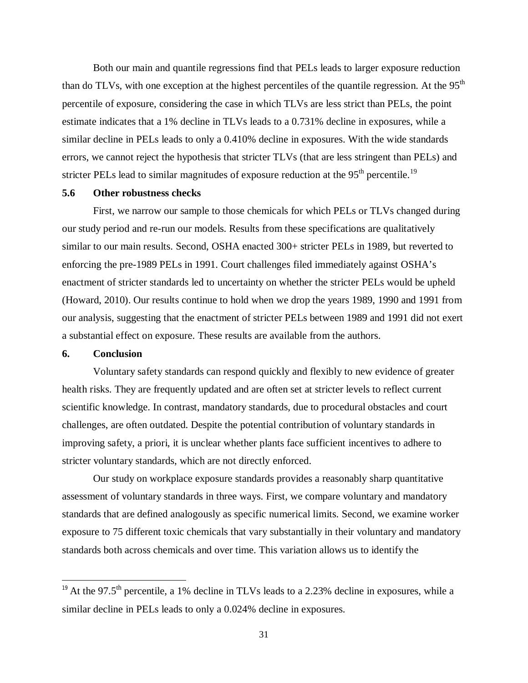Both our main and quantile regressions find that PELs leads to larger exposure reduction than do TLVs, with one exception at the highest percentiles of the quantile regression. At the  $95<sup>th</sup>$ percentile of exposure, considering the case in which TLVs are less strict than PELs, the point estimate indicates that a 1% decline in TLVs leads to a 0.731% decline in exposures, while a similar decline in PELs leads to only a 0.410% decline in exposures. With the wide standards errors, we cannot reject the hypothesis that stricter TLVs (that are less stringent than PELs) and stricter PELs lead to similar magnitudes of exposure reduction at the  $95<sup>th</sup>$  percentile.<sup>19</sup>

#### **5.6 Other robustness checks**

First, we narrow our sample to those chemicals for which PELs or TLVs changed during our study period and re-run our models. Results from these specifications are qualitatively similar to our main results. Second, OSHA enacted 300+ stricter PELs in 1989, but reverted to enforcing the pre-1989 PELs in 1991. Court challenges filed immediately against OSHA's enactment of stricter standards led to uncertainty on whether the stricter PELs would be upheld (Howard, 2010). Our results continue to hold when we drop the years 1989, 1990 and 1991 from our analysis, suggesting that the enactment of stricter PELs between 1989 and 1991 did not exert a substantial effect on exposure. These results are available from the authors.

### **6. Conclusion**

 $\overline{a}$ 

Voluntary safety standards can respond quickly and flexibly to new evidence of greater health risks. They are frequently updated and are often set at stricter levels to reflect current scientific knowledge. In contrast, mandatory standards, due to procedural obstacles and court challenges, are often outdated. Despite the potential contribution of voluntary standards in improving safety, a priori, it is unclear whether plants face sufficient incentives to adhere to stricter voluntary standards, which are not directly enforced.

Our study on workplace exposure standards provides a reasonably sharp quantitative assessment of voluntary standards in three ways. First, we compare voluntary and mandatory standards that are defined analogously as specific numerical limits. Second, we examine worker exposure to 75 different toxic chemicals that vary substantially in their voluntary and mandatory standards both across chemicals and over time. This variation allows us to identify the

<sup>&</sup>lt;sup>19</sup> At the 97.5<sup>th</sup> percentile, a 1% decline in TLVs leads to a 2.23% decline in exposures, while a similar decline in PELs leads to only a 0.024% decline in exposures.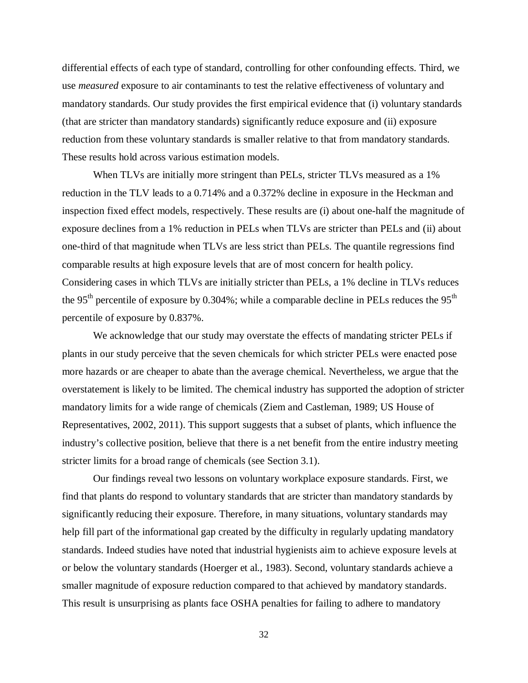differential effects of each type of standard, controlling for other confounding effects. Third, we use *measured* exposure to air contaminants to test the relative effectiveness of voluntary and mandatory standards. Our study provides the first empirical evidence that (i) voluntary standards (that are stricter than mandatory standards) significantly reduce exposure and (ii) exposure reduction from these voluntary standards is smaller relative to that from mandatory standards. These results hold across various estimation models.

When TLVs are initially more stringent than PELs, stricter TLVs measured as a 1% reduction in the TLV leads to a 0.714% and a 0.372% decline in exposure in the Heckman and inspection fixed effect models, respectively. These results are (i) about one-half the magnitude of exposure declines from a 1% reduction in PELs when TLVs are stricter than PELs and (ii) about one-third of that magnitude when TLVs are less strict than PELs. The quantile regressions find comparable results at high exposure levels that are of most concern for health policy. Considering cases in which TLVs are initially stricter than PELs, a 1% decline in TLVs reduces the 95<sup>th</sup> percentile of exposure by 0.304%; while a comparable decline in PELs reduces the 95<sup>th</sup> percentile of exposure by 0.837%.

We acknowledge that our study may overstate the effects of mandating stricter PELs if plants in our study perceive that the seven chemicals for which stricter PELs were enacted pose more hazards or are cheaper to abate than the average chemical. Nevertheless, we argue that the overstatement is likely to be limited. The chemical industry has supported the adoption of stricter mandatory limits for a wide range of chemicals (Ziem and Castleman, 1989; US House of Representatives, 2002, 2011). This support suggests that a subset of plants, which influence the industry's collective position, believe that there is a net benefit from the entire industry meeting stricter limits for a broad range of chemicals (see Section 3.1).

Our findings reveal two lessons on voluntary workplace exposure standards. First, we find that plants do respond to voluntary standards that are stricter than mandatory standards by significantly reducing their exposure. Therefore, in many situations, voluntary standards may help fill part of the informational gap created by the difficulty in regularly updating mandatory standards. Indeed studies have noted that industrial hygienists aim to achieve exposure levels at or below the voluntary standards (Hoerger et al., 1983). Second, voluntary standards achieve a smaller magnitude of exposure reduction compared to that achieved by mandatory standards. This result is unsurprising as plants face OSHA penalties for failing to adhere to mandatory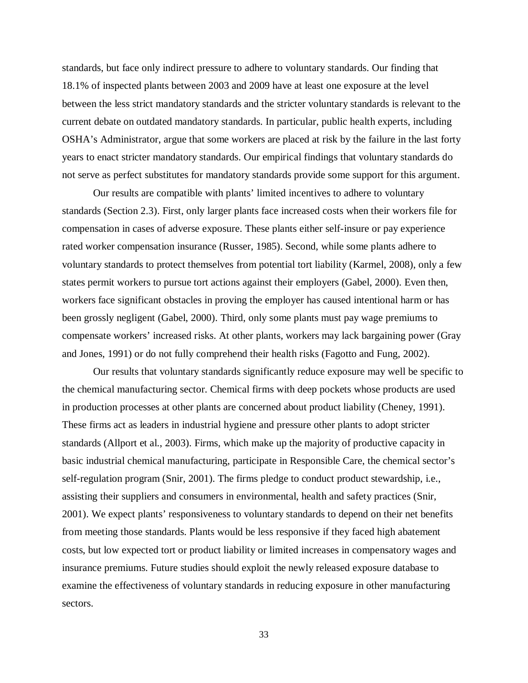standards, but face only indirect pressure to adhere to voluntary standards. Our finding that 18.1% of inspected plants between 2003 and 2009 have at least one exposure at the level between the less strict mandatory standards and the stricter voluntary standards is relevant to the current debate on outdated mandatory standards. In particular, public health experts, including OSHA's Administrator, argue that some workers are placed at risk by the failure in the last forty years to enact stricter mandatory standards. Our empirical findings that voluntary standards do not serve as perfect substitutes for mandatory standards provide some support for this argument.

Our results are compatible with plants' limited incentives to adhere to voluntary standards (Section 2.3). First, only larger plants face increased costs when their workers file for compensation in cases of adverse exposure. These plants either self-insure or pay experience rated worker compensation insurance (Russer, 1985). Second, while some plants adhere to voluntary standards to protect themselves from potential tort liability (Karmel, 2008), only a few states permit workers to pursue tort actions against their employers (Gabel, 2000). Even then, workers face significant obstacles in proving the employer has caused intentional harm or has been grossly negligent (Gabel, 2000). Third, only some plants must pay wage premiums to compensate workers' increased risks. At other plants, workers may lack bargaining power (Gray and Jones, 1991) or do not fully comprehend their health risks (Fagotto and Fung, 2002).

Our results that voluntary standards significantly reduce exposure may well be specific to the chemical manufacturing sector. Chemical firms with deep pockets whose products are used in production processes at other plants are concerned about product liability (Cheney, 1991). These firms act as leaders in industrial hygiene and pressure other plants to adopt stricter standards (Allport et al., 2003). Firms, which make up the majority of productive capacity in basic industrial chemical manufacturing, participate in Responsible Care, the chemical sector's self-regulation program (Snir, 2001). The firms pledge to conduct product stewardship, i.e., assisting their suppliers and consumers in environmental, health and safety practices (Snir, 2001). We expect plants' responsiveness to voluntary standards to depend on their net benefits from meeting those standards. Plants would be less responsive if they faced high abatement costs, but low expected tort or product liability or limited increases in compensatory wages and insurance premiums. Future studies should exploit the newly released exposure database to examine the effectiveness of voluntary standards in reducing exposure in other manufacturing sectors.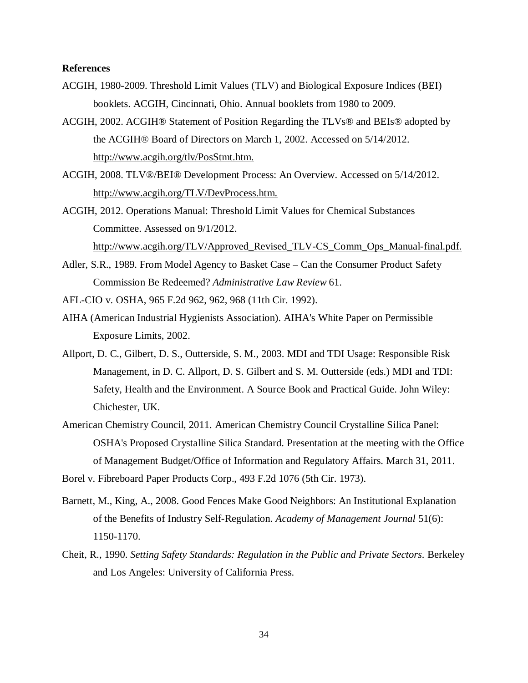### **References**

- ACGIH, 1980-2009. Threshold Limit Values (TLV) and Biological Exposure Indices (BEI) booklets. ACGIH, Cincinnati, Ohio. Annual booklets from 1980 to 2009.
- ACGIH, 2002. ACGIH® Statement of Position Regarding the TLVs® and BEIs® adopted by the ACGIH® Board of Directors on March 1, 2002. Accessed on 5/14/2012. http://www.acgih.org/tlv/PosStmt.htm.
- ACGIH, 2008. TLV®/BEI® Development Process: An Overview. Accessed on 5/14/2012. http://www.acgih.org/TLV/DevProcess.htm.
- ACGIH, 2012. Operations Manual: Threshold Limit Values for Chemical Substances Committee. Assessed on 9/1/2012. http://www.acgih.org/TLV/Approved\_Revised\_TLV-CS\_Comm\_Ops\_Manual-final.pdf.
- Adler, S.R., 1989. From Model Agency to Basket Case Can the Consumer Product Safety Commission Be Redeemed? *Administrative Law Review* 61.
- AFL-CIO v. OSHA, 965 F.2d 962, 962, 968 (11th Cir. 1992).
- AIHA (American Industrial Hygienists Association). AIHA's White Paper on Permissible Exposure Limits, 2002.
- Allport, D. C., Gilbert, D. S., Outterside, S. M., 2003. MDI and TDI Usage: Responsible Risk Management, in D. C. Allport, D. S. Gilbert and S. M. Outterside (eds.) MDI and TDI: Safety, Health and the Environment. A Source Book and Practical Guide. John Wiley: Chichester, UK.
- American Chemistry Council, 2011. American Chemistry Council Crystalline Silica Panel: OSHA's Proposed Crystalline Silica Standard. Presentation at the meeting with the Office of Management Budget/Office of Information and Regulatory Affairs. March 31, 2011.
- Borel v. Fibreboard Paper Products Corp., 493 F.2d 1076 (5th Cir. 1973).
- Barnett, M., King, A., 2008. Good Fences Make Good Neighbors: An Institutional Explanation of the Benefits of Industry Self-Regulation. *Academy of Management Journal* 51(6): 1150-1170.
- Cheit, R., 1990. *Setting Safety Standards: Regulation in the Public and Private Sectors.* Berkeley and Los Angeles: University of California Press.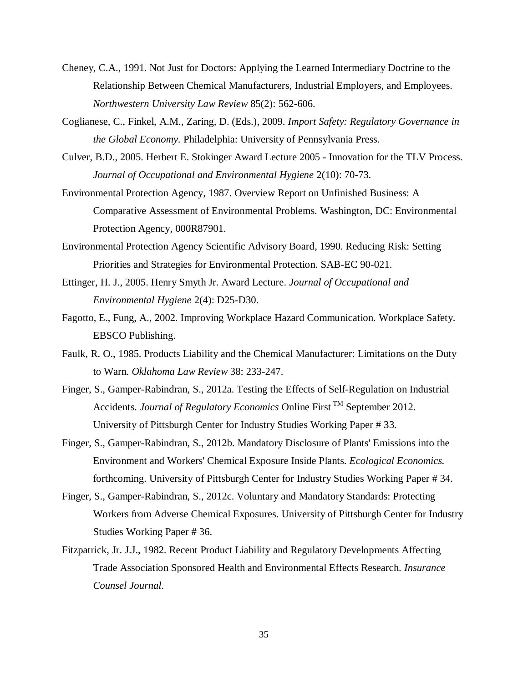- Cheney, C.A., 1991. Not Just for Doctors: Applying the Learned Intermediary Doctrine to the Relationship Between Chemical Manufacturers, Industrial Employers, and Employees. *Northwestern University Law Review* 85(2): 562-606.
- Coglianese, C., Finkel, A.M., Zaring, D. (Eds.), 2009. *Import Safety: Regulatory Governance in the Global Economy.* Philadelphia: University of Pennsylvania Press.
- Culver, B.D., 2005. Herbert E. Stokinger Award Lecture 2005 Innovation for the TLV Process. *Journal of Occupational and Environmental Hygiene* 2(10): 70-73.
- Environmental Protection Agency, 1987. Overview Report on Unfinished Business: A Comparative Assessment of Environmental Problems. Washington, DC: Environmental Protection Agency, 000R87901.
- Environmental Protection Agency Scientific Advisory Board, 1990. Reducing Risk: Setting Priorities and Strategies for Environmental Protection. SAB-EC 90-021.
- Ettinger, H. J., 2005. Henry Smyth Jr. Award Lecture. *Journal of Occupational and Environmental Hygiene* 2(4): D25-D30.
- Fagotto, E., Fung, A., 2002. Improving Workplace Hazard Communication. Workplace Safety. EBSCO Publishing.
- Faulk, R. O., 1985. Products Liability and the Chemical Manufacturer: Limitations on the Duty to Warn. *Oklahoma Law Review* 38: 233-247.
- Finger, S., Gamper-Rabindran, S., 2012a. Testing the Effects of Self-Regulation on Industrial Accidents. *Journal of Regulatory Economics* Online First TM September 2012. University of Pittsburgh Center for Industry Studies Working Paper # 33.
- Finger, S., Gamper-Rabindran, S., 2012b. Mandatory Disclosure of Plants' Emissions into the Environment and Workers' Chemical Exposure Inside Plants. *Ecological Economics.* forthcoming. University of Pittsburgh Center for Industry Studies Working Paper # 34.
- Finger, S., Gamper-Rabindran, S., 2012c. Voluntary and Mandatory Standards: Protecting Workers from Adverse Chemical Exposures. University of Pittsburgh Center for Industry Studies Working Paper # 36.
- Fitzpatrick, Jr. J.J., 1982. Recent Product Liability and Regulatory Developments Affecting Trade Association Sponsored Health and Environmental Effects Research. *Insurance Counsel Journal.*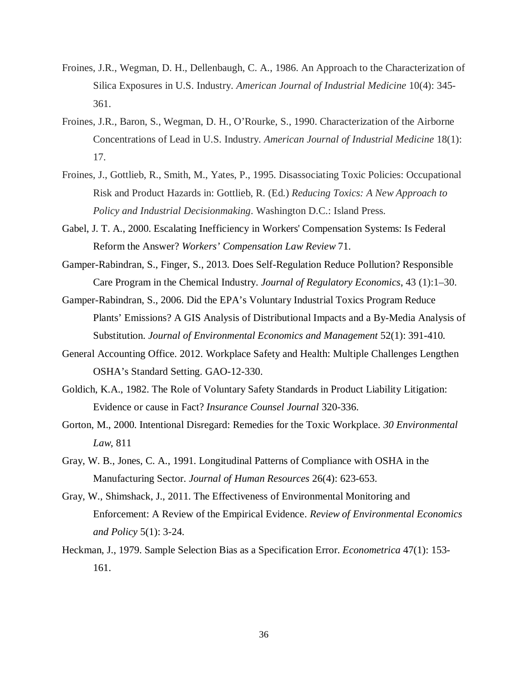- Froines, J.R., Wegman, D. H., Dellenbaugh, C. A., 1986. An Approach to the Characterization of Silica Exposures in U.S. Industry. *American Journal of Industrial Medicine* 10(4): 345- 361.
- Froines, J.R., Baron, S., Wegman, D. H., O'Rourke, S., 1990. Characterization of the Airborne Concentrations of Lead in U.S. Industry. *American Journal of Industrial Medicine* 18(1): 17.
- Froines, J., Gottlieb, R., Smith, M., Yates, P., 1995. Disassociating Toxic Policies: Occupational Risk and Product Hazards in: Gottlieb, R. (Ed.) *Reducing Toxics: A New Approach to Policy and Industrial Decisionmaking*. Washington D.C.: Island Press.
- Gabel, J. T. A., 2000. Escalating Inefficiency in Workers' Compensation Systems: Is Federal Reform the Answer? *Workers' Compensation Law Review* 71.
- Gamper-Rabindran, S., Finger, S., 2013. Does Self-Regulation Reduce Pollution? Responsible Care Program in the Chemical Industry. *Journal of Regulatory Economics*, 43 (1):1–30.
- Gamper-Rabindran, S., 2006. Did the EPA's Voluntary Industrial Toxics Program Reduce Plants' Emissions? A GIS Analysis of Distributional Impacts and a By-Media Analysis of Substitution. *Journal of Environmental Economics and Management* 52(1): 391-410.
- General Accounting Office. 2012. Workplace Safety and Health: Multiple Challenges Lengthen OSHA's Standard Setting. GAO-12-330.
- Goldich, K.A., 1982. The Role of Voluntary Safety Standards in Product Liability Litigation: Evidence or cause in Fact? *Insurance Counsel Journal* 320-336.
- Gorton, M., 2000. Intentional Disregard: Remedies for the Toxic Workplace. *30 Environmental Law*, 811
- Gray, W. B., Jones, C. A., 1991. Longitudinal Patterns of Compliance with OSHA in the Manufacturing Sector. *Journal of Human Resources* 26(4): 623-653.
- Gray, W., Shimshack, J., 2011. The Effectiveness of Environmental Monitoring and Enforcement: A Review of the Empirical Evidence. *Review of Environmental Economics and Policy* 5(1): 3-24.
- Heckman, J., 1979. Sample Selection Bias as a Specification Error. *Econometrica* 47(1): 153- 161.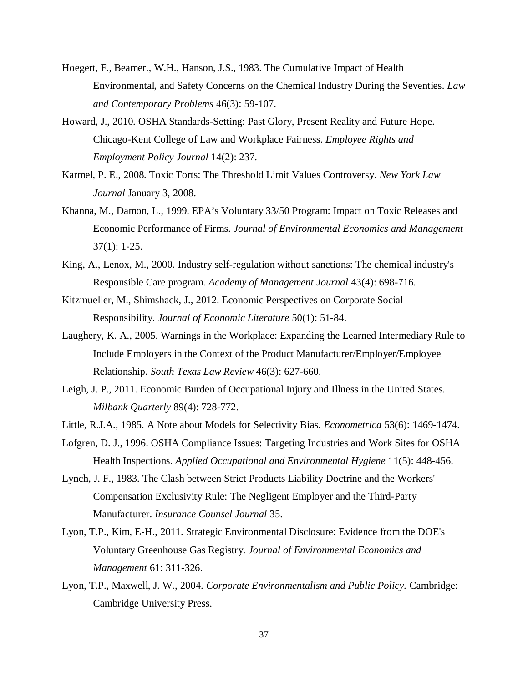- Hoegert, F., Beamer., W.H., Hanson, J.S., 1983. The Cumulative Impact of Health Environmental, and Safety Concerns on the Chemical Industry During the Seventies. *Law and Contemporary Problems* 46(3): 59-107.
- Howard, J., 2010. OSHA Standards-Setting: Past Glory, Present Reality and Future Hope. Chicago-Kent College of Law and Workplace Fairness. *Employee Rights and Employment Policy Journal* 14(2): 237.
- Karmel, P. E., 2008. Toxic Torts: The Threshold Limit Values Controversy. *New York Law Journal* January 3, 2008.
- Khanna, M., Damon, L., 1999. EPA's Voluntary 33/50 Program: Impact on Toxic Releases and Economic Performance of Firms. *Journal of Environmental Economics and Management*  37(1): 1-25.
- King, A., Lenox, M., 2000. Industry self-regulation without sanctions: The chemical industry's Responsible Care program. *Academy of Management Journal* 43(4): 698-716.
- Kitzmueller, M., Shimshack, J., 2012. Economic Perspectives on Corporate Social Responsibility. *Journal of Economic Literature* 50(1): 51-84.
- Laughery, K. A., 2005. Warnings in the Workplace: Expanding the Learned Intermediary Rule to Include Employers in the Context of the Product Manufacturer/Employer/Employee Relationship. *South Texas Law Review* 46(3): 627-660.
- Leigh, J. P., 2011. Economic Burden of Occupational Injury and Illness in the United States. *Milbank Quarterly* 89(4): 728-772.
- Little, R.J.A., 1985. A Note about Models for Selectivity Bias. *Econometrica* 53(6): 1469-1474.
- Lofgren, D. J., 1996. OSHA Compliance Issues: Targeting Industries and Work Sites for OSHA Health Inspections. *Applied Occupational and Environmental Hygiene* 11(5): 448-456.
- Lynch, J. F., 1983. The Clash between Strict Products Liability Doctrine and the Workers' Compensation Exclusivity Rule: The Negligent Employer and the Third-Party Manufacturer. *Insurance Counsel Journal* 35.
- Lyon, T.P., Kim, E-H., 2011. Strategic Environmental Disclosure: Evidence from the DOE's Voluntary Greenhouse Gas Registry. *Journal of Environmental Economics and Management* 61: 311-326.
- Lyon, T.P., Maxwell, J. W., 2004. *Corporate Environmentalism and Public Policy.* Cambridge: Cambridge University Press.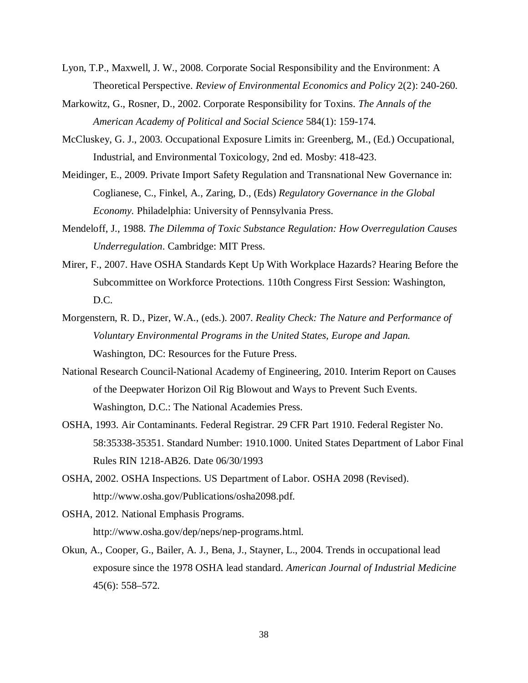- Lyon, T.P., Maxwell, J. W., 2008. Corporate Social Responsibility and the Environment: A Theoretical Perspective. *Review of Environmental Economics and Policy* 2(2): 240-260.
- Markowitz, G., Rosner, D., 2002. Corporate Responsibility for Toxins. *The Annals of the American Academy of Political and Social Science* 584(1): 159-174.
- McCluskey, G. J., 2003. Occupational Exposure Limits in: Greenberg, M., (Ed.) Occupational, Industrial, and Environmental Toxicology, 2nd ed. Mosby: 418-423.
- Meidinger, E., 2009. Private Import Safety Regulation and Transnational New Governance in: Coglianese, C., Finkel, A., Zaring, D., (Eds) *Regulatory Governance in the Global Economy.* Philadelphia: University of Pennsylvania Press.
- Mendeloff, J., 1988. *The Dilemma of Toxic Substance Regulation: How Overregulation Causes Underregulation*. Cambridge: MIT Press.
- Mirer, F., 2007. Have OSHA Standards Kept Up With Workplace Hazards? Hearing Before the Subcommittee on Workforce Protections. 110th Congress First Session: Washington, D.C.
- Morgenstern, R. D., Pizer, W.A., (eds.). 2007. *Reality Check: The Nature and Performance of Voluntary Environmental Programs in the United States, Europe and Japan.* Washington, DC: Resources for the Future Press.
- National Research Council-National Academy of Engineering, 2010. Interim Report on Causes of the Deepwater Horizon Oil Rig Blowout and Ways to Prevent Such Events. Washington, D.C.: The National Academies Press.
- OSHA, 1993. Air Contaminants. Federal Registrar. 29 CFR Part 1910. Federal Register No. 58:35338-35351. Standard Number: 1910.1000. United States Department of Labor Final Rules RIN 1218-AB26. Date 06/30/1993
- OSHA, 2002. OSHA Inspections. US Department of Labor. OSHA 2098 (Revised). http://www.osha.gov/Publications/osha2098.pdf.
- OSHA, 2012. National Emphasis Programs. http://www.osha.gov/dep/neps/nep-programs.html.
- Okun, A., Cooper, G., Bailer, A. J., Bena, J., Stayner, L., 2004. Trends in occupational lead exposure since the 1978 OSHA lead standard. *American Journal of Industrial Medicine* 45(6): 558–572.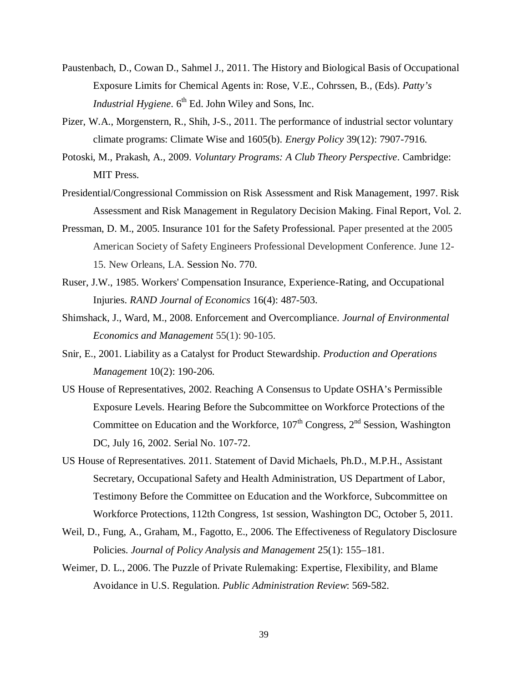- Paustenbach, D., Cowan D., Sahmel J., 2011. The History and Biological Basis of Occupational Exposure Limits for Chemical Agents in: Rose, V.E., Cohrssen, B., (Eds). *Patty's Industrial Hygiene.* 6<sup>th</sup> Ed. John Wiley and Sons, Inc.
- Pizer, W.A., Morgenstern, R., Shih, J-S., 2011. The performance of industrial sector voluntary climate programs: Climate Wise and 1605(b). *Energy Policy* 39(12): 7907-7916.
- Potoski, M., Prakash, A., 2009. *Voluntary Programs: A Club Theory Perspective*. Cambridge: MIT Press.
- Presidential/Congressional Commission on Risk Assessment and Risk Management, 1997. Risk Assessment and Risk Management in Regulatory Decision Making. Final Report, Vol. 2.
- Pressman, D. M., 2005. Insurance 101 for the Safety Professional. Paper presented at the 2005 American Society of Safety Engineers Professional Development Conference. June 12- 15. New Orleans, LA. Session No. 770.
- Ruser, J.W., 1985. Workers' Compensation Insurance, Experience-Rating, and Occupational Injuries. *RAND Journal of Economics* 16(4): 487-503.
- Shimshack, J., Ward, M., 2008. Enforcement and Overcompliance. *Journal of Environmental Economics and Management* 55(1): 90-105.
- Snir, E., 2001. Liability as a Catalyst for Product Stewardship. *Production and Operations Management* 10(2): 190-206.
- US House of Representatives, 2002. Reaching A Consensus to Update OSHA's Permissible Exposure Levels. Hearing Before the Subcommittee on Workforce Protections of the Committee on Education and the Workforce,  $107<sup>th</sup>$  Congress,  $2<sup>nd</sup>$  Session, Washington DC, July 16, 2002. Serial No. 107-72.
- US House of Representatives. 2011. Statement of David Michaels, Ph.D., M.P.H., Assistant Secretary, Occupational Safety and Health Administration, US Department of Labor, Testimony Before the Committee on Education and the Workforce, Subcommittee on Workforce Protections, 112th Congress, 1st session, Washington DC, October 5, 2011.
- Weil, D., Fung, A., Graham, M., Fagotto, E., 2006. The Effectiveness of Regulatory Disclosure Policies. *Journal of Policy Analysis and Management* 25(1): 155–181.
- Weimer, D. L., 2006. The Puzzle of Private Rulemaking: Expertise, Flexibility, and Blame Avoidance in U.S. Regulation. *Public Administration Review*: 569-582.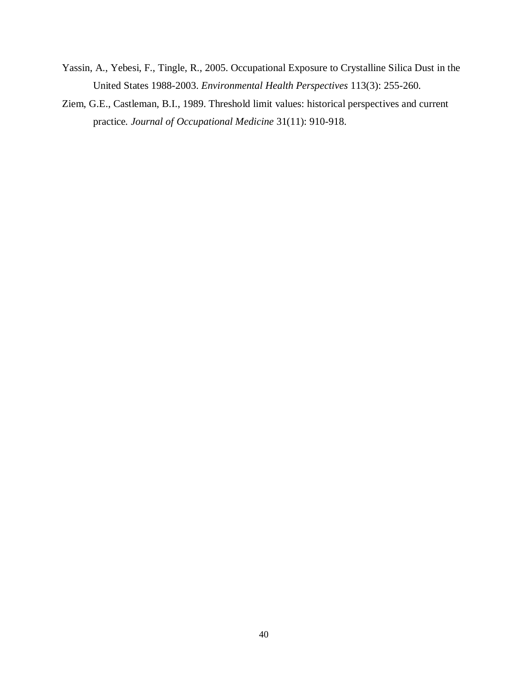- Yassin, A., Yebesi, F., Tingle, R., 2005. Occupational Exposure to Crystalline Silica Dust in the United States 1988-2003. *Environmental Health Perspectives* 113(3): 255-260.
- Ziem, G.E., Castleman, B.I., 1989. Threshold limit values: historical perspectives and current practice*. Journal of Occupational Medicine* 31(11): 910-918.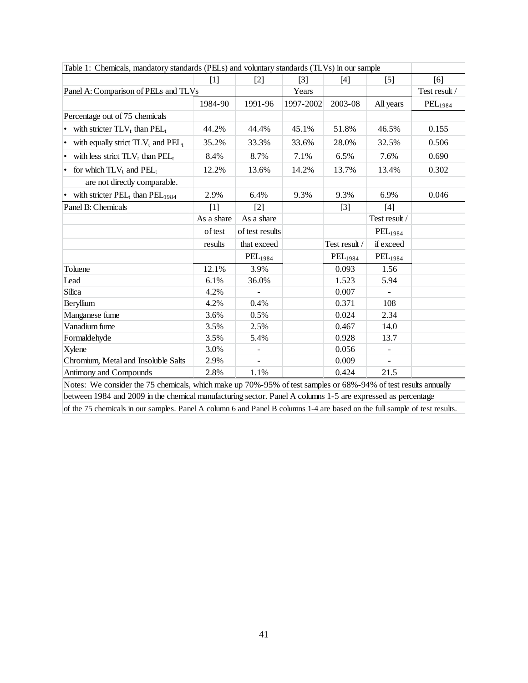| Table 1: Chemicals, mandatory standards (PELs) and voluntary standards (TLVs) in our sample                    |            |                 |                   |               |                |                     |  |  |  |
|----------------------------------------------------------------------------------------------------------------|------------|-----------------|-------------------|---------------|----------------|---------------------|--|--|--|
|                                                                                                                | $[1]$      | $[2]$           | $\lceil 3 \rceil$ | $[4]$         | $[5]$          | [6]                 |  |  |  |
| Panel A: Comparison of PELs and TLVs                                                                           |            |                 | Years             |               |                | Test result /       |  |  |  |
|                                                                                                                | 1984-90    | 1991-96         | 1997-2002         | 2003-08       | All years      | PEL <sub>1984</sub> |  |  |  |
| Percentage out of 75 chemicals                                                                                 |            |                 |                   |               |                |                     |  |  |  |
| • with stricter $TLV_t$ than $PEL_t$                                                                           | 44.2%      | 44.4%           | 45.1%             | 51.8%         | 46.5%          | 0.155               |  |  |  |
| • with equally strict $TLV_t$ and $PEL_t$                                                                      | 35.2%      | 33.3%           | 33.6%             | 28.0%         | 32.5%          | 0.506               |  |  |  |
| with less strict $TLV_t$ than $PEL_t$<br>$\bullet$                                                             | 8.4%       | 8.7%            | 7.1%              | 6.5%          | 7.6%           | 0.690               |  |  |  |
| for which $TLV_t$ and $PEL_t$<br>$\bullet$                                                                     | 12.2%      | 13.6%           | 14.2%             | 13.7%         | 13.4%          | 0.302               |  |  |  |
| are not directly comparable.                                                                                   |            |                 |                   |               |                |                     |  |  |  |
| with stricter $PEL_t$ than $PEL_{1984}$<br>$\bullet$                                                           | 2.9%       | 6.4%            | 9.3%              | 9.3%          | 6.9%           | 0.046               |  |  |  |
| Panel B: Chemicals                                                                                             | [1]        | [2]             |                   | $[3]$         | [4]            |                     |  |  |  |
|                                                                                                                | As a share | As a share      |                   |               | Test result /  |                     |  |  |  |
|                                                                                                                | of test    | of test results |                   |               | $PEL_{1984}$   |                     |  |  |  |
|                                                                                                                | results    | that exceed     |                   | Test result / | if exceed      |                     |  |  |  |
|                                                                                                                |            | $PEL_{1984}$    |                   | $PEL_{1984}$  | $PEL_{1984}$   |                     |  |  |  |
| Toluene                                                                                                        | 12.1%      | 3.9%            |                   | 0.093         | 1.56           |                     |  |  |  |
| Lead                                                                                                           | 6.1%       | 36.0%           |                   | 1.523         | 5.94           |                     |  |  |  |
| Silica                                                                                                         | 4.2%       |                 |                   | 0.007         | $\blacksquare$ |                     |  |  |  |
| Beryllium                                                                                                      | 4.2%       | 0.4%            |                   | 0.371         | 108            |                     |  |  |  |
| Manganese fume                                                                                                 | 3.6%       | 0.5%            |                   | 0.024         | 2.34           |                     |  |  |  |
| Vanadium fume                                                                                                  | 3.5%       | 2.5%            |                   | 0.467         | 14.0           |                     |  |  |  |
| Formaldehyde                                                                                                   | 3.5%       | 5.4%            |                   | 0.928         | 13.7           |                     |  |  |  |
| Xylene                                                                                                         | 3.0%       | $\blacksquare$  |                   | 0.056         | $\blacksquare$ |                     |  |  |  |
| Chromium, Metal and Insoluble Salts                                                                            | 2.9%       | ÷,              |                   | 0.009         | $\blacksquare$ |                     |  |  |  |
| Antimony and Compounds                                                                                         | 2.8%       | 1.1%            |                   | 0.424         | 21.5           |                     |  |  |  |
| Notes: We consider the 75 chemicals, which make up 70%-95% of test samples or 68%-94% of test results annually |            |                 |                   |               |                |                     |  |  |  |

Table 1: Chemicals, mandatory standards (PELs) and voluntary standards (TLVs) in our sample

between 1984 and 2009 in the chemical manufacturing sector. Panel A columns 1-5 are expressed as percentage

of the 75 chemicals in our samples. Panel A column 6 and Panel B columns 1-4 are based on the full sample of test results.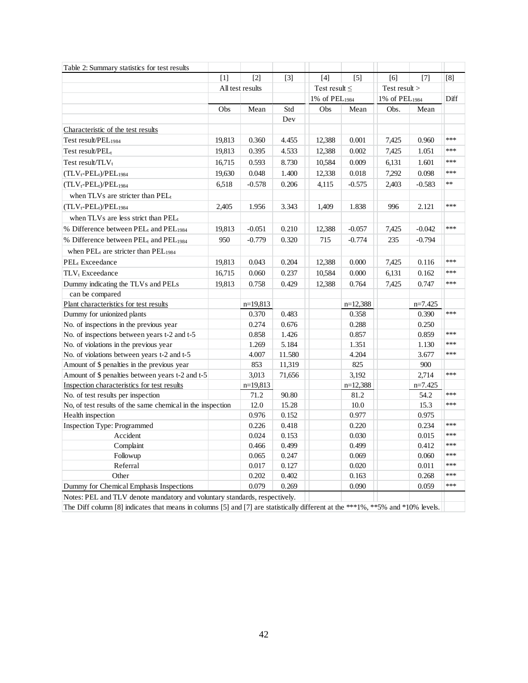| Table 2: Summary statistics for test results                               |        |                  |                   |                           |                   |                           |           |      |
|----------------------------------------------------------------------------|--------|------------------|-------------------|---------------------------|-------------------|---------------------------|-----------|------|
|                                                                            | [1]    | [2]              | $\lceil 3 \rceil$ | [4]                       | $\lceil 5 \rceil$ | [6]                       | [7]       | [8]  |
|                                                                            |        | All test results |                   | Test result $\leq$        |                   | Test result $>$           |           |      |
|                                                                            |        |                  |                   | 1% of PEL <sub>1984</sub> |                   | 1% of PEL <sub>1984</sub> |           | Diff |
|                                                                            | Obs    | Mean             | Std               | Obs                       | Mean              | Obs.                      | Mean      |      |
|                                                                            |        |                  | Dev               |                           |                   |                           |           |      |
| Characteristic of the test results                                         |        |                  |                   |                           |                   |                           |           |      |
| Test result/ $PEL_{1984}$                                                  | 19,813 | 0.360            | 4.455             | 12,388                    | 0.001             | 7,425                     | 0.960     | ***  |
| Test result/PEL <sub>t</sub>                                               | 19,813 | 0.395            | 4.533             | 12,388                    | 0.002             | 7,425                     | 1.051     | ***  |
| Test result/ $TLV_t$                                                       | 16,715 | 0.593            | 8.730             | 10,584                    | 0.009             | 6,131                     | 1.601     | ***  |
| $(TLV_t-PEL_t)/PEL_{1984}$                                                 | 19,630 | 0.048            | 1.400             | 12,338                    | 0.018             | 7,292                     | 0.098     | ***  |
| $(TLV_t-PEL_t)/PEL_{1984}$                                                 | 6,518  | $-0.578$         | 0.206             | 4,115                     | $-0.575$          | 2,403                     | $-0.583$  | $**$ |
| when TLVs are stricter than PELt                                           |        |                  |                   |                           |                   |                           |           |      |
| $(TLV_t-PEL_t)/PEL_{1984}$                                                 | 2,405  | 1.956            | 3.343             | 1,409                     | 1.838             | 996                       | 2.121     | ***  |
| when TLVs are less strict than PEL <sub>t</sub>                            |        |                  |                   |                           |                   |                           |           |      |
| % Difference between PEL <sub>t</sub> and PEL <sub>1984</sub>              | 19,813 | $-0.051$         | 0.210             | 12,388                    | $-0.057$          | 7,425                     | $-0.042$  | ***  |
| % Difference between PEL <sub>t</sub> and PEL <sub>1984</sub>              | 950    | $-0.779$         | 0.320             | 715                       | $-0.774$          | 235                       | $-0.794$  |      |
| when PEL <sub>t</sub> are stricter than PEL <sub>1984</sub>                |        |                  |                   |                           |                   |                           |           |      |
| PEL <sub>t</sub> Exceedance                                                | 19,813 | 0.043            | 0.204             | 12,388                    | 0.000             | 7,425                     | 0.116     | ***  |
| TLV <sub>t</sub> Exceedance                                                | 16,715 | 0.060            | 0.237             | 10,584                    | 0.000             | 6,131                     | 0.162     | ***  |
| Dummy indicating the TLVs and PELs                                         | 19,813 | 0.758            | 0.429             | 12,388                    | 0.764             | 7,425                     | 0.747     | ***  |
| can be compared                                                            |        |                  |                   |                           |                   |                           |           |      |
| Plant characteristics for test results                                     |        | $n=19,813$       |                   |                           | $n=12,388$        |                           | $n=7.425$ |      |
| Dummy for unionized plants                                                 |        | 0.370            | 0.483             |                           | 0.358             |                           | 0.390     | ***  |
| No. of inspections in the previous year                                    |        | 0.274            | 0.676             |                           | 0.288             |                           | 0.250     |      |
| No. of inspections between years t-2 and t-5                               |        | 0.858            | 1.426             |                           | 0.857             |                           | 0.859     | ***  |
| No. of violations in the previous year                                     |        | 1.269            | 5.184             |                           | 1.351             |                           | 1.130     | ***  |
| No. of violations between years t-2 and t-5                                |        | 4.007            | 11.580            |                           | 4.204             |                           | 3.677     | ***  |
| Amount of \$ penalties in the previous year                                |        | 853              | 11,319            |                           | 825               |                           | 900       |      |
| Amount of \$ penalties between years t-2 and t-5                           |        | 3,013            | 71,656            |                           | 3,192             |                           | 2,714     | ***  |
| Inspection characteristics for test results                                |        | $n=19,813$       |                   |                           | $n=12,388$        |                           | $n=7.425$ |      |
| No. of test results per inspection                                         |        | 71.2             | 90.80             |                           | 81.2              |                           | 54.2      | ***  |
| No, of test results of the same chemical in the inspection                 |        | 12.0             | 15.28             |                           | 10.0              |                           | 15.3      | ***  |
| Health inspection                                                          |        | 0.976            | 0.152             |                           | 0.977             |                           | 0.975     |      |
| <b>Inspection Type: Programmed</b>                                         |        | 0.226            | 0.418             |                           | 0.220             |                           | 0.234     | ***  |
| Accident                                                                   |        | 0.024            | 0.153             |                           | 0.030             |                           | 0.015     | ***  |
| Complaint                                                                  |        | 0.466            | 0.499             |                           | 0.499             |                           | 0.412     | ***  |
| Followup                                                                   |        | 0.065            | 0.247             |                           | 0.069             |                           | 0.060     | ***  |
| Referral                                                                   |        | 0.017            | 0.127             |                           | 0.020             |                           | 0.011     | ***  |
| Other                                                                      |        | 0.202            | 0.402             |                           | 0.163             |                           | 0.268     | ***  |
| Dummy for Chemical Emphasis Inspections                                    |        | 0.079            | 0.269             |                           | 0.090             |                           | 0.059     | ***  |
| Notes: PEL and TLV denote mandatory and voluntary standards, respectively. |        |                  |                   |                           |                   |                           |           |      |

The Diff column [8] indicates that means in columns [5] and [7] are statistically different at the \*\*\*1%, \*\*5% and \*10% levels.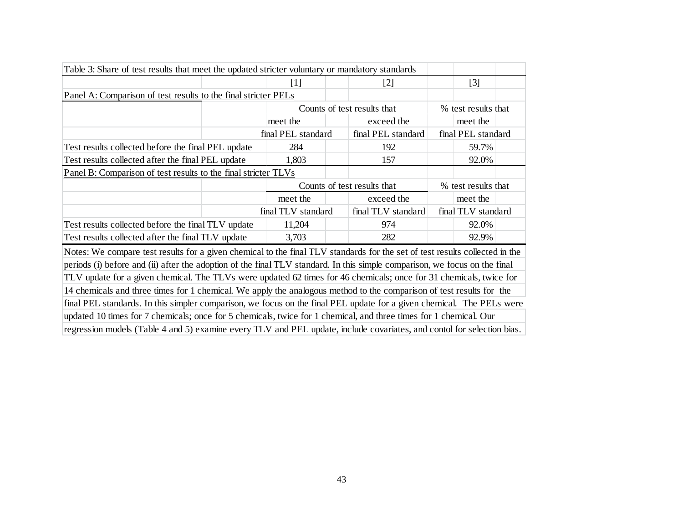| Table 3: Share of test results that meet the updated stricter voluntary or mandatory standards                              |                             |  |                             |                    |                     |  |  |  |
|-----------------------------------------------------------------------------------------------------------------------------|-----------------------------|--|-----------------------------|--------------------|---------------------|--|--|--|
|                                                                                                                             | $[1]$                       |  | $[2]$                       |                    | $[3]$               |  |  |  |
| Panel A: Comparison of test results to the final stricter PELs                                                              |                             |  |                             |                    |                     |  |  |  |
|                                                                                                                             |                             |  | Counts of test results that |                    | % test results that |  |  |  |
|                                                                                                                             | meet the                    |  | exceed the                  |                    | meet the            |  |  |  |
|                                                                                                                             | final PEL standard          |  | final PEL standard          | final PEL standard |                     |  |  |  |
| Test results collected before the final PEL update                                                                          | 284                         |  | 192                         |                    | 59.7%               |  |  |  |
| Test results collected after the final PEL update                                                                           | 1,803                       |  | 157                         |                    | 92.0%               |  |  |  |
| Panel B: Comparison of test results to the final stricter TLVs                                                              |                             |  |                             |                    |                     |  |  |  |
|                                                                                                                             | Counts of test results that |  |                             |                    | % test results that |  |  |  |
|                                                                                                                             | meet the                    |  | exceed the                  |                    | meet the            |  |  |  |
|                                                                                                                             | final TLV standard          |  | final TLV standard          |                    | final TLV standard  |  |  |  |
| Test results collected before the final TLV update                                                                          | 11,204                      |  | 974                         |                    | 92.0%               |  |  |  |
| Test results collected after the final TLV update                                                                           | 3,703                       |  | 282                         |                    | 92.9%               |  |  |  |
| Notes: We compare test results for a given chemical to the final TLV standards for the set of test results collected in the |                             |  |                             |                    |                     |  |  |  |
| periods (i) before and (ii) after the adoption of the final TLV standard. In this simple comparison, we focus on the final  |                             |  |                             |                    |                     |  |  |  |
| TLV update for a given chemical. The TLVs were updated 62 times for 46 chemicals; once for 31 chemicals, twice for          |                             |  |                             |                    |                     |  |  |  |
| 14 chemicals and three times for 1 chemical. We apply the analogous method to the comparison of test results for the        |                             |  |                             |                    |                     |  |  |  |
| final PEL standards. In this simpler comparison, we focus on the final PEL update for a given chemical. The PELs were       |                             |  |                             |                    |                     |  |  |  |
| updated 10 times for 7 chemicals; once for 5 chemicals, twice for 1 chemical, and three times for 1 chemical. Our           |                             |  |                             |                    |                     |  |  |  |
| regression models (Table 4 and 5) examine every TLV and PEL update, include covariates, and contol for selection bias.      |                             |  |                             |                    |                     |  |  |  |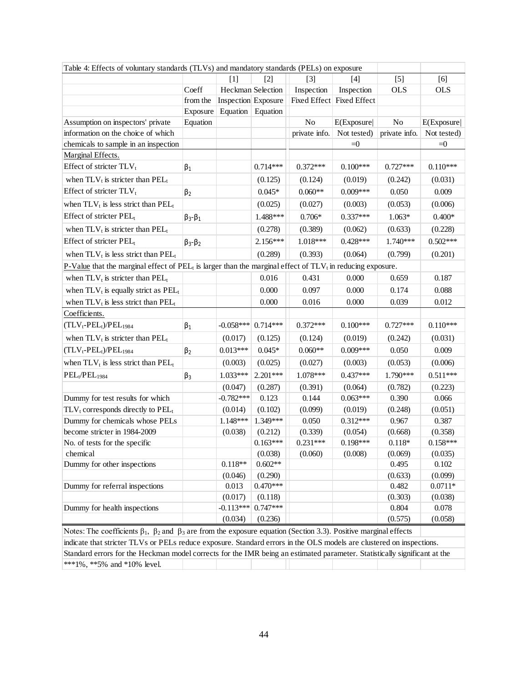| $[3]$<br>$[5]$<br>[6]<br>$[1]$<br>$\lceil 2 \rceil$<br>[4]<br>Coeff<br>Heckman Selection<br>Inspection<br>Inspection<br><b>OLS</b><br><b>OLS</b><br>from the<br><b>Inspection</b> Exposure<br>Fixed Effect Fixed Effect<br>Equation<br>Exposure<br>Equation<br>Equation<br>No<br>Assumption on inspectors' private<br>E(Exposure)<br>N <sub>o</sub><br>E(Exposure <br>information on the choice of which<br>private info.<br>Not tested)<br>private info.<br>Not tested)<br>chemicals to sample in an inspection<br>$=0$<br>$=0$<br>Marginal Effects.<br>Effect of stricter TLV <sub>t</sub><br>$0.714***$<br>$0.372***$<br>$0.100***$<br>$0.727***$<br>$0.110***$<br>$\beta_1$<br>when $TLV_t$ is stricter than $PEL_t$<br>(0.019)<br>(0.031)<br>(0.125)<br>(0.124)<br>(0.242)<br>Effect of stricter TLV <sub>t</sub><br>$0.060**$<br>$0.009***$<br>$0.045*$<br>0.050<br>0.009<br>$\beta_2$<br>when $TLV_t$ is less strict than $PEL_t$<br>(0.025)<br>(0.027)<br>(0.053)<br>(0.006)<br>(0.003)<br>Effect of stricter PEL <sub>t</sub><br>1.488***<br>$0.337***$<br>$0.706*$<br>$1.063*$<br>$0.400*$<br>$\beta_3 - \beta_1$<br>when $TLV_t$ is stricter than $PEL_t$<br>(0.278)<br>(0.389)<br>(0.062)<br>(0.633)<br>(0.228)<br>Effect of stricter PEL <sub>t</sub><br>$2.156***$<br>1.018***<br>$0.428***$<br>$1.740***$<br>$0.502***$<br>$\beta_3-\beta_2$<br>when $TLV_t$ is less strict than $PEL_t$<br>(0.289)<br>(0.393)<br>(0.064)<br>(0.799)<br>(0.201)<br>P-Value that the marginal effect of PEL <sub>t</sub> is larger than the marginal effect of $TLV_t$ in reducing exposure.<br>when $TLV_t$ is stricter than $PEL_t$<br>0.016<br>0.431<br>0.000<br>0.659<br>0.187<br>when $TLV_t$ is equally strict as $PEL_t$<br>0.000<br>0.097<br>0.000<br>0.088<br>0.174<br>0.016<br>when $TLV_t$ is less strict than $PEL_t$<br>0.000<br>0.000<br>0.039<br>0.012<br>Coefficients.<br>$(TLV_t-PEL_t)/PEL_{1984}$<br>$-0.058***$<br>$0.714***$<br>$0.372***$<br>$0.100***$<br>$0.727***$<br>$0.110***$<br>$\beta_1$<br>when $TLV_t$ is stricter than $PEL_t$<br>(0.017)<br>(0.125)<br>(0.124)<br>(0.019)<br>(0.242)<br>(0.031)<br>$0.013***$<br>$0.045*$<br>$0.060**$<br>$0.009***$<br>$(TLV_t-PEL_t)/PEL_{1984}$<br>0.050<br>0.009<br>$\beta_2$<br>when $TLV_t$ is less strict than $PEL_t$<br>(0.003)<br>(0.025)<br>(0.027)<br>(0.003)<br>(0.053)<br>(0.006)<br>PEL <sub>t</sub> /PEL <sub>1984</sub><br>1.033***<br>$2.201***$<br>1.078***<br>$0.437***$<br>1.790***<br>$0.511***$<br>$\beta_3$<br>(0.047)<br>(0.287)<br>(0.064)<br>(0.223)<br>(0.391)<br>(0.782)<br>$-0.782***$<br>$0.063***$<br>Dummy for test results for which<br>0.123<br>0.144<br>0.390<br>0.066<br>$TLV_t$ corresponds directly to $PEL_t$<br>(0.102)<br>(0.014)<br>(0.099)<br>(0.019)<br>(0.248)<br>(0.051)<br>1.349***<br>Dummy for chemicals whose PELs<br>1.148***<br>$0.312***$<br>0.050<br>0.967<br>0.387<br>become stricter in 1984-2009<br>(0.212)<br>(0.038)<br>(0.339)<br>(0.054)<br>(0.668)<br>(0.358)<br>$0.163***$<br>$0.231***$<br>0.198***<br>$0.158***$<br>No. of tests for the specific<br>$0.118*$<br>chemical<br>(0.038)<br>(0.060)<br>(0.008)<br>(0.069)<br>(0.035)<br>$0.118**$<br>$0.602**$<br>Dummy for other inspections<br>0.495<br>0.102<br>(0.099)<br>(0.046)<br>(0.290)<br>(0.633)<br>$0.470***$<br>0.013<br>0.482<br>$0.0711*$<br>Dummy for referral inspections<br>(0.017)<br>(0.118)<br>(0.303)<br>(0.038)<br>$0.747***$<br>$-0.113***$<br>0.804<br>0.078<br>Dummy for health inspections<br>(0.058)<br>(0.034)<br>(0.236)<br>(0.575) | Table 4: Effects of voluntary standards (TLVs) and mandatory standards (PELs) on exposure |  |  |  |  |
|-------------------------------------------------------------------------------------------------------------------------------------------------------------------------------------------------------------------------------------------------------------------------------------------------------------------------------------------------------------------------------------------------------------------------------------------------------------------------------------------------------------------------------------------------------------------------------------------------------------------------------------------------------------------------------------------------------------------------------------------------------------------------------------------------------------------------------------------------------------------------------------------------------------------------------------------------------------------------------------------------------------------------------------------------------------------------------------------------------------------------------------------------------------------------------------------------------------------------------------------------------------------------------------------------------------------------------------------------------------------------------------------------------------------------------------------------------------------------------------------------------------------------------------------------------------------------------------------------------------------------------------------------------------------------------------------------------------------------------------------------------------------------------------------------------------------------------------------------------------------------------------------------------------------------------------------------------------------------------------------------------------------------------------------------------------------------------------------------------------------------------------------------------------------------------------------------------------------------------------------------------------------------------------------------------------------------------------------------------------------------------------------------------------------------------------------------------------------------------------------------------------------------------------------------------------------------------------------------------------------------------------------------------------------------------------------------------------------------------------------------------------------------------------------------------------------------------------------------------------------------------------------------------------------------------------------------------------------------------------------------------------------------------------------------------------------------------------------------------------------------------------------------------------------------------------------------------------------------------------------------------------------------------------------------------------------------------------------------------------------------------------------------------------------------------------------------------------------------------------------------------------------------------------------------|-------------------------------------------------------------------------------------------|--|--|--|--|
|                                                                                                                                                                                                                                                                                                                                                                                                                                                                                                                                                                                                                                                                                                                                                                                                                                                                                                                                                                                                                                                                                                                                                                                                                                                                                                                                                                                                                                                                                                                                                                                                                                                                                                                                                                                                                                                                                                                                                                                                                                                                                                                                                                                                                                                                                                                                                                                                                                                                                                                                                                                                                                                                                                                                                                                                                                                                                                                                                                                                                                                                                                                                                                                                                                                                                                                                                                                                                                                                                                                                                 |                                                                                           |  |  |  |  |
|                                                                                                                                                                                                                                                                                                                                                                                                                                                                                                                                                                                                                                                                                                                                                                                                                                                                                                                                                                                                                                                                                                                                                                                                                                                                                                                                                                                                                                                                                                                                                                                                                                                                                                                                                                                                                                                                                                                                                                                                                                                                                                                                                                                                                                                                                                                                                                                                                                                                                                                                                                                                                                                                                                                                                                                                                                                                                                                                                                                                                                                                                                                                                                                                                                                                                                                                                                                                                                                                                                                                                 |                                                                                           |  |  |  |  |
|                                                                                                                                                                                                                                                                                                                                                                                                                                                                                                                                                                                                                                                                                                                                                                                                                                                                                                                                                                                                                                                                                                                                                                                                                                                                                                                                                                                                                                                                                                                                                                                                                                                                                                                                                                                                                                                                                                                                                                                                                                                                                                                                                                                                                                                                                                                                                                                                                                                                                                                                                                                                                                                                                                                                                                                                                                                                                                                                                                                                                                                                                                                                                                                                                                                                                                                                                                                                                                                                                                                                                 |                                                                                           |  |  |  |  |
|                                                                                                                                                                                                                                                                                                                                                                                                                                                                                                                                                                                                                                                                                                                                                                                                                                                                                                                                                                                                                                                                                                                                                                                                                                                                                                                                                                                                                                                                                                                                                                                                                                                                                                                                                                                                                                                                                                                                                                                                                                                                                                                                                                                                                                                                                                                                                                                                                                                                                                                                                                                                                                                                                                                                                                                                                                                                                                                                                                                                                                                                                                                                                                                                                                                                                                                                                                                                                                                                                                                                                 |                                                                                           |  |  |  |  |
|                                                                                                                                                                                                                                                                                                                                                                                                                                                                                                                                                                                                                                                                                                                                                                                                                                                                                                                                                                                                                                                                                                                                                                                                                                                                                                                                                                                                                                                                                                                                                                                                                                                                                                                                                                                                                                                                                                                                                                                                                                                                                                                                                                                                                                                                                                                                                                                                                                                                                                                                                                                                                                                                                                                                                                                                                                                                                                                                                                                                                                                                                                                                                                                                                                                                                                                                                                                                                                                                                                                                                 |                                                                                           |  |  |  |  |
|                                                                                                                                                                                                                                                                                                                                                                                                                                                                                                                                                                                                                                                                                                                                                                                                                                                                                                                                                                                                                                                                                                                                                                                                                                                                                                                                                                                                                                                                                                                                                                                                                                                                                                                                                                                                                                                                                                                                                                                                                                                                                                                                                                                                                                                                                                                                                                                                                                                                                                                                                                                                                                                                                                                                                                                                                                                                                                                                                                                                                                                                                                                                                                                                                                                                                                                                                                                                                                                                                                                                                 |                                                                                           |  |  |  |  |
|                                                                                                                                                                                                                                                                                                                                                                                                                                                                                                                                                                                                                                                                                                                                                                                                                                                                                                                                                                                                                                                                                                                                                                                                                                                                                                                                                                                                                                                                                                                                                                                                                                                                                                                                                                                                                                                                                                                                                                                                                                                                                                                                                                                                                                                                                                                                                                                                                                                                                                                                                                                                                                                                                                                                                                                                                                                                                                                                                                                                                                                                                                                                                                                                                                                                                                                                                                                                                                                                                                                                                 |                                                                                           |  |  |  |  |
|                                                                                                                                                                                                                                                                                                                                                                                                                                                                                                                                                                                                                                                                                                                                                                                                                                                                                                                                                                                                                                                                                                                                                                                                                                                                                                                                                                                                                                                                                                                                                                                                                                                                                                                                                                                                                                                                                                                                                                                                                                                                                                                                                                                                                                                                                                                                                                                                                                                                                                                                                                                                                                                                                                                                                                                                                                                                                                                                                                                                                                                                                                                                                                                                                                                                                                                                                                                                                                                                                                                                                 |                                                                                           |  |  |  |  |
|                                                                                                                                                                                                                                                                                                                                                                                                                                                                                                                                                                                                                                                                                                                                                                                                                                                                                                                                                                                                                                                                                                                                                                                                                                                                                                                                                                                                                                                                                                                                                                                                                                                                                                                                                                                                                                                                                                                                                                                                                                                                                                                                                                                                                                                                                                                                                                                                                                                                                                                                                                                                                                                                                                                                                                                                                                                                                                                                                                                                                                                                                                                                                                                                                                                                                                                                                                                                                                                                                                                                                 |                                                                                           |  |  |  |  |
|                                                                                                                                                                                                                                                                                                                                                                                                                                                                                                                                                                                                                                                                                                                                                                                                                                                                                                                                                                                                                                                                                                                                                                                                                                                                                                                                                                                                                                                                                                                                                                                                                                                                                                                                                                                                                                                                                                                                                                                                                                                                                                                                                                                                                                                                                                                                                                                                                                                                                                                                                                                                                                                                                                                                                                                                                                                                                                                                                                                                                                                                                                                                                                                                                                                                                                                                                                                                                                                                                                                                                 |                                                                                           |  |  |  |  |
|                                                                                                                                                                                                                                                                                                                                                                                                                                                                                                                                                                                                                                                                                                                                                                                                                                                                                                                                                                                                                                                                                                                                                                                                                                                                                                                                                                                                                                                                                                                                                                                                                                                                                                                                                                                                                                                                                                                                                                                                                                                                                                                                                                                                                                                                                                                                                                                                                                                                                                                                                                                                                                                                                                                                                                                                                                                                                                                                                                                                                                                                                                                                                                                                                                                                                                                                                                                                                                                                                                                                                 |                                                                                           |  |  |  |  |
|                                                                                                                                                                                                                                                                                                                                                                                                                                                                                                                                                                                                                                                                                                                                                                                                                                                                                                                                                                                                                                                                                                                                                                                                                                                                                                                                                                                                                                                                                                                                                                                                                                                                                                                                                                                                                                                                                                                                                                                                                                                                                                                                                                                                                                                                                                                                                                                                                                                                                                                                                                                                                                                                                                                                                                                                                                                                                                                                                                                                                                                                                                                                                                                                                                                                                                                                                                                                                                                                                                                                                 |                                                                                           |  |  |  |  |
|                                                                                                                                                                                                                                                                                                                                                                                                                                                                                                                                                                                                                                                                                                                                                                                                                                                                                                                                                                                                                                                                                                                                                                                                                                                                                                                                                                                                                                                                                                                                                                                                                                                                                                                                                                                                                                                                                                                                                                                                                                                                                                                                                                                                                                                                                                                                                                                                                                                                                                                                                                                                                                                                                                                                                                                                                                                                                                                                                                                                                                                                                                                                                                                                                                                                                                                                                                                                                                                                                                                                                 |                                                                                           |  |  |  |  |
|                                                                                                                                                                                                                                                                                                                                                                                                                                                                                                                                                                                                                                                                                                                                                                                                                                                                                                                                                                                                                                                                                                                                                                                                                                                                                                                                                                                                                                                                                                                                                                                                                                                                                                                                                                                                                                                                                                                                                                                                                                                                                                                                                                                                                                                                                                                                                                                                                                                                                                                                                                                                                                                                                                                                                                                                                                                                                                                                                                                                                                                                                                                                                                                                                                                                                                                                                                                                                                                                                                                                                 |                                                                                           |  |  |  |  |
|                                                                                                                                                                                                                                                                                                                                                                                                                                                                                                                                                                                                                                                                                                                                                                                                                                                                                                                                                                                                                                                                                                                                                                                                                                                                                                                                                                                                                                                                                                                                                                                                                                                                                                                                                                                                                                                                                                                                                                                                                                                                                                                                                                                                                                                                                                                                                                                                                                                                                                                                                                                                                                                                                                                                                                                                                                                                                                                                                                                                                                                                                                                                                                                                                                                                                                                                                                                                                                                                                                                                                 |                                                                                           |  |  |  |  |
|                                                                                                                                                                                                                                                                                                                                                                                                                                                                                                                                                                                                                                                                                                                                                                                                                                                                                                                                                                                                                                                                                                                                                                                                                                                                                                                                                                                                                                                                                                                                                                                                                                                                                                                                                                                                                                                                                                                                                                                                                                                                                                                                                                                                                                                                                                                                                                                                                                                                                                                                                                                                                                                                                                                                                                                                                                                                                                                                                                                                                                                                                                                                                                                                                                                                                                                                                                                                                                                                                                                                                 |                                                                                           |  |  |  |  |
|                                                                                                                                                                                                                                                                                                                                                                                                                                                                                                                                                                                                                                                                                                                                                                                                                                                                                                                                                                                                                                                                                                                                                                                                                                                                                                                                                                                                                                                                                                                                                                                                                                                                                                                                                                                                                                                                                                                                                                                                                                                                                                                                                                                                                                                                                                                                                                                                                                                                                                                                                                                                                                                                                                                                                                                                                                                                                                                                                                                                                                                                                                                                                                                                                                                                                                                                                                                                                                                                                                                                                 |                                                                                           |  |  |  |  |
|                                                                                                                                                                                                                                                                                                                                                                                                                                                                                                                                                                                                                                                                                                                                                                                                                                                                                                                                                                                                                                                                                                                                                                                                                                                                                                                                                                                                                                                                                                                                                                                                                                                                                                                                                                                                                                                                                                                                                                                                                                                                                                                                                                                                                                                                                                                                                                                                                                                                                                                                                                                                                                                                                                                                                                                                                                                                                                                                                                                                                                                                                                                                                                                                                                                                                                                                                                                                                                                                                                                                                 |                                                                                           |  |  |  |  |
|                                                                                                                                                                                                                                                                                                                                                                                                                                                                                                                                                                                                                                                                                                                                                                                                                                                                                                                                                                                                                                                                                                                                                                                                                                                                                                                                                                                                                                                                                                                                                                                                                                                                                                                                                                                                                                                                                                                                                                                                                                                                                                                                                                                                                                                                                                                                                                                                                                                                                                                                                                                                                                                                                                                                                                                                                                                                                                                                                                                                                                                                                                                                                                                                                                                                                                                                                                                                                                                                                                                                                 |                                                                                           |  |  |  |  |
|                                                                                                                                                                                                                                                                                                                                                                                                                                                                                                                                                                                                                                                                                                                                                                                                                                                                                                                                                                                                                                                                                                                                                                                                                                                                                                                                                                                                                                                                                                                                                                                                                                                                                                                                                                                                                                                                                                                                                                                                                                                                                                                                                                                                                                                                                                                                                                                                                                                                                                                                                                                                                                                                                                                                                                                                                                                                                                                                                                                                                                                                                                                                                                                                                                                                                                                                                                                                                                                                                                                                                 |                                                                                           |  |  |  |  |
|                                                                                                                                                                                                                                                                                                                                                                                                                                                                                                                                                                                                                                                                                                                                                                                                                                                                                                                                                                                                                                                                                                                                                                                                                                                                                                                                                                                                                                                                                                                                                                                                                                                                                                                                                                                                                                                                                                                                                                                                                                                                                                                                                                                                                                                                                                                                                                                                                                                                                                                                                                                                                                                                                                                                                                                                                                                                                                                                                                                                                                                                                                                                                                                                                                                                                                                                                                                                                                                                                                                                                 |                                                                                           |  |  |  |  |
|                                                                                                                                                                                                                                                                                                                                                                                                                                                                                                                                                                                                                                                                                                                                                                                                                                                                                                                                                                                                                                                                                                                                                                                                                                                                                                                                                                                                                                                                                                                                                                                                                                                                                                                                                                                                                                                                                                                                                                                                                                                                                                                                                                                                                                                                                                                                                                                                                                                                                                                                                                                                                                                                                                                                                                                                                                                                                                                                                                                                                                                                                                                                                                                                                                                                                                                                                                                                                                                                                                                                                 |                                                                                           |  |  |  |  |
|                                                                                                                                                                                                                                                                                                                                                                                                                                                                                                                                                                                                                                                                                                                                                                                                                                                                                                                                                                                                                                                                                                                                                                                                                                                                                                                                                                                                                                                                                                                                                                                                                                                                                                                                                                                                                                                                                                                                                                                                                                                                                                                                                                                                                                                                                                                                                                                                                                                                                                                                                                                                                                                                                                                                                                                                                                                                                                                                                                                                                                                                                                                                                                                                                                                                                                                                                                                                                                                                                                                                                 |                                                                                           |  |  |  |  |
|                                                                                                                                                                                                                                                                                                                                                                                                                                                                                                                                                                                                                                                                                                                                                                                                                                                                                                                                                                                                                                                                                                                                                                                                                                                                                                                                                                                                                                                                                                                                                                                                                                                                                                                                                                                                                                                                                                                                                                                                                                                                                                                                                                                                                                                                                                                                                                                                                                                                                                                                                                                                                                                                                                                                                                                                                                                                                                                                                                                                                                                                                                                                                                                                                                                                                                                                                                                                                                                                                                                                                 |                                                                                           |  |  |  |  |
|                                                                                                                                                                                                                                                                                                                                                                                                                                                                                                                                                                                                                                                                                                                                                                                                                                                                                                                                                                                                                                                                                                                                                                                                                                                                                                                                                                                                                                                                                                                                                                                                                                                                                                                                                                                                                                                                                                                                                                                                                                                                                                                                                                                                                                                                                                                                                                                                                                                                                                                                                                                                                                                                                                                                                                                                                                                                                                                                                                                                                                                                                                                                                                                                                                                                                                                                                                                                                                                                                                                                                 |                                                                                           |  |  |  |  |
|                                                                                                                                                                                                                                                                                                                                                                                                                                                                                                                                                                                                                                                                                                                                                                                                                                                                                                                                                                                                                                                                                                                                                                                                                                                                                                                                                                                                                                                                                                                                                                                                                                                                                                                                                                                                                                                                                                                                                                                                                                                                                                                                                                                                                                                                                                                                                                                                                                                                                                                                                                                                                                                                                                                                                                                                                                                                                                                                                                                                                                                                                                                                                                                                                                                                                                                                                                                                                                                                                                                                                 |                                                                                           |  |  |  |  |
|                                                                                                                                                                                                                                                                                                                                                                                                                                                                                                                                                                                                                                                                                                                                                                                                                                                                                                                                                                                                                                                                                                                                                                                                                                                                                                                                                                                                                                                                                                                                                                                                                                                                                                                                                                                                                                                                                                                                                                                                                                                                                                                                                                                                                                                                                                                                                                                                                                                                                                                                                                                                                                                                                                                                                                                                                                                                                                                                                                                                                                                                                                                                                                                                                                                                                                                                                                                                                                                                                                                                                 |                                                                                           |  |  |  |  |
|                                                                                                                                                                                                                                                                                                                                                                                                                                                                                                                                                                                                                                                                                                                                                                                                                                                                                                                                                                                                                                                                                                                                                                                                                                                                                                                                                                                                                                                                                                                                                                                                                                                                                                                                                                                                                                                                                                                                                                                                                                                                                                                                                                                                                                                                                                                                                                                                                                                                                                                                                                                                                                                                                                                                                                                                                                                                                                                                                                                                                                                                                                                                                                                                                                                                                                                                                                                                                                                                                                                                                 |                                                                                           |  |  |  |  |
|                                                                                                                                                                                                                                                                                                                                                                                                                                                                                                                                                                                                                                                                                                                                                                                                                                                                                                                                                                                                                                                                                                                                                                                                                                                                                                                                                                                                                                                                                                                                                                                                                                                                                                                                                                                                                                                                                                                                                                                                                                                                                                                                                                                                                                                                                                                                                                                                                                                                                                                                                                                                                                                                                                                                                                                                                                                                                                                                                                                                                                                                                                                                                                                                                                                                                                                                                                                                                                                                                                                                                 |                                                                                           |  |  |  |  |
|                                                                                                                                                                                                                                                                                                                                                                                                                                                                                                                                                                                                                                                                                                                                                                                                                                                                                                                                                                                                                                                                                                                                                                                                                                                                                                                                                                                                                                                                                                                                                                                                                                                                                                                                                                                                                                                                                                                                                                                                                                                                                                                                                                                                                                                                                                                                                                                                                                                                                                                                                                                                                                                                                                                                                                                                                                                                                                                                                                                                                                                                                                                                                                                                                                                                                                                                                                                                                                                                                                                                                 |                                                                                           |  |  |  |  |
|                                                                                                                                                                                                                                                                                                                                                                                                                                                                                                                                                                                                                                                                                                                                                                                                                                                                                                                                                                                                                                                                                                                                                                                                                                                                                                                                                                                                                                                                                                                                                                                                                                                                                                                                                                                                                                                                                                                                                                                                                                                                                                                                                                                                                                                                                                                                                                                                                                                                                                                                                                                                                                                                                                                                                                                                                                                                                                                                                                                                                                                                                                                                                                                                                                                                                                                                                                                                                                                                                                                                                 |                                                                                           |  |  |  |  |
|                                                                                                                                                                                                                                                                                                                                                                                                                                                                                                                                                                                                                                                                                                                                                                                                                                                                                                                                                                                                                                                                                                                                                                                                                                                                                                                                                                                                                                                                                                                                                                                                                                                                                                                                                                                                                                                                                                                                                                                                                                                                                                                                                                                                                                                                                                                                                                                                                                                                                                                                                                                                                                                                                                                                                                                                                                                                                                                                                                                                                                                                                                                                                                                                                                                                                                                                                                                                                                                                                                                                                 |                                                                                           |  |  |  |  |
|                                                                                                                                                                                                                                                                                                                                                                                                                                                                                                                                                                                                                                                                                                                                                                                                                                                                                                                                                                                                                                                                                                                                                                                                                                                                                                                                                                                                                                                                                                                                                                                                                                                                                                                                                                                                                                                                                                                                                                                                                                                                                                                                                                                                                                                                                                                                                                                                                                                                                                                                                                                                                                                                                                                                                                                                                                                                                                                                                                                                                                                                                                                                                                                                                                                                                                                                                                                                                                                                                                                                                 |                                                                                           |  |  |  |  |
|                                                                                                                                                                                                                                                                                                                                                                                                                                                                                                                                                                                                                                                                                                                                                                                                                                                                                                                                                                                                                                                                                                                                                                                                                                                                                                                                                                                                                                                                                                                                                                                                                                                                                                                                                                                                                                                                                                                                                                                                                                                                                                                                                                                                                                                                                                                                                                                                                                                                                                                                                                                                                                                                                                                                                                                                                                                                                                                                                                                                                                                                                                                                                                                                                                                                                                                                                                                                                                                                                                                                                 |                                                                                           |  |  |  |  |
|                                                                                                                                                                                                                                                                                                                                                                                                                                                                                                                                                                                                                                                                                                                                                                                                                                                                                                                                                                                                                                                                                                                                                                                                                                                                                                                                                                                                                                                                                                                                                                                                                                                                                                                                                                                                                                                                                                                                                                                                                                                                                                                                                                                                                                                                                                                                                                                                                                                                                                                                                                                                                                                                                                                                                                                                                                                                                                                                                                                                                                                                                                                                                                                                                                                                                                                                                                                                                                                                                                                                                 |                                                                                           |  |  |  |  |
|                                                                                                                                                                                                                                                                                                                                                                                                                                                                                                                                                                                                                                                                                                                                                                                                                                                                                                                                                                                                                                                                                                                                                                                                                                                                                                                                                                                                                                                                                                                                                                                                                                                                                                                                                                                                                                                                                                                                                                                                                                                                                                                                                                                                                                                                                                                                                                                                                                                                                                                                                                                                                                                                                                                                                                                                                                                                                                                                                                                                                                                                                                                                                                                                                                                                                                                                                                                                                                                                                                                                                 |                                                                                           |  |  |  |  |
|                                                                                                                                                                                                                                                                                                                                                                                                                                                                                                                                                                                                                                                                                                                                                                                                                                                                                                                                                                                                                                                                                                                                                                                                                                                                                                                                                                                                                                                                                                                                                                                                                                                                                                                                                                                                                                                                                                                                                                                                                                                                                                                                                                                                                                                                                                                                                                                                                                                                                                                                                                                                                                                                                                                                                                                                                                                                                                                                                                                                                                                                                                                                                                                                                                                                                                                                                                                                                                                                                                                                                 |                                                                                           |  |  |  |  |
|                                                                                                                                                                                                                                                                                                                                                                                                                                                                                                                                                                                                                                                                                                                                                                                                                                                                                                                                                                                                                                                                                                                                                                                                                                                                                                                                                                                                                                                                                                                                                                                                                                                                                                                                                                                                                                                                                                                                                                                                                                                                                                                                                                                                                                                                                                                                                                                                                                                                                                                                                                                                                                                                                                                                                                                                                                                                                                                                                                                                                                                                                                                                                                                                                                                                                                                                                                                                                                                                                                                                                 |                                                                                           |  |  |  |  |
| Notes: The coefficients $\beta_1$ , $\beta_2$ and $\beta_3$ are from the exposure equation (Section 3.3). Positive marginal effects                                                                                                                                                                                                                                                                                                                                                                                                                                                                                                                                                                                                                                                                                                                                                                                                                                                                                                                                                                                                                                                                                                                                                                                                                                                                                                                                                                                                                                                                                                                                                                                                                                                                                                                                                                                                                                                                                                                                                                                                                                                                                                                                                                                                                                                                                                                                                                                                                                                                                                                                                                                                                                                                                                                                                                                                                                                                                                                                                                                                                                                                                                                                                                                                                                                                                                                                                                                                             |                                                                                           |  |  |  |  |

Notes: The coefficients  $\beta_1$ ,  $\beta_2$  and  $\beta_3$  are from the exposure equation (Section 3.3). Positive marginal effects indicate that stricter TLVs or PELs reduce exposure. Standard errors in the OLS models are clustered on inspections. Standard errors for the Heckman model corrects for the IMR being an estimated parameter. Statistically significant at the \*\*\*1%, \*\*5% and \*10% level.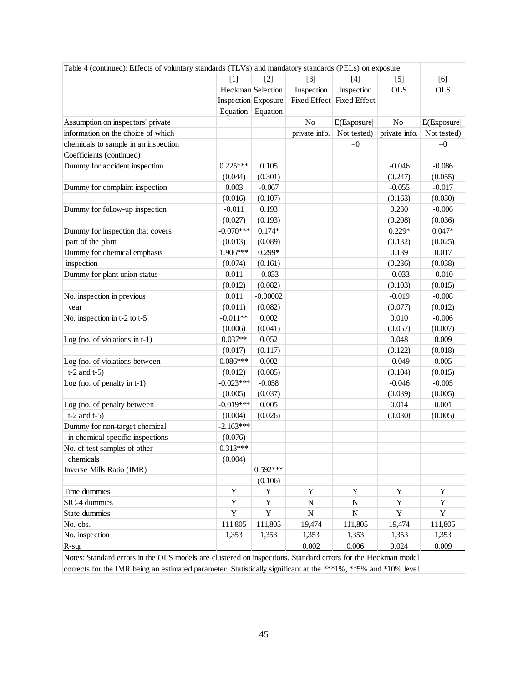| Table 4 (continued): Effects of voluntary standards (TLVs) and mandatory standards (PELs) on exposure           |             |                            |               |                           |                |             |
|-----------------------------------------------------------------------------------------------------------------|-------------|----------------------------|---------------|---------------------------|----------------|-------------|
|                                                                                                                 | $[1]$       | $\lceil 2 \rceil$          | $[3]$         | [4]                       | $[5]$          | [6]         |
|                                                                                                                 |             | Heckman Selection          | Inspection    | Inspection                | <b>OLS</b>     | <b>OLS</b>  |
|                                                                                                                 |             | <b>Inspection</b> Exposure |               | Fixed Effect Fixed Effect |                |             |
|                                                                                                                 |             | Equation Equation          |               |                           |                |             |
| Assumption on inspectors' private                                                                               |             |                            | No            | E(Exposure)               | N <sub>o</sub> | E(Exposure) |
| information on the choice of which                                                                              |             |                            | private info. | Not tested)               | private info.  | Not tested) |
| chemicals to sample in an inspection                                                                            |             |                            |               | $=0$                      |                | $\equiv 0$  |
| Coefficients (continued)                                                                                        |             |                            |               |                           |                |             |
| Dummy for accident inspection                                                                                   | $0.225***$  | 0.105                      |               |                           | $-0.046$       | $-0.086$    |
|                                                                                                                 | (0.044)     | (0.301)                    |               |                           | (0.247)        | (0.055)     |
| Dummy for complaint inspection                                                                                  | 0.003       | $-0.067$                   |               |                           | $-0.055$       | $-0.017$    |
|                                                                                                                 | (0.016)     | (0.107)                    |               |                           | (0.163)        | (0.030)     |
| Dummy for follow-up inspection                                                                                  | $-0.011$    | 0.193                      |               |                           | 0.230          | $-0.006$    |
|                                                                                                                 | (0.027)     | (0.193)                    |               |                           | (0.208)        | (0.036)     |
| Dummy for inspection that covers                                                                                | $-0.070***$ | $0.174*$                   |               |                           | $0.229*$       | $0.047*$    |
| part of the plant                                                                                               | (0.013)     | (0.089)                    |               |                           | (0.132)        | (0.025)     |
| Dummy for chemical emphasis                                                                                     | 1.906***    | $0.299*$                   |               |                           | 0.139          | 0.017       |
| inspection                                                                                                      | (0.074)     | (0.161)                    |               |                           | (0.236)        | (0.038)     |
| Dummy for plant union status                                                                                    | 0.011       | $-0.033$                   |               |                           | $-0.033$       | $-0.010$    |
|                                                                                                                 | (0.012)     | (0.082)                    |               |                           | (0.103)        | (0.015)     |
| No. inspection in previous                                                                                      | 0.011       | $-0.00002$                 |               |                           | $-0.019$       | $-0.008$    |
| year                                                                                                            | (0.011)     | (0.082)                    |               |                           | (0.077)        | (0.012)     |
| No. inspection in t-2 to t-5                                                                                    | $-0.011**$  | 0.002                      |               |                           | 0.010          | $-0.006$    |
|                                                                                                                 | (0.006)     | (0.041)                    |               |                           | (0.057)        | (0.007)     |
| Log (no. of violations in $t-1$ )                                                                               | $0.037**$   | 0.052                      |               |                           | 0.048          | 0.009       |
|                                                                                                                 | (0.017)     | (0.117)                    |               |                           | (0.122)        | (0.018)     |
| Log (no. of violations between                                                                                  | $0.086***$  | 0.002                      |               |                           | $-0.049$       | 0.005       |
| $t-2$ and $t-5$ )                                                                                               | (0.012)     | (0.085)                    |               |                           | (0.104)        | (0.015)     |
| Log (no. of penalty in $t-1$ )                                                                                  | $-0.023***$ | $-0.058$                   |               |                           | $-0.046$       | $-0.005$    |
|                                                                                                                 | (0.005)     | (0.037)                    |               |                           | (0.039)        | (0.005)     |
| Log (no. of penalty between                                                                                     | $-0.019***$ | 0.005                      |               |                           | 0.014          | 0.001       |
| $t-2$ and $t-5$ )                                                                                               | (0.004)     | (0.026)                    |               |                           | (0.030)        | (0.005)     |
| Dummy for non-target chemical                                                                                   | $-2.163***$ |                            |               |                           |                |             |
| in chemical-specific inspections                                                                                | (0.076)     |                            |               |                           |                |             |
| No. of test samples of other                                                                                    | $0.313***$  |                            |               |                           |                |             |
| chemicals                                                                                                       | (0.004)     |                            |               |                           |                |             |
| Inverse Mills Ratio (IMR)                                                                                       |             | $0.592***$                 |               |                           |                |             |
|                                                                                                                 |             | (0.106)                    |               |                           |                |             |
| Time dummies                                                                                                    | Y           | Y                          | Y             | Y                         | Y              | Y           |
| SIC-4 dummies                                                                                                   | $\mathbf Y$ | Y                          | N             | N                         | $\mathbf Y$    | Y           |
| State dummies                                                                                                   | Y           | Y                          | N             | N                         | $\mathbf Y$    | Y           |
| No. obs.                                                                                                        | 111,805     | 111,805                    | 19,474        | 111,805                   | 19,474         | 111,805     |
| No. inspection                                                                                                  | 1,353       | 1,353                      | 1,353         | 1,353                     | 1,353          | 1,353       |
| $R$ -sqr                                                                                                        |             |                            | 0.002         | 0.006                     | 0.024          | 0.009       |
| Notes: Standard errors in the OLS models are clustered on inspections. Standard errors for the Heckman model    |             |                            |               |                           |                |             |
| corrects for the IMR being an estimated parameter. Statistically significant at the ***1%, **5% and *10% level. |             |                            |               |                           |                |             |
|                                                                                                                 |             |                            |               |                           |                |             |

corrects for the IMR being an estimated parameter. Statistically significant at the \*\*\*1%, \*\*5% and \*10% level.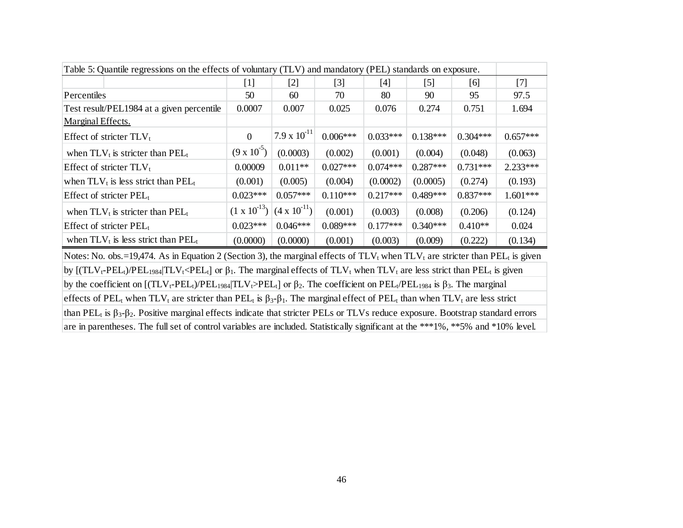| Table 5: Quantile regressions on the effects of voluntary (TLV) and mandatory (PEL) standards on exposure.                                                                                       |                       |                       |            |            |                  |            |            |  |
|--------------------------------------------------------------------------------------------------------------------------------------------------------------------------------------------------|-----------------------|-----------------------|------------|------------|------------------|------------|------------|--|
|                                                                                                                                                                                                  | $[1]$                 | $[2]$                 | $[3]$      | $[4]$      | $\left[5\right]$ | [6]        | $[7]$      |  |
| Percentiles                                                                                                                                                                                      | 50                    | 60                    | 70         | 80         | 90               | 95         | 97.5       |  |
| Test result/PEL1984 at a given percentile                                                                                                                                                        | 0.0007                | 0.007                 | 0.025      | 0.076      | 0.274            | 0.751      | 1.694      |  |
| Marginal Effects.                                                                                                                                                                                |                       |                       |            |            |                  |            |            |  |
| Effect of stricter $TLV_t$                                                                                                                                                                       | $\Omega$              | $7.9 \times 10^{-11}$ | $0.006***$ | $0.033***$ | $0.138***$       | $0.304***$ | $0.657***$ |  |
| when $TLV_t$ is stricter than $PEL_t$                                                                                                                                                            | $(9 \times 10^{-5})$  | (0.0003)              | (0.002)    | (0.001)    | (0.004)          | (0.048)    | (0.063)    |  |
| Effect of stricter $TLV_t$                                                                                                                                                                       | 0.00009               | $0.011**$             | $0.027***$ | $0.074***$ | $0.287***$       | $0.731***$ | 2.233***   |  |
| when $TLV_t$ is less strict than $PEL_t$                                                                                                                                                         | (0.001)               | (0.005)               | (0.004)    | (0.0002)   | (0.0005)         | (0.274)    | (0.193)    |  |
| Effect of stricter $PEL_t$                                                                                                                                                                       | $0.023***$            | $0.057***$            | $0.110***$ | $0.217***$ | $0.489***$       | $0.837***$ | $1.601***$ |  |
| when $TLV_t$ is stricter than $PEL_t$                                                                                                                                                            | $(1 \times 10^{-13})$ | $(4 \times 10^{-11})$ | (0.001)    | (0.003)    | (0.008)          | (0.206)    | (0.124)    |  |
| Effect of stricter $PEL_t$                                                                                                                                                                       | $0.023***$            | $0.046***$            | $0.089***$ | $0.177***$ | $0.340***$       | $0.410**$  | 0.024      |  |
| when $TLV_t$ is less strict than $PEL_t$                                                                                                                                                         | (0.0000)              | (0.0000)              | (0.001)    | (0.003)    | (0.009)          | (0.222)    | (0.134)    |  |
| Notes: No. obs.=19,474. As in Equation 2 (Section 3), the marginal effects of $TLV_t$ when $TLV_t$ are stricter than PEL <sub>t</sub> is given                                                   |                       |                       |            |            |                  |            |            |  |
| by $[(TLV_t-PEL_t)/PEL_{1984}   TLV_t < PEL_t]$ or $\beta_1$ . The marginal effects of $TLV_t$ when $TLV_t$ are less strict than $PEL_t$ is given                                                |                       |                       |            |            |                  |            |            |  |
| by the coefficient on $[(TLV_t-PEL_t)/PEL_{1984}   TLV_t > PEL_t]$ or $\beta_2$ . The coefficient on PEL <sub>t</sub> /PEL <sub>1984</sub> is $\beta_3$ . The marginal                           |                       |                       |            |            |                  |            |            |  |
| effects of PEL <sub>t</sub> when TLV <sub>t</sub> are stricter than PEL <sub>t</sub> is $\beta_3 - \beta_1$ . The marginal effect of PEL <sub>t</sub> than when TLV <sub>t</sub> are less strict |                       |                       |            |            |                  |            |            |  |
| than PEL <sub>t</sub> is $\beta_3$ - $\beta_2$ . Positive marginal effects indicate that stricter PELs or TLVs reduce exposure. Bootstrap standard errors                                        |                       |                       |            |            |                  |            |            |  |
| are in parentheses. The full set of control variables are included. Statistically significant at the ***1%, **5% and *10% level.                                                                 |                       |                       |            |            |                  |            |            |  |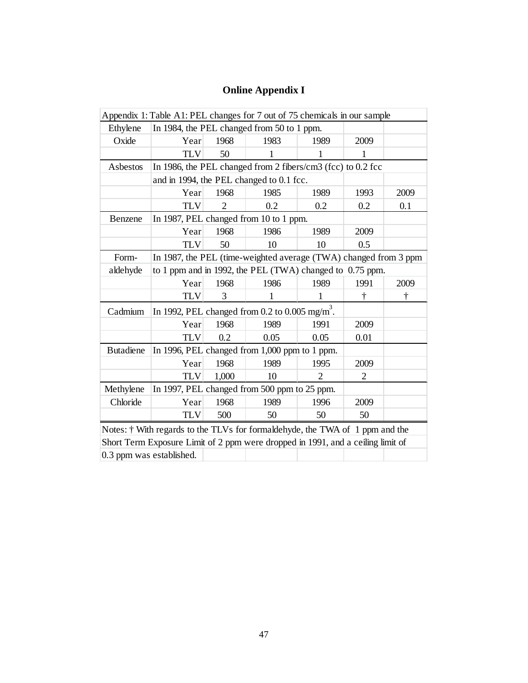# **Online Appendix I**

|                                                                           | Appendix 1: Table A1: PEL changes for 7 out of 75 chemicals in our sample       |                                                             |      |                |                |           |  |  |  |  |
|---------------------------------------------------------------------------|---------------------------------------------------------------------------------|-------------------------------------------------------------|------|----------------|----------------|-----------|--|--|--|--|
| Ethylene                                                                  | In 1984, the PEL changed from 50 to 1 ppm.                                      |                                                             |      |                |                |           |  |  |  |  |
| Oxide                                                                     | Year                                                                            | 1968                                                        | 1983 | 1989           | 2009           |           |  |  |  |  |
|                                                                           | <b>TLV</b>                                                                      | 50                                                          | 1    | 1              | 1              |           |  |  |  |  |
| Asbestos                                                                  |                                                                                 | In 1986, the PEL changed from 2 fibers/cm3 (fcc) to 0.2 fcc |      |                |                |           |  |  |  |  |
|                                                                           | and in 1994, the PEL changed to 0.1 fcc.                                        |                                                             |      |                |                |           |  |  |  |  |
|                                                                           | Year                                                                            | 1968                                                        | 1985 | 1989           | 1993           | 2009      |  |  |  |  |
|                                                                           | <b>TLV</b>                                                                      | 2                                                           | 0.2  | 0.2            | 0.2            | 0.1       |  |  |  |  |
| Benzene                                                                   | In 1987, PEL changed from 10 to 1 ppm.                                          |                                                             |      |                |                |           |  |  |  |  |
|                                                                           | Year                                                                            | 1968                                                        | 1986 | 1989           | 2009           |           |  |  |  |  |
|                                                                           | <b>TLV</b>                                                                      | 50                                                          | 10   | 10             | 0.5            |           |  |  |  |  |
| In 1987, the PEL (time-weighted average (TWA) changed from 3 ppm<br>Form- |                                                                                 |                                                             |      |                |                |           |  |  |  |  |
| aldehyde                                                                  | to 1 ppm and in 1992, the PEL (TWA) changed to 0.75 ppm.                        |                                                             |      |                |                |           |  |  |  |  |
|                                                                           | Year                                                                            | 1968                                                        | 1986 | 1989           | 1991           | 2009      |  |  |  |  |
|                                                                           | <b>TLV</b>                                                                      | 3                                                           | 1    | 1              | $\dagger$      | $\dagger$ |  |  |  |  |
| Cadmium                                                                   | In 1992, PEL changed from 0.2 to 0.005 mg/m <sup>3</sup> .                      |                                                             |      |                |                |           |  |  |  |  |
|                                                                           | Year                                                                            | 1968                                                        | 1989 | 1991           | 2009           |           |  |  |  |  |
|                                                                           | <b>TLV</b>                                                                      | 0.2                                                         | 0.05 | 0.05           | 0.01           |           |  |  |  |  |
| <b>Butadiene</b>                                                          | In 1996, PEL changed from 1,000 ppm to 1 ppm.                                   |                                                             |      |                |                |           |  |  |  |  |
|                                                                           | Year                                                                            | 1968                                                        | 1989 | 1995           | 2009           |           |  |  |  |  |
|                                                                           | <b>TLV</b>                                                                      | 1,000                                                       | 10   | $\overline{2}$ | $\overline{2}$ |           |  |  |  |  |
| Methylene                                                                 | In 1997, PEL changed from 500 ppm to 25 ppm.                                    |                                                             |      |                |                |           |  |  |  |  |
| Chloride                                                                  | Year                                                                            | 1968                                                        | 1989 | 1996           | 2009           |           |  |  |  |  |
|                                                                           | <b>TLV</b>                                                                      | 500                                                         | 50   | 50             | 50             |           |  |  |  |  |
|                                                                           | Notes: † With regards to the TLVs for formaldehyde, the TWA of 1 ppm and the    |                                                             |      |                |                |           |  |  |  |  |
|                                                                           | Short Term Exposure Limit of 2 ppm were dropped in 1991, and a ceiling limit of |                                                             |      |                |                |           |  |  |  |  |
|                                                                           | 0.3 ppm was established.                                                        |                                                             |      |                |                |           |  |  |  |  |
|                                                                           |                                                                                 |                                                             |      |                |                |           |  |  |  |  |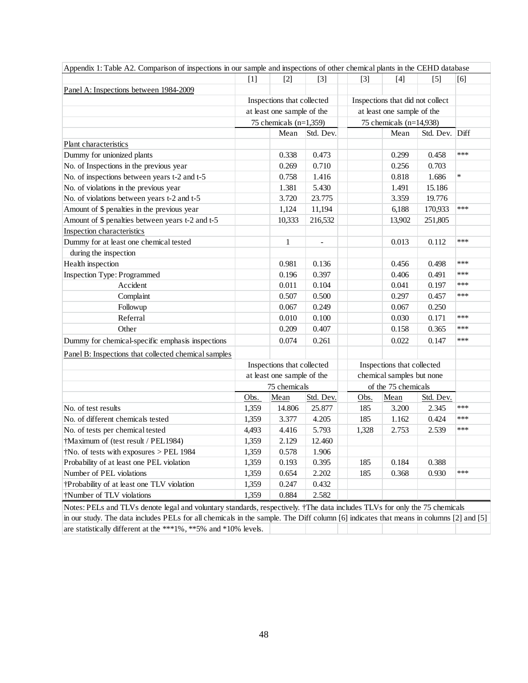| Panel A: Inspections between 1984-2009<br>at least one sample of the<br>Plant characteristics<br>Dummy for unionized plants<br>No. of Inspections in the previous year<br>No. of inspections between years t-2 and t-5<br>No. of violations in the previous year<br>No. of violations between years t-2 and t-5<br>Amount of \$ penalties in the previous year<br>Amount of \$ penalties between years t-2 and t-5<br>Inspection characteristics<br>Dummy for at least one chemical tested<br>during the inspection<br>Health inspection<br>Inspection Type: Programmed<br>Accident<br>Complaint<br>Followup<br>Referral<br>Other<br>Dummy for chemical-specific emphasis inspections<br>Panel B: Inspections that collected chemical samples<br>Inspections that collected | Inspections that collected<br>75 chemicals $(n=1,359)$<br>Mean<br>0.338<br>0.269<br>0.758<br>1.381<br>3.720<br>1,124<br>10,333<br>$\mathbf{1}$<br>0.981<br>0.196<br>0.011<br>0.507<br>0.067<br>0.010<br>0.209 | Std. Dev.<br>0.473<br>0.710<br>1.416<br>5.430<br>23.775<br>11,194<br>216,532<br>$\frac{1}{2}$<br>0.136<br>0.397<br>0.104<br>0.500<br>0.249<br>0.100 |                           | Inspections that did not collect<br>at least one sample of the<br>75 chemicals $(n=14,938)$<br>Mean<br>0.299<br>0.256<br>0.818<br>1.491<br>3.359<br>6,188<br>13,902<br>0.013<br>0.456<br>0.406<br>0.041<br>0.297<br>0.067 | Std. Dev. Diff<br>0.458<br>0.703<br>1.686<br>15.186<br>19.776<br>170,933<br>251,805<br>0.112<br>0.498<br>0.491<br>0.197<br>0.457<br>0.250 | $***$<br>$\star$<br>***<br>***<br>***<br>***<br>***<br>*** |  |
|-----------------------------------------------------------------------------------------------------------------------------------------------------------------------------------------------------------------------------------------------------------------------------------------------------------------------------------------------------------------------------------------------------------------------------------------------------------------------------------------------------------------------------------------------------------------------------------------------------------------------------------------------------------------------------------------------------------------------------------------------------------------------------|---------------------------------------------------------------------------------------------------------------------------------------------------------------------------------------------------------------|-----------------------------------------------------------------------------------------------------------------------------------------------------|---------------------------|---------------------------------------------------------------------------------------------------------------------------------------------------------------------------------------------------------------------------|-------------------------------------------------------------------------------------------------------------------------------------------|------------------------------------------------------------|--|
|                                                                                                                                                                                                                                                                                                                                                                                                                                                                                                                                                                                                                                                                                                                                                                             |                                                                                                                                                                                                               |                                                                                                                                                     |                           |                                                                                                                                                                                                                           |                                                                                                                                           |                                                            |  |
|                                                                                                                                                                                                                                                                                                                                                                                                                                                                                                                                                                                                                                                                                                                                                                             |                                                                                                                                                                                                               |                                                                                                                                                     |                           |                                                                                                                                                                                                                           |                                                                                                                                           |                                                            |  |
|                                                                                                                                                                                                                                                                                                                                                                                                                                                                                                                                                                                                                                                                                                                                                                             |                                                                                                                                                                                                               |                                                                                                                                                     |                           |                                                                                                                                                                                                                           |                                                                                                                                           |                                                            |  |
|                                                                                                                                                                                                                                                                                                                                                                                                                                                                                                                                                                                                                                                                                                                                                                             |                                                                                                                                                                                                               |                                                                                                                                                     |                           |                                                                                                                                                                                                                           |                                                                                                                                           |                                                            |  |
|                                                                                                                                                                                                                                                                                                                                                                                                                                                                                                                                                                                                                                                                                                                                                                             |                                                                                                                                                                                                               |                                                                                                                                                     |                           |                                                                                                                                                                                                                           |                                                                                                                                           |                                                            |  |
|                                                                                                                                                                                                                                                                                                                                                                                                                                                                                                                                                                                                                                                                                                                                                                             |                                                                                                                                                                                                               |                                                                                                                                                     |                           |                                                                                                                                                                                                                           |                                                                                                                                           |                                                            |  |
|                                                                                                                                                                                                                                                                                                                                                                                                                                                                                                                                                                                                                                                                                                                                                                             |                                                                                                                                                                                                               |                                                                                                                                                     |                           |                                                                                                                                                                                                                           |                                                                                                                                           |                                                            |  |
|                                                                                                                                                                                                                                                                                                                                                                                                                                                                                                                                                                                                                                                                                                                                                                             |                                                                                                                                                                                                               |                                                                                                                                                     |                           |                                                                                                                                                                                                                           |                                                                                                                                           |                                                            |  |
|                                                                                                                                                                                                                                                                                                                                                                                                                                                                                                                                                                                                                                                                                                                                                                             |                                                                                                                                                                                                               |                                                                                                                                                     |                           |                                                                                                                                                                                                                           |                                                                                                                                           |                                                            |  |
|                                                                                                                                                                                                                                                                                                                                                                                                                                                                                                                                                                                                                                                                                                                                                                             |                                                                                                                                                                                                               |                                                                                                                                                     |                           |                                                                                                                                                                                                                           |                                                                                                                                           |                                                            |  |
|                                                                                                                                                                                                                                                                                                                                                                                                                                                                                                                                                                                                                                                                                                                                                                             |                                                                                                                                                                                                               |                                                                                                                                                     |                           |                                                                                                                                                                                                                           |                                                                                                                                           |                                                            |  |
|                                                                                                                                                                                                                                                                                                                                                                                                                                                                                                                                                                                                                                                                                                                                                                             |                                                                                                                                                                                                               |                                                                                                                                                     |                           |                                                                                                                                                                                                                           |                                                                                                                                           |                                                            |  |
|                                                                                                                                                                                                                                                                                                                                                                                                                                                                                                                                                                                                                                                                                                                                                                             |                                                                                                                                                                                                               |                                                                                                                                                     |                           |                                                                                                                                                                                                                           |                                                                                                                                           |                                                            |  |
|                                                                                                                                                                                                                                                                                                                                                                                                                                                                                                                                                                                                                                                                                                                                                                             |                                                                                                                                                                                                               |                                                                                                                                                     |                           |                                                                                                                                                                                                                           |                                                                                                                                           |                                                            |  |
|                                                                                                                                                                                                                                                                                                                                                                                                                                                                                                                                                                                                                                                                                                                                                                             |                                                                                                                                                                                                               |                                                                                                                                                     |                           |                                                                                                                                                                                                                           |                                                                                                                                           |                                                            |  |
|                                                                                                                                                                                                                                                                                                                                                                                                                                                                                                                                                                                                                                                                                                                                                                             |                                                                                                                                                                                                               |                                                                                                                                                     |                           |                                                                                                                                                                                                                           |                                                                                                                                           |                                                            |  |
|                                                                                                                                                                                                                                                                                                                                                                                                                                                                                                                                                                                                                                                                                                                                                                             |                                                                                                                                                                                                               |                                                                                                                                                     |                           |                                                                                                                                                                                                                           |                                                                                                                                           |                                                            |  |
|                                                                                                                                                                                                                                                                                                                                                                                                                                                                                                                                                                                                                                                                                                                                                                             |                                                                                                                                                                                                               |                                                                                                                                                     |                           |                                                                                                                                                                                                                           |                                                                                                                                           |                                                            |  |
|                                                                                                                                                                                                                                                                                                                                                                                                                                                                                                                                                                                                                                                                                                                                                                             |                                                                                                                                                                                                               |                                                                                                                                                     |                           |                                                                                                                                                                                                                           |                                                                                                                                           |                                                            |  |
|                                                                                                                                                                                                                                                                                                                                                                                                                                                                                                                                                                                                                                                                                                                                                                             |                                                                                                                                                                                                               |                                                                                                                                                     |                           |                                                                                                                                                                                                                           |                                                                                                                                           |                                                            |  |
|                                                                                                                                                                                                                                                                                                                                                                                                                                                                                                                                                                                                                                                                                                                                                                             |                                                                                                                                                                                                               |                                                                                                                                                     |                           |                                                                                                                                                                                                                           |                                                                                                                                           |                                                            |  |
|                                                                                                                                                                                                                                                                                                                                                                                                                                                                                                                                                                                                                                                                                                                                                                             |                                                                                                                                                                                                               |                                                                                                                                                     |                           | 0.030                                                                                                                                                                                                                     | 0.171                                                                                                                                     | ***                                                        |  |
|                                                                                                                                                                                                                                                                                                                                                                                                                                                                                                                                                                                                                                                                                                                                                                             |                                                                                                                                                                                                               | 0.407                                                                                                                                               |                           | 0.158                                                                                                                                                                                                                     | 0.365                                                                                                                                     | ***                                                        |  |
|                                                                                                                                                                                                                                                                                                                                                                                                                                                                                                                                                                                                                                                                                                                                                                             | 0.074                                                                                                                                                                                                         | 0.261                                                                                                                                               |                           | 0.022                                                                                                                                                                                                                     | 0.147                                                                                                                                     | ***                                                        |  |
|                                                                                                                                                                                                                                                                                                                                                                                                                                                                                                                                                                                                                                                                                                                                                                             |                                                                                                                                                                                                               |                                                                                                                                                     |                           |                                                                                                                                                                                                                           |                                                                                                                                           |                                                            |  |
|                                                                                                                                                                                                                                                                                                                                                                                                                                                                                                                                                                                                                                                                                                                                                                             |                                                                                                                                                                                                               |                                                                                                                                                     |                           | Inspections that collected                                                                                                                                                                                                |                                                                                                                                           |                                                            |  |
|                                                                                                                                                                                                                                                                                                                                                                                                                                                                                                                                                                                                                                                                                                                                                                             | at least one sample of the                                                                                                                                                                                    |                                                                                                                                                     | chemical samples but none |                                                                                                                                                                                                                           |                                                                                                                                           |                                                            |  |
|                                                                                                                                                                                                                                                                                                                                                                                                                                                                                                                                                                                                                                                                                                                                                                             | 75 chemicals                                                                                                                                                                                                  |                                                                                                                                                     |                           | of the 75 chemicals                                                                                                                                                                                                       |                                                                                                                                           |                                                            |  |
| Obs.                                                                                                                                                                                                                                                                                                                                                                                                                                                                                                                                                                                                                                                                                                                                                                        | Mean                                                                                                                                                                                                          | Std. Dev.                                                                                                                                           | Obs.                      | Mean                                                                                                                                                                                                                      | Std. Dev.                                                                                                                                 |                                                            |  |
| No. of test results<br>1,359                                                                                                                                                                                                                                                                                                                                                                                                                                                                                                                                                                                                                                                                                                                                                | 14.806                                                                                                                                                                                                        | 25.877                                                                                                                                              | 185                       | 3.200                                                                                                                                                                                                                     | 2.345                                                                                                                                     | ***                                                        |  |
| No. of different chemicals tested<br>1,359                                                                                                                                                                                                                                                                                                                                                                                                                                                                                                                                                                                                                                                                                                                                  | 3.377                                                                                                                                                                                                         | 4.205                                                                                                                                               | 185                       | 1.162                                                                                                                                                                                                                     | 0.424                                                                                                                                     | ***                                                        |  |
| No. of tests per chemical tested<br>4,493                                                                                                                                                                                                                                                                                                                                                                                                                                                                                                                                                                                                                                                                                                                                   | 4.416                                                                                                                                                                                                         | 5.793                                                                                                                                               | 1,328                     | 2.753                                                                                                                                                                                                                     | 2.539                                                                                                                                     | ***                                                        |  |
| †Maximum of (test result / PEL1984)<br>1,359                                                                                                                                                                                                                                                                                                                                                                                                                                                                                                                                                                                                                                                                                                                                | 2.129                                                                                                                                                                                                         | 12.460                                                                                                                                              |                           |                                                                                                                                                                                                                           |                                                                                                                                           |                                                            |  |
| $\dagger$ No. of tests with exposures > PEL 1984<br>1,359                                                                                                                                                                                                                                                                                                                                                                                                                                                                                                                                                                                                                                                                                                                   | 0.578                                                                                                                                                                                                         | 1.906                                                                                                                                               |                           |                                                                                                                                                                                                                           |                                                                                                                                           |                                                            |  |
| Probability of at least one PEL violation<br>1,359                                                                                                                                                                                                                                                                                                                                                                                                                                                                                                                                                                                                                                                                                                                          | 0.193                                                                                                                                                                                                         | 0.395                                                                                                                                               | 185                       | 0.184                                                                                                                                                                                                                     | 0.388                                                                                                                                     |                                                            |  |
| Number of PEL violations<br>1,359                                                                                                                                                                                                                                                                                                                                                                                                                                                                                                                                                                                                                                                                                                                                           | 0.654                                                                                                                                                                                                         | 2.202                                                                                                                                               | 185                       | 0.368                                                                                                                                                                                                                     | 0.930                                                                                                                                     | ***                                                        |  |
| †Probability of at least one TLV violation<br>1,359                                                                                                                                                                                                                                                                                                                                                                                                                                                                                                                                                                                                                                                                                                                         | 0.247                                                                                                                                                                                                         | 0.432                                                                                                                                               |                           |                                                                                                                                                                                                                           |                                                                                                                                           |                                                            |  |
| 1,359<br>†Number of TLV violations                                                                                                                                                                                                                                                                                                                                                                                                                                                                                                                                                                                                                                                                                                                                          | 0.884                                                                                                                                                                                                         | 2.582                                                                                                                                               |                           |                                                                                                                                                                                                                           |                                                                                                                                           |                                                            |  |
| Notes: PELs and TLVs denote legal and voluntary standards, respectively. †The data includes TLVs for only the 75 chemicals                                                                                                                                                                                                                                                                                                                                                                                                                                                                                                                                                                                                                                                  |                                                                                                                                                                                                               |                                                                                                                                                     |                           |                                                                                                                                                                                                                           |                                                                                                                                           |                                                            |  |